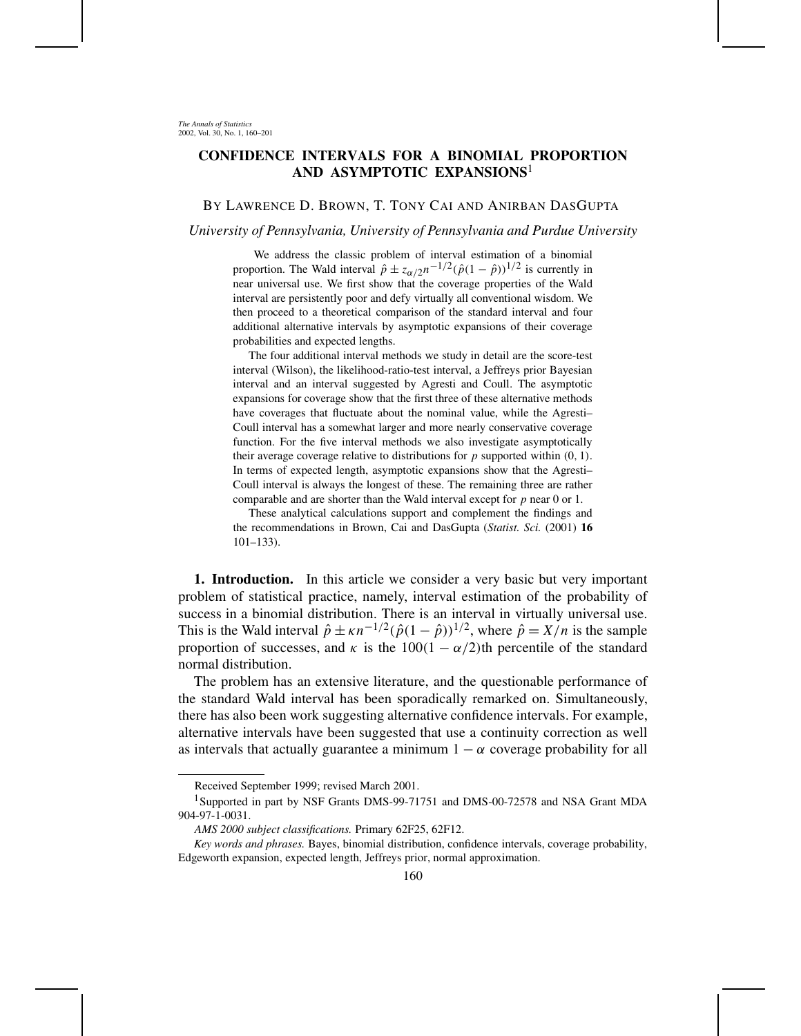# **CONFIDENCE INTERVALS FOR A BINOMIAL PROPORTION AND ASYMPTOTIC EXPANSIONS**<sup>1</sup>

## BY LAWRENCE D. BROWN, T. TONY CAI AND ANIRBAN DASGUPTA

#### *University of Pennsylvania, University of Pennsylvania and Purdue University*

We address the classic problem of interval estimation of a binomial proportion. The Wald interval  $\hat{p} \pm z_{\alpha/2}n^{-1/2}(\hat{p}(1-\hat{p}))^{1/2}$  is currently in near universal use. We first show that the coverage properties of the Wald interval are persistently poor and defy virtually all conventional wisdom. We then proceed to a theoretical comparison of the standard interval and four additional alternative intervals by asymptotic expansions of their coverage probabilities and expected lengths.

The four additional interval methods we study in detail are the score-test interval (Wilson), the likelihood-ratio-test interval, a Jeffreys prior Bayesian interval and an interval suggested by Agresti and Coull. The asymptotic expansions for coverage show that the first three of these alternative methods have coverages that fluctuate about the nominal value, while the Agresti– Coull interval has a somewhat larger and more nearly conservative coverage function. For the five interval methods we also investigate asymptotically their average coverage relative to distributions for *p* supported within *(*0*,* 1*)*. In terms of expected length, asymptotic expansions show that the Agresti– Coull interval is always the longest of these. The remaining three are rather comparable and are shorter than the Wald interval except for *p* near 0 or 1.

These analytical calculations support and complement the findings and the recommendations in Brown, Cai and DasGupta (*Statist. Sci.* (2001) **16** 101–133).

**1. Introduction.** In this article we consider a very basic but very important problem of statistical practice, namely, interval estimation of the probability of success in a binomial distribution. There is an interval in virtually universal use. This is the Wald interval  $\hat{p} \pm \kappa n^{-1/2}(\hat{p}(1-\hat{p}))^{1/2}$ , where  $\hat{p} = X/n$  is the sample proportion of successes, and  $\kappa$  is the 100 $(1 - \alpha/2)$ th percentile of the standard normal distribution.

The problem has an extensive literature, and the questionable performance of the standard Wald interval has been sporadically remarked on. Simultaneously, there has also been work suggesting alternative confidence intervals. For example, alternative intervals have been suggested that use a continuity correction as well as intervals that actually guarantee a minimum  $1 - \alpha$  coverage probability for all

Received September 1999; revised March 2001.

<sup>1</sup>Supported in part by NSF Grants DMS-99-71751 and DMS-00-72578 and NSA Grant MDA 904-97-1-0031.

*AMS 2000 subject classifications.* Primary 62F25, 62F12.

*Key words and phrases.* Bayes, binomial distribution, confidence intervals, coverage probability, Edgeworth expansion, expected length, Jeffreys prior, normal approximation.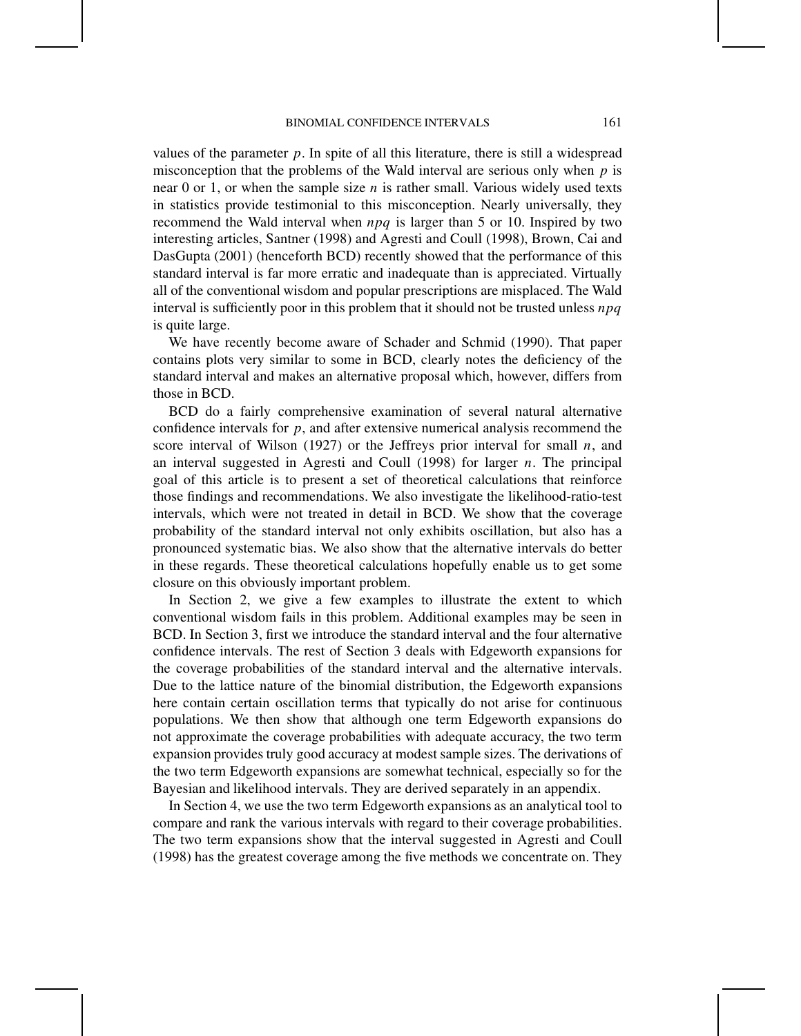values of the parameter  $p$ . In spite of all this literature, there is still a widespread misconception that the problems of the Wald interval are serious only when  $p$  is near 0 or 1, or when the sample size *n* is rather small. Various widely used texts in statistics provide testimonial to this misconception. Nearly universally, they recommend the Wald interval when *npq* is larger than 5 or 10. Inspired by two interesting articles, Santner (1998) and Agresti and Coull (1998), Brown, Cai and DasGupta (2001) (henceforth BCD) recently showed that the performance of this standard interval is far more erratic and inadequate than is appreciated. Virtually all of the conventional wisdom and popular prescriptions are misplaced. The Wald interval is sufficiently poor in this problem that it should not be trusted unless *npq* is quite large.

We have recently become aware of Schader and Schmid (1990). That paper contains plots very similar to some in BCD, clearly notes the deficiency of the standard interval and makes an alternative proposal which, however, differs from those in BCD.

BCD do a fairly comprehensive examination of several natural alternative confidence intervals for *p*, and after extensive numerical analysis recommend the score interval of Wilson (1927) or the Jeffreys prior interval for small *n*, and an interval suggested in Agresti and Coull (1998) for larger *n*. The principal goal of this article is to present a set of theoretical calculations that reinforce those findings and recommendations. We also investigate the likelihood-ratio-test intervals, which were not treated in detail in BCD. We show that the coverage probability of the standard interval not only exhibits oscillation, but also has a pronounced systematic bias. We also show that the alternative intervals do better in these regards. These theoretical calculations hopefully enable us to get some closure on this obviously important problem.

In Section 2, we give a few examples to illustrate the extent to which conventional wisdom fails in this problem. Additional examples may be seen in BCD. In Section 3, first we introduce the standard interval and the four alternative confidence intervals. The rest of Section 3 deals with Edgeworth expansions for the coverage probabilities of the standard interval and the alternative intervals. Due to the lattice nature of the binomial distribution, the Edgeworth expansions here contain certain oscillation terms that typically do not arise for continuous populations. We then show that although one term Edgeworth expansions do not approximate the coverage probabilities with adequate accuracy, the two term expansion provides truly good accuracy at modest sample sizes. The derivations of the two term Edgeworth expansions are somewhat technical, especially so for the Bayesian and likelihood intervals. They are derived separately in an appendix.

In Section 4, we use the two term Edgeworth expansions as an analytical tool to compare and rank the various intervals with regard to their coverage probabilities. The two term expansions show that the interval suggested in Agresti and Coull (1998) has the greatest coverage among the five methods we concentrate on. They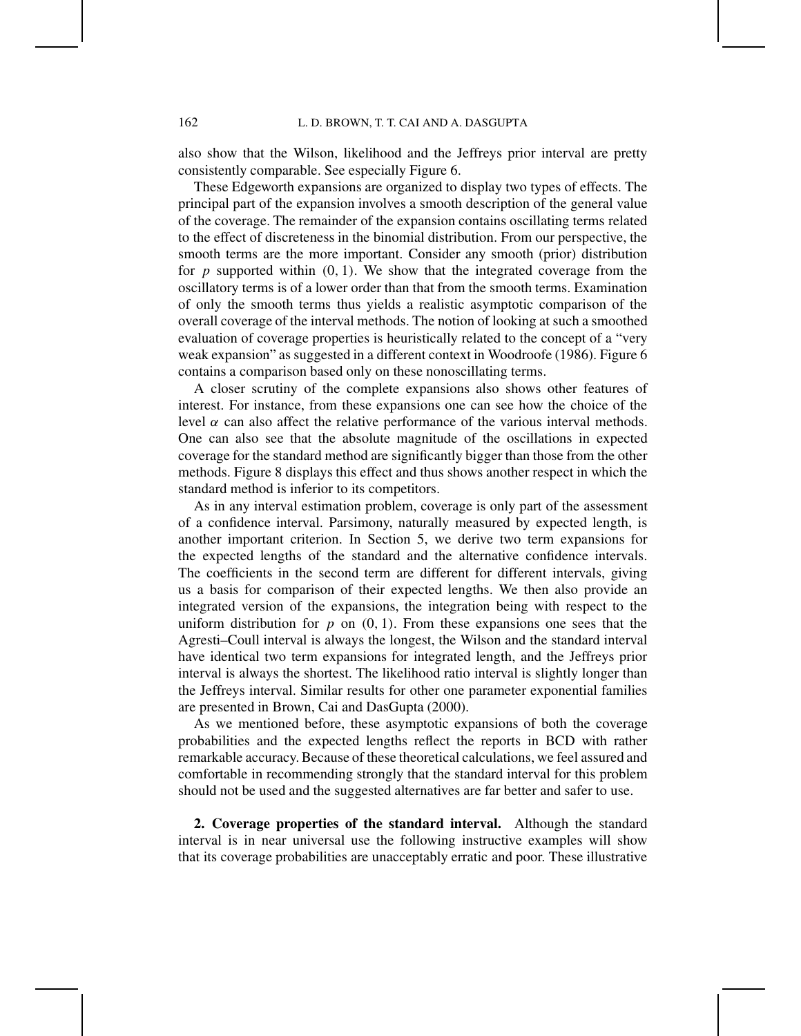also show that the Wilson, likelihood and the Jeffreys prior interval are pretty consistently comparable. See especially Figure 6.

These Edgeworth expansions are organized to display two types of effects. The principal part of the expansion involves a smooth description of the general value of the coverage. The remainder of the expansion contains oscillating terms related to the effect of discreteness in the binomial distribution. From our perspective, the smooth terms are the more important. Consider any smooth (prior) distribution for  $p$  supported within  $(0, 1)$ . We show that the integrated coverage from the oscillatory terms is of a lower order than that from the smooth terms. Examination of only the smooth terms thus yields a realistic asymptotic comparison of the overall coverage of the interval methods. The notion of looking at such a smoothed evaluation of coverage properties is heuristically related to the concept of a "very weak expansion" as suggested in a different context in Woodroofe (1986). Figure 6 contains a comparison based only on these nonoscillating terms.

A closer scrutiny of the complete expansions also shows other features of interest. For instance, from these expansions one can see how the choice of the level *α* can also affect the relative performance of the various interval methods. One can also see that the absolute magnitude of the oscillations in expected coverage for the standard method are significantly bigger than those from the other methods. Figure 8 displays this effect and thus shows another respect in which the standard method is inferior to its competitors.

As in any interval estimation problem, coverage is only part of the assessment of a confidence interval. Parsimony, naturally measured by expected length, is another important criterion. In Section 5, we derive two term expansions for the expected lengths of the standard and the alternative confidence intervals. The coefficients in the second term are different for different intervals, giving us a basis for comparison of their expected lengths. We then also provide an integrated version of the expansions, the integration being with respect to the uniform distribution for  $p$  on  $(0, 1)$ . From these expansions one sees that the Agresti–Coull interval is always the longest, the Wilson and the standard interval have identical two term expansions for integrated length, and the Jeffreys prior interval is always the shortest. The likelihood ratio interval is slightly longer than the Jeffreys interval. Similar results for other one parameter exponential families are presented in Brown, Cai and DasGupta (2000).

As we mentioned before, these asymptotic expansions of both the coverage probabilities and the expected lengths reflect the reports in BCD with rather remarkable accuracy. Because of these theoretical calculations, we feel assured and comfortable in recommending strongly that the standard interval for this problem should not be used and the suggested alternatives are far better and safer to use.

**2. Coverage properties of the standard interval.** Although the standard interval is in near universal use the following instructive examples will show that its coverage probabilities are unacceptably erratic and poor. These illustrative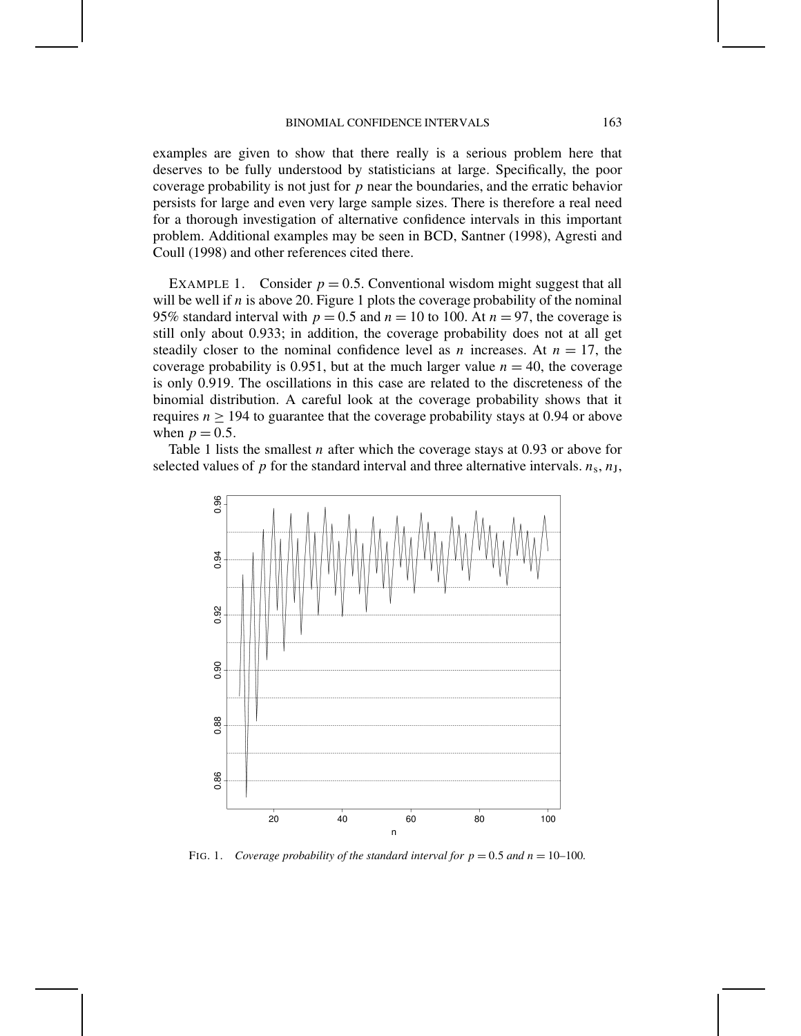examples are given to show that there really is a serious problem here that deserves to be fully understood by statisticians at large. Specifically, the poor coverage probability is not just for *p* near the boundaries, and the erratic behavior persists for large and even very large sample sizes. There is therefore a real need for a thorough investigation of alternative confidence intervals in this important problem. Additional examples may be seen in BCD, Santner (1998), Agresti and Coull (1998) and other references cited there.

EXAMPLE 1. Consider  $p = 0.5$ . Conventional wisdom might suggest that all will be well if *n* is above 20. Figure 1 plots the coverage probability of the nominal 95% standard interval with  $p = 0.5$  and  $n = 10$  to 100. At  $n = 97$ , the coverage is still only about 0.933; in addition, the coverage probability does not at all get steadily closer to the nominal confidence level as *n* increases. At  $n = 17$ , the coverage probability is 0.951, but at the much larger value  $n = 40$ , the coverage is only 0.919. The oscillations in this case are related to the discreteness of the binomial distribution. A careful look at the coverage probability shows that it requires  $n \geq 194$  to guarantee that the coverage probability stays at 0.94 or above when  $p = 0.5$ .

Table 1 lists the smallest *n* after which the coverage stays at 0.93 or above for selected values of  $p$  for the standard interval and three alternative intervals.  $n_s$ ,  $n_J$ ,



FIG. 1. *Coverage probability of the standard interval for*  $p = 0.5$  *and*  $n = 10-100$ *.*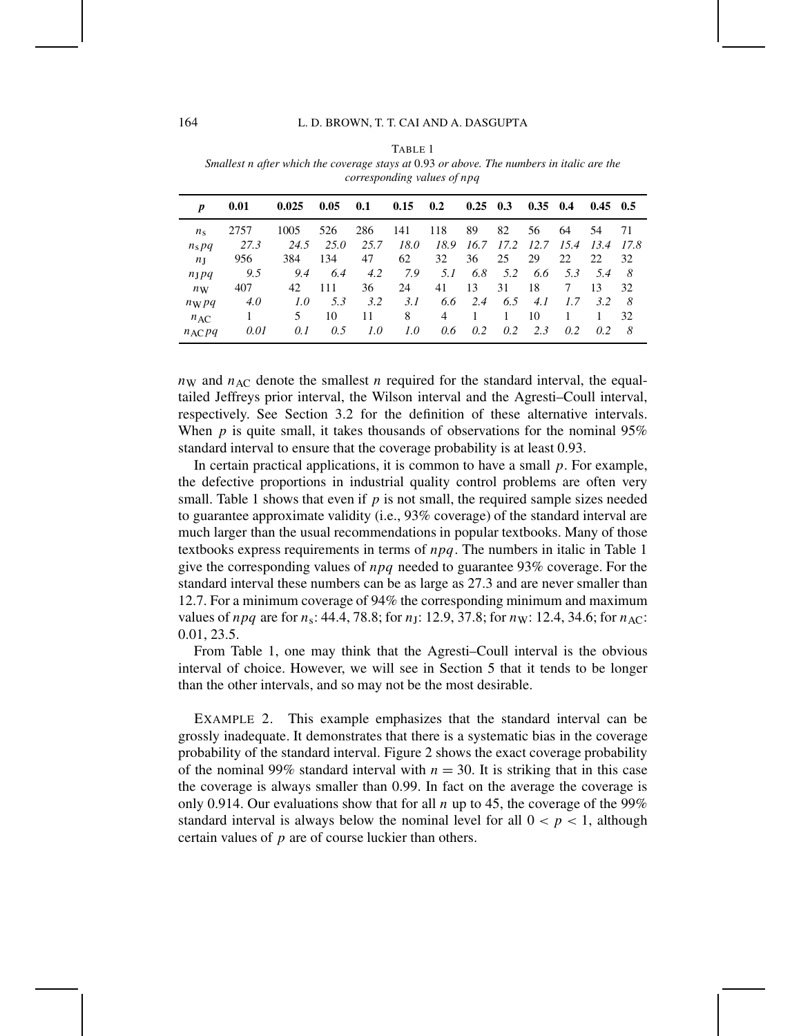| $\boldsymbol{p}$  | 0.01 | 0.025 | 0.05        | 0.1  | 0.15 | 0.2           | $0.25 \quad 0.3$ |      | $0.35 \quad 0.4$ |     | $0.45 \quad 0.5$ |        |
|-------------------|------|-------|-------------|------|------|---------------|------------------|------|------------------|-----|------------------|--------|
| $n_{\rm s}$       | 2757 | 1005  | 526         | 286  | 141  | 118           | 89               | 82   | 56               | 64  | 54               | 71     |
| $n_S$ pq          | 27.3 | 24.5  | <i>25.0</i> | 25.7 | 18.0 | 18.9          | 16.7             | 17.2 | 12.7 15.4 13.4   |     |                  | - 17.8 |
| n <sub>I</sub>    | 956  | 384   | 134         | 47   | 62   | 32            | 36               | 25   | 29               | 22  | 22               | 32     |
| $n_{\text{I}}pq$  | 9.5  | 9.4   | 6.4         | 4.2  | 7.9  | .5. I         | 6.8              | 5.2  | 6.6              | 5.3 | 5.4              | - 8    |
| $n_{\rm W}$       | 407  | 42    | 111         | 36   | 24   | 41            | 13               | 31   | 18               | 7   | 13               | 32     |
| $n \times pq$     | 4.0  | 1.0   | 5.3         | 3.2  | 3.1  | 6.6           | 2.4              | 6.5  | 4.1              | 1.7 | 3.2              | - 8    |
| $n_{\rm AC}$      |      | 5.    | 10          | 11   | 8    | 4             | 1                |      | 10               |     |                  | 32     |
| $n_{\rm AC}$ $pq$ | 0.01 | 0.1   | 0.5         | 1.0  | 1.0  | $0.6^{\circ}$ | 0.2              | 0.2  | 2.3              | 0.2 | 0.2              | - 8    |

TABLE 1 *Smallest n after which the coverage stays at* 0*.*93 *or above. The numbers in italic are the corresponding values of npq*

 $n<sub>W</sub>$  and  $n<sub>AC</sub>$  denote the smallest  $n$  required for the standard interval, the equaltailed Jeffreys prior interval, the Wilson interval and the Agresti–Coull interval, respectively. See Section 3.2 for the definition of these alternative intervals. When  $p$  is quite small, it takes thousands of observations for the nominal  $95\%$ standard interval to ensure that the coverage probability is at least 0.93.

In certain practical applications, it is common to have a small *p*. For example, the defective proportions in industrial quality control problems are often very small. Table 1 shows that even if  $p$  is not small, the required sample sizes needed to guarantee approximate validity (i.e., 93% coverage) of the standard interval are much larger than the usual recommendations in popular textbooks. Many of those textbooks express requirements in terms of *npq*. The numbers in italic in Table 1 give the corresponding values of *npq* needed to guarantee 93% coverage. For the standard interval these numbers can be as large as 27.3 and are never smaller than 12.7. For a minimum coverage of 94% the corresponding minimum and maximum values of *npq* are for  $n_s$ : 44.4, 78.8; for  $n_J$ : 12.9, 37.8; for  $n_W$ : 12.4, 34.6; for  $n_{AC}$ : 0.01, 23.5.

From Table 1, one may think that the Agresti–Coull interval is the obvious interval of choice. However, we will see in Section 5 that it tends to be longer than the other intervals, and so may not be the most desirable.

EXAMPLE 2. This example emphasizes that the standard interval can be grossly inadequate. It demonstrates that there is a systematic bias in the coverage probability of the standard interval. Figure 2 shows the exact coverage probability of the nominal 99% standard interval with  $n = 30$ . It is striking that in this case the coverage is always smaller than 0.99. In fact on the average the coverage is only 0.914. Our evaluations show that for all *n* up to 45, the coverage of the 99% standard interval is always below the nominal level for all  $0 < p < 1$ , although certain values of *p* are of course luckier than others.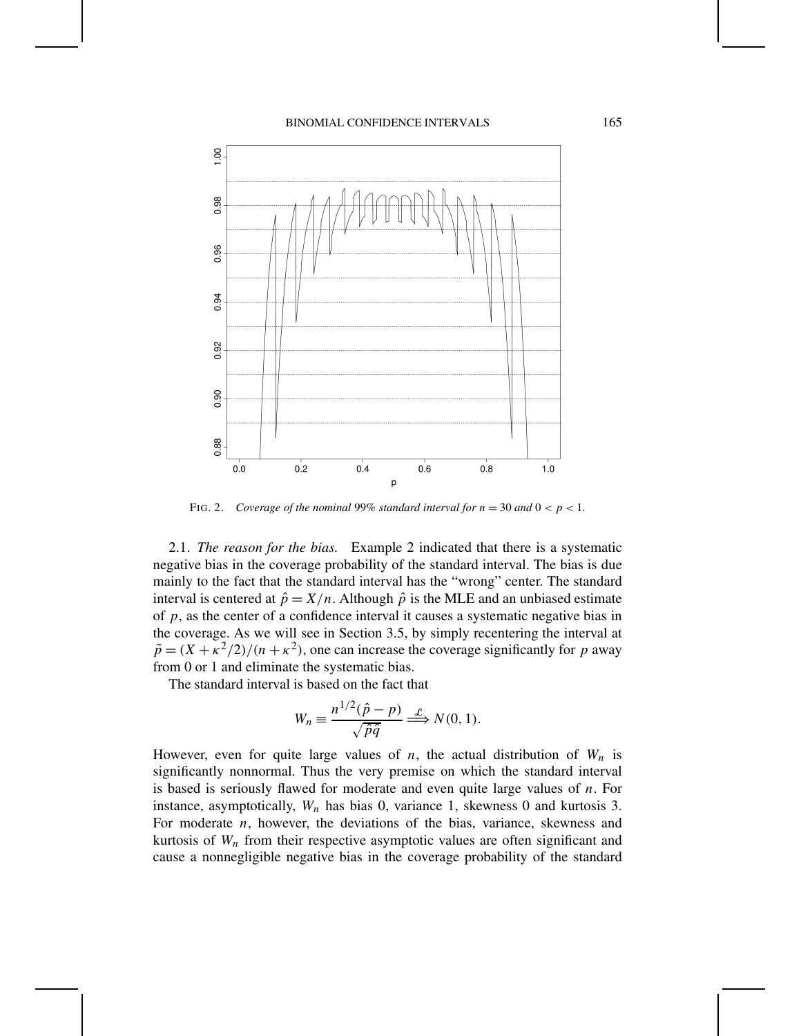

FIG. 2. *Coverage of the nominal* 99% *standard interval for*  $n = 30$  *and*  $0 < p < 1$ *.* 

2.1. *The reason for the bias.* Example 2 indicated that there is a systematic negative bias in the coverage probability of the standard interval. The bias is due mainly to the fact that the standard interval has the "wrong" center. The standard interval is centered at  $\hat{p} = X/n$ . Although  $\hat{p}$  is the MLE and an unbiased estimate of *p*, as the center of a confidence interval it causes a systematic negative bias in the coverage. As we will see in Section 3.5, by simply recentering the interval at  $\tilde{p} = (X + \kappa^2/2)/(n + \kappa^2)$ , one can increase the coverage significantly for *p* away from 0 or 1 and eliminate the systematic bias.

The standard interval is based on the fact that

$$
W_n \equiv \frac{n^{1/2}(\hat{p} - p)}{\sqrt{\hat{p}\hat{q}}} \stackrel{\mathcal{L}}{\Longrightarrow} N(0, 1).
$$

However, even for quite large values of  $n$ , the actual distribution of  $W_n$  is significantly nonnormal. Thus the very premise on which the standard interval is based is seriously flawed for moderate and even quite large values of *n*. For instance, asymptotically,  $W_n$  has bias 0, variance 1, skewness 0 and kurtosis 3. For moderate *n*, however, the deviations of the bias, variance, skewness and kurtosis of  $W_n$  from their respective asymptotic values are often significant and cause a nonnegligible negative bias in the coverage probability of the standard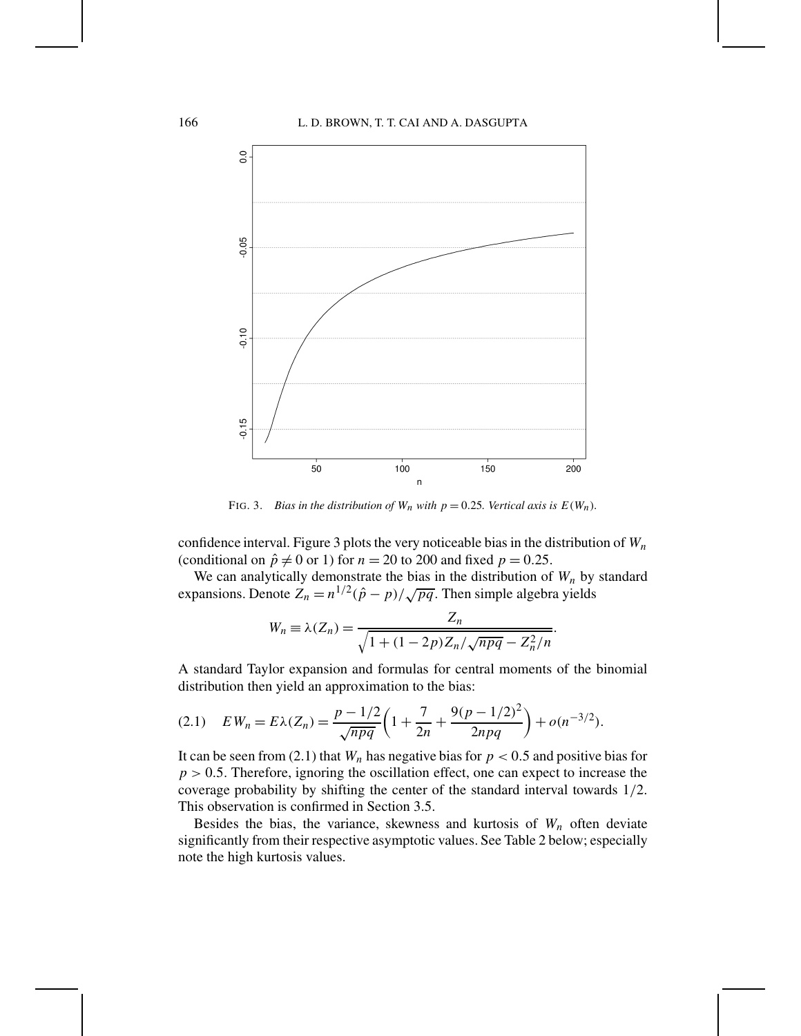

FIG. 3. *Bias in the distribution of*  $W_n$  *with*  $p = 0.25$ *. Vertical axis is*  $E(W_n)$ *.* 

confidence interval. Figure 3 plots the very noticeable bias in the distribution of *Wn* (conditional on  $\hat{p} \neq 0$  or 1) for  $n = 20$  to 200 and fixed  $p = 0.25$ .

We can analytically demonstrate the bias in the distribution of  $W_n$  by standard expansions. Denote  $Z_n = n^{1/2}(\hat{p} - p)/\sqrt{pq}$ . Then simple algebra yields

$$
W_n \equiv \lambda(Z_n) = \frac{Z_n}{\sqrt{1 + (1 - 2p)Z_n/\sqrt{npq} - Z_n^2/n}}.
$$

A standard Taylor expansion and formulas for central moments of the binomial distribution then yield an approximation to the bias:

$$
(2.1) \tEW_n = E\lambda(Z_n) = \frac{p - 1/2}{\sqrt{npq}} \left( 1 + \frac{7}{2n} + \frac{9(p - 1/2)^2}{2npq} \right) + o(n^{-3/2}).
$$

It can be seen from (2.1) that  $W_n$  has negative bias for  $p < 0.5$  and positive bias for *p >* 0*.*5. Therefore, ignoring the oscillation effect, one can expect to increase the coverage probability by shifting the center of the standard interval towards 1*/*2. This observation is confirmed in Section 3.5.

Besides the bias, the variance, skewness and kurtosis of  $W_n$  often deviate significantly from their respective asymptotic values. See Table 2 below; especially note the high kurtosis values.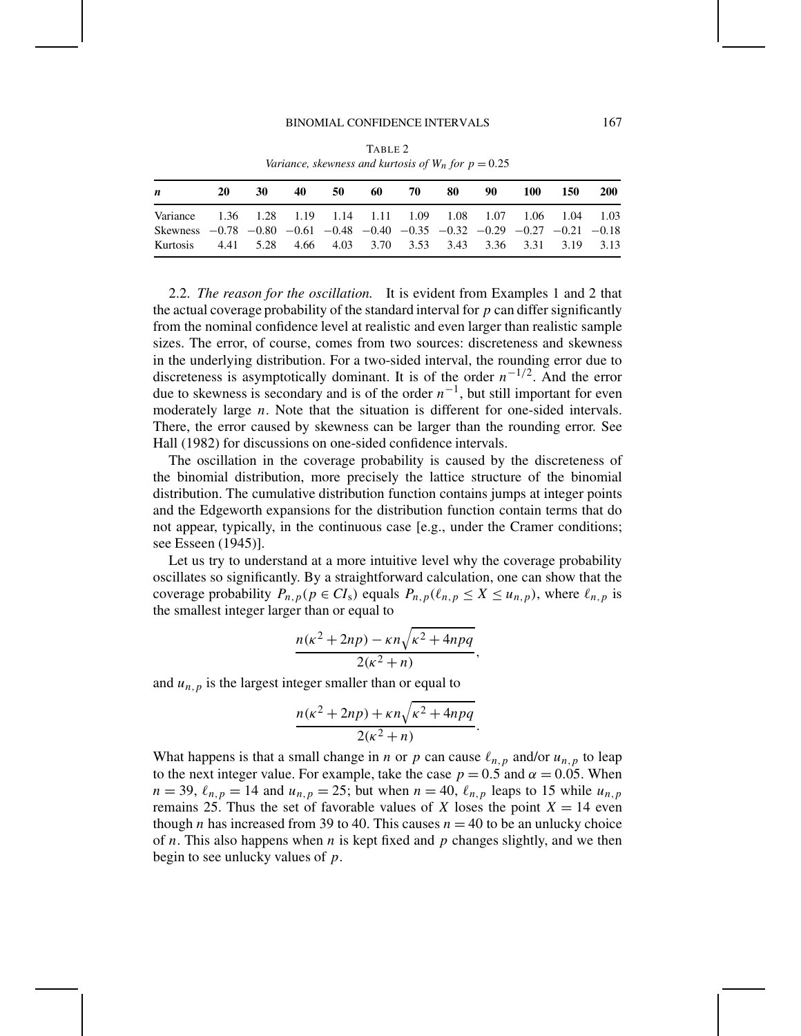#### BINOMIAL CONFIDENCE INTERVALS 167

| Variance, skewness and kurtosis of $W_n$ for $p = 0.25$                                          |    |    |    |    |     |     |     |    |     |      |            |
|--------------------------------------------------------------------------------------------------|----|----|----|----|-----|-----|-----|----|-----|------|------------|
| n                                                                                                | 20 | 30 | 40 | 50 | -60 | -70 | -80 | 90 | 100 | -150 | <b>200</b> |
| Variance 1.36 1.28 1.19 1.14 1.11 1.09 1.08 1.07 1.06 1.04 1.03                                  |    |    |    |    |     |     |     |    |     |      |            |
| Skewness $-0.78$ $-0.80$ $-0.61$ $-0.48$ $-0.40$ $-0.35$ $-0.32$ $-0.29$ $-0.27$ $-0.21$ $-0.18$ |    |    |    |    |     |     |     |    |     |      |            |
| Kurtosis 4.41 5.28 4.66 4.03 3.70 3.53 3.43 3.36 3.31 3.19 3.13                                  |    |    |    |    |     |     |     |    |     |      |            |

TABLE 2 *Variance, skewness and kurtosis of*  $W_n$  *for*  $p = 0.25$ 

2.2. *The reason for the oscillation.* It is evident from Examples 1 and 2 that the actual coverage probability of the standard interval for *p* can differ significantly from the nominal confidence level at realistic and even larger than realistic sample sizes. The error, of course, comes from two sources: discreteness and skewness in the underlying distribution. For a two-sided interval, the rounding error due to discreteness is asymptotically dominant. It is of the order *n*−1*/*2. And the error due to skewness is secondary and is of the order  $n^{-1}$ , but still important for even moderately large *n*. Note that the situation is different for one-sided intervals. There, the error caused by skewness can be larger than the rounding error. See Hall (1982) for discussions on one-sided confidence intervals.

The oscillation in the coverage probability is caused by the discreteness of the binomial distribution, more precisely the lattice structure of the binomial distribution. The cumulative distribution function contains jumps at integer points and the Edgeworth expansions for the distribution function contain terms that do not appear, typically, in the continuous case [e.g., under the Cramer conditions; see Esseen (1945)].

Let us try to understand at a more intuitive level why the coverage probability oscillates so significantly. By a straightforward calculation, one can show that the coverage probability  $P_{n,p}(p \in CI_s)$  equals  $P_{n,p}(\ell_{n,p} \leq X \leq u_{n,p})$ , where  $\ell_{n,p}$  is the smallest integer larger than or equal to

$$
\frac{n(\kappa^2+2np)-\kappa n\sqrt{\kappa^2+4npq}}{2(\kappa^2+n)},
$$

and  $u_{n,p}$  is the largest integer smaller than or equal to

$$
\frac{n(\kappa^2+2np)+\kappa n\sqrt{\kappa^2+4npq}}{2(\kappa^2+n)}.
$$

What happens is that a small change in *n* or *p* can cause  $\ell_{n,p}$  and/or  $u_{n,p}$  to leap to the next integer value. For example, take the case  $p = 0.5$  and  $\alpha = 0.05$ . When  $n = 39$ ,  $\ell_{n,p} = 14$  and  $u_{n,p} = 25$ ; but when  $n = 40$ ,  $\ell_{n,p}$  leaps to 15 while  $u_{n,p}$ remains 25. Thus the set of favorable values of *X* loses the point  $X = 14$  even though *n* has increased from 39 to 40. This causes  $n = 40$  to be an unlucky choice of *n*. This also happens when *n* is kept fixed and *p* changes slightly, and we then begin to see unlucky values of *p*.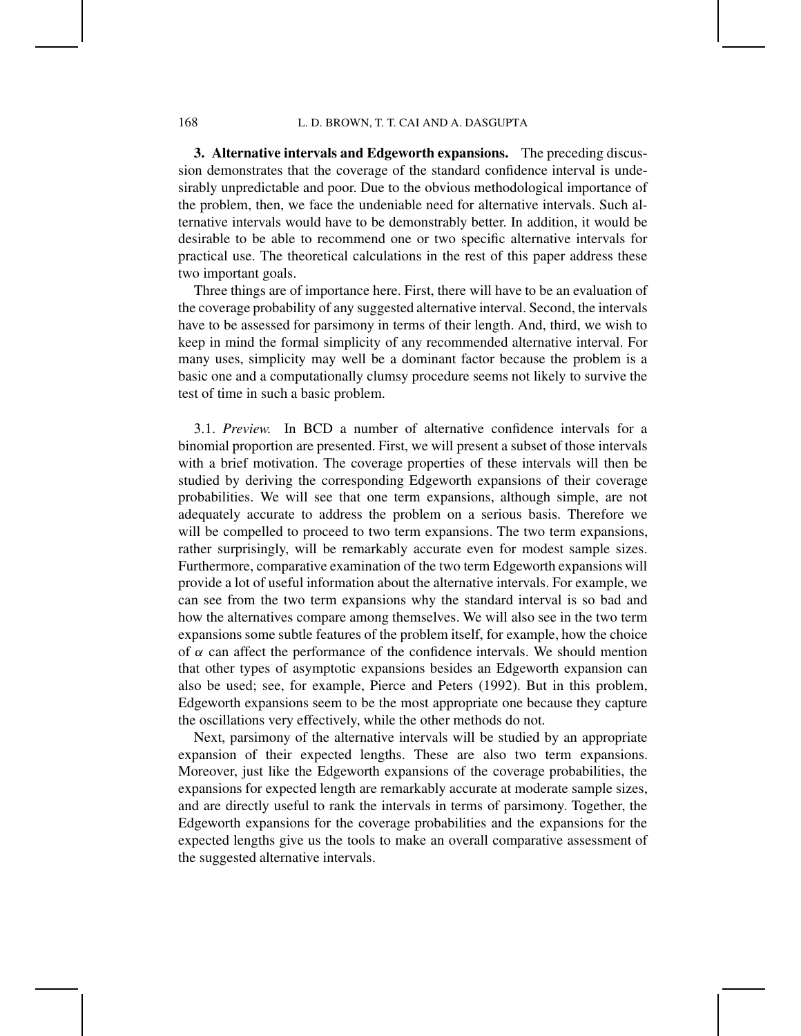**3. Alternative intervals and Edgeworth expansions.** The preceding discussion demonstrates that the coverage of the standard confidence interval is undesirably unpredictable and poor. Due to the obvious methodological importance of the problem, then, we face the undeniable need for alternative intervals. Such alternative intervals would have to be demonstrably better. In addition, it would be desirable to be able to recommend one or two specific alternative intervals for practical use. The theoretical calculations in the rest of this paper address these two important goals.

Three things are of importance here. First, there will have to be an evaluation of the coverage probability of any suggested alternative interval. Second, the intervals have to be assessed for parsimony in terms of their length. And, third, we wish to keep in mind the formal simplicity of any recommended alternative interval. For many uses, simplicity may well be a dominant factor because the problem is a basic one and a computationally clumsy procedure seems not likely to survive the test of time in such a basic problem.

3.1. *Preview.* In BCD a number of alternative confidence intervals for a binomial proportion are presented. First, we will present a subset of those intervals with a brief motivation. The coverage properties of these intervals will then be studied by deriving the corresponding Edgeworth expansions of their coverage probabilities. We will see that one term expansions, although simple, are not adequately accurate to address the problem on a serious basis. Therefore we will be compelled to proceed to two term expansions. The two term expansions, rather surprisingly, will be remarkably accurate even for modest sample sizes. Furthermore, comparative examination of the two term Edgeworth expansions will provide a lot of useful information about the alternative intervals. For example, we can see from the two term expansions why the standard interval is so bad and how the alternatives compare among themselves. We will also see in the two term expansions some subtle features of the problem itself, for example, how the choice of *α* can affect the performance of the confidence intervals. We should mention that other types of asymptotic expansions besides an Edgeworth expansion can also be used; see, for example, Pierce and Peters (1992). But in this problem, Edgeworth expansions seem to be the most appropriate one because they capture the oscillations very effectively, while the other methods do not.

Next, parsimony of the alternative intervals will be studied by an appropriate expansion of their expected lengths. These are also two term expansions. Moreover, just like the Edgeworth expansions of the coverage probabilities, the expansions for expected length are remarkably accurate at moderate sample sizes, and are directly useful to rank the intervals in terms of parsimony. Together, the Edgeworth expansions for the coverage probabilities and the expansions for the expected lengths give us the tools to make an overall comparative assessment of the suggested alternative intervals.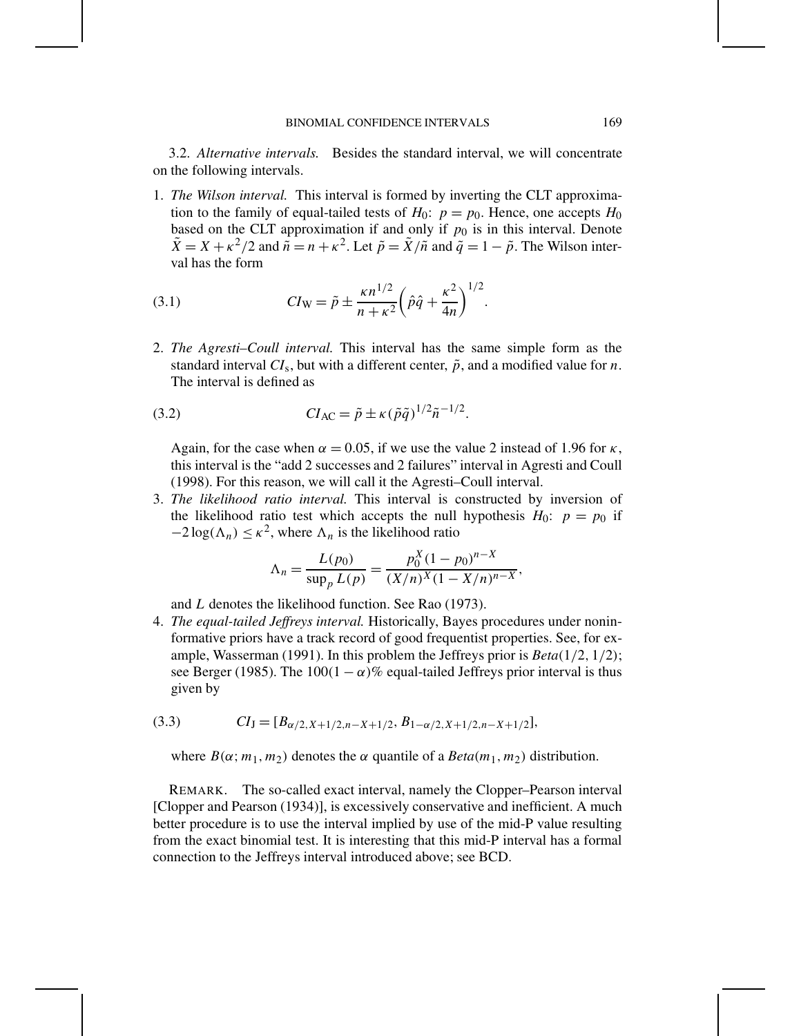3.2. *Alternative intervals.* Besides the standard interval, we will concentrate on the following intervals.

1. *The Wilson interval.* This interval is formed by inverting the CLT approximation to the family of equal-tailed tests of  $H_0$ :  $p = p_0$ . Hence, one accepts  $H_0$ based on the CLT approximation if and only if  $p_0$  is in this interval. Denote  $\tilde{X} = X + \kappa^2/2$  and  $\tilde{n} = n + \kappa^2$ . Let  $\tilde{p} = \tilde{X}/\tilde{n}$  and  $\tilde{q} = 1 - \tilde{p}$ . The Wilson interval has the form

(3.1) 
$$
CI_{\text{W}} = \tilde{p} \pm \frac{\kappa n^{1/2}}{n + \kappa^2} \left( \hat{p}\hat{q} + \frac{\kappa^2}{4n} \right)^{1/2}.
$$

2. *The Agresti–Coull interval.* This interval has the same simple form as the standard interval  $CI_s$ , but with a different center,  $\tilde{p}$ , and a modified value for *n*. The interval is defined as

(3.2) 
$$
CI_{AC} = \tilde{p} \pm \kappa (\tilde{p}\tilde{q})^{1/2} \tilde{n}^{-1/2}.
$$

Again, for the case when  $\alpha = 0.05$ , if we use the value 2 instead of 1.96 for  $\kappa$ , this interval is the "add 2 successes and 2 failures" interval in Agresti and Coull (1998). For this reason, we will call it the Agresti–Coull interval.

3. *The likelihood ratio interval.* This interval is constructed by inversion of the likelihood ratio test which accepts the null hypothesis  $H_0$ :  $p = p_0$  if  $-2\log(\Lambda_n) \leq \kappa^2$ , where  $\Lambda_n$  is the likelihood ratio

$$
\Lambda_n = \frac{L(p_0)}{\sup_p L(p)} = \frac{p_0^X (1 - p_0)^{n - X}}{(X/n)^X (1 - X/n)^{n - X}},
$$

and *L* denotes the likelihood function. See Rao (1973).

4. *The equal-tailed Jeffreys interval.* Historically, Bayes procedures under noninformative priors have a track record of good frequentist properties. See, for example, Wasserman (1991). In this problem the Jeffreys prior is *Beta(*1*/*2*,* 1*/*2*)*; see Berger (1985). The  $100(1 - \alpha)\%$  equal-tailed Jeffreys prior interval is thus given by

(3.3) 
$$
CI_J = [B_{\alpha/2, X+1/2, n-X+1/2}, B_{1-\alpha/2, X+1/2, n-X+1/2}],
$$

where  $B(\alpha; m_1, m_2)$  denotes the  $\alpha$  quantile of a  $Beta(m_1, m_2)$  distribution.

REMARK. The so-called exact interval, namely the Clopper–Pearson interval [Clopper and Pearson (1934)], is excessively conservative and inefficient. A much better procedure is to use the interval implied by use of the mid-P value resulting from the exact binomial test. It is interesting that this mid-P interval has a formal connection to the Jeffreys interval introduced above; see BCD.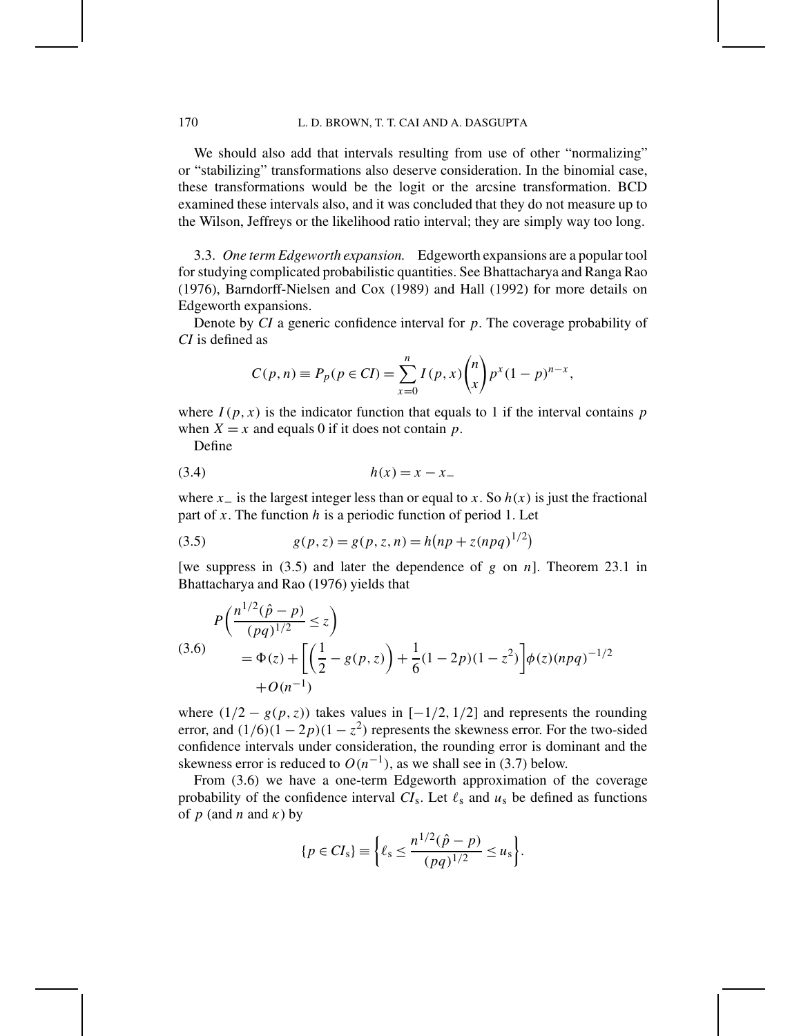We should also add that intervals resulting from use of other "normalizing" or "stabilizing" transformations also deserve consideration. In the binomial case, these transformations would be the logit or the arcsine transformation. BCD examined these intervals also, and it was concluded that they do not measure up to the Wilson, Jeffreys or the likelihood ratio interval; they are simply way too long.

3.3. *One term Edgeworth expansion.* Edgeworth expansions are a popular tool for studying complicated probabilistic quantities. See Bhattacharya and Ranga Rao (1976), Barndorff-Nielsen and Cox (1989) and Hall (1992) for more details on Edgeworth expansions.

Denote by *CI* a generic confidence interval for *p*. The coverage probability of *CI* is defined as

$$
C(p, n) \equiv P_p(p \in CI) = \sum_{x=0}^{n} I(p, x) {n \choose x} p^x (1-p)^{n-x},
$$

where  $I(p, x)$  is the indicator function that equals to 1 if the interval contains  $p$ when  $X = x$  and equals 0 if it does not contain *p*.

Define

$$
(3.4) \qquad \qquad h(x) = x - x_-
$$

where  $x_$  is the largest integer less than or equal to *x*. So  $h(x)$  is just the fractional part of *x*. The function *h* is a periodic function of period 1. Let

(3.5) 
$$
g(p, z) = g(p, z, n) = h(np + z(npq)^{1/2})
$$

[we suppress in (3.5) and later the dependence of *g* on *n*]. Theorem 23.1 in Bhattacharya and Rao (1976) yields that

$$
P\left(\frac{n^{1/2}(\hat{p}-p)}{(pq)^{1/2}} \le z\right)
$$
  
(3.6)  

$$
= \Phi(z) + \left[\left(\frac{1}{2} - g(p,z)\right) + \frac{1}{6}(1-2p)(1-z^2)\right] \phi(z) (npq)^{-1/2}
$$

$$
+ O(n^{-1})
$$

where  $(1/2 - g(p, z))$  takes values in  $[-1/2, 1/2]$  and represents the rounding error, and  $(1/6)(1 - 2p)(1 - z^2)$  represents the skewness error. For the two-sided confidence intervals under consideration, the rounding error is dominant and the skewness error is reduced to  $O(n^{-1})$ , as we shall see in (3.7) below.

From (3.6) we have a one-term Edgeworth approximation of the coverage probability of the confidence interval  $CI_s$ . Let  $\ell_s$  and  $u_s$  be defined as functions of *p* (and *n* and  $\kappa$ ) by

$$
\{p \in CI_{\rm s}\} \equiv \left\{\ell_{\rm s} \leq \frac{n^{1/2}(\hat{p} - p)}{(pq)^{1/2}} \leq u_{\rm s}\right\}.
$$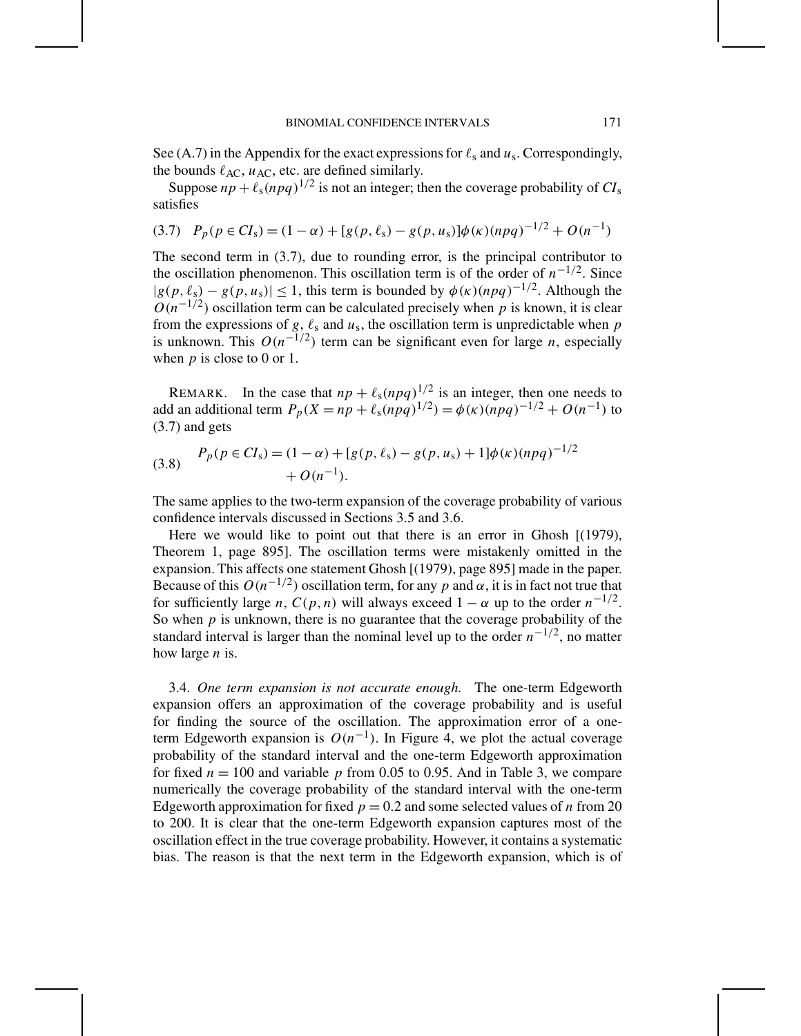See (A.7) in the Appendix for the exact expressions for  $\ell_s$  and  $u_s$ . Correspondingly, the bounds  $\ell_{AC}$ ,  $u_{AC}$ , etc. are defined similarly.

Suppose  $np + \ell_s(npq)^{1/2}$  is not an integer; then the coverage probability of  $CI_s$ satisfies

$$
(3.7) \quad P_p(p \in CI_s) = (1 - \alpha) + [g(p, \ell_s) - g(p, u_s)]\phi(\kappa)(npq)^{-1/2} + O(n^{-1})
$$

The second term in (3.7), due to rounding error, is the principal contributor to the oscillation phenomenon. This oscillation term is of the order of *n*−1*/*2. Since  $|g(p, \ell_s) - g(p, u_s)| \le 1$ , this term is bounded by  $\phi(\kappa)(npq)^{-1/2}$ . Although the  $O(n^{-1/2})$  oscillation term can be calculated precisely when *p* is known, it is clear from the expressions of  $g$ ,  $\ell_s$  and  $u_s$ , the oscillation term is unpredictable when  $p$ is unknown. This  $O(n^{-1/2})$  term can be significant even for large *n*, especially when *p* is close to 0 or 1.

REMARK. In the case that  $np + \ell_s(npq)^{1/2}$  is an integer, then one needs to add an additional term  $P_p(X = np + \ell_s(npq)^{1/2}) = \phi(\kappa)(npq)^{-1/2} + O(n^{-1})$  to (3.7) and gets

(3.8) 
$$
P_p(p \in CI_s) = (1 - \alpha) + [g(p, \ell_s) - g(p, u_s) + 1] \phi(\kappa) (npq)^{-1/2} + O(n^{-1}).
$$

The same applies to the two-term expansion of the coverage probability of various confidence intervals discussed in Sections 3.5 and 3.6.

Here we would like to point out that there is an error in Ghosh [(1979), Theorem 1, page 895]. The oscillation terms were mistakenly omitted in the expansion. This affects one statement Ghosh [(1979), page 895] made in the paper. Because of this  $O(n^{-1/2})$  oscillation term, for any p and  $\alpha$ , it is in fact not true that for sufficiently large *n*,  $C(p, n)$  will always exceed  $1 - \alpha$  up to the order  $n^{-1/2}$ . So when  $p$  is unknown, there is no guarantee that the coverage probability of the standard interval is larger than the nominal level up to the order  $n^{-1/2}$ , no matter how large *n* is.

3.4. *One term expansion is not accurate enough.* The one-term Edgeworth expansion offers an approximation of the coverage probability and is useful for finding the source of the oscillation. The approximation error of a oneterm Edgeworth expansion is  $O(n^{-1})$ . In Figure 4, we plot the actual coverage probability of the standard interval and the one-term Edgeworth approximation for fixed  $n = 100$  and variable  $p$  from 0.05 to 0.95. And in Table 3, we compare numerically the coverage probability of the standard interval with the one-term Edgeworth approximation for fixed  $p = 0.2$  and some selected values of *n* from 20 to 200. It is clear that the one-term Edgeworth expansion captures most of the oscillation effect in the true coverage probability. However, it contains a systematic bias. The reason is that the next term in the Edgeworth expansion, which is of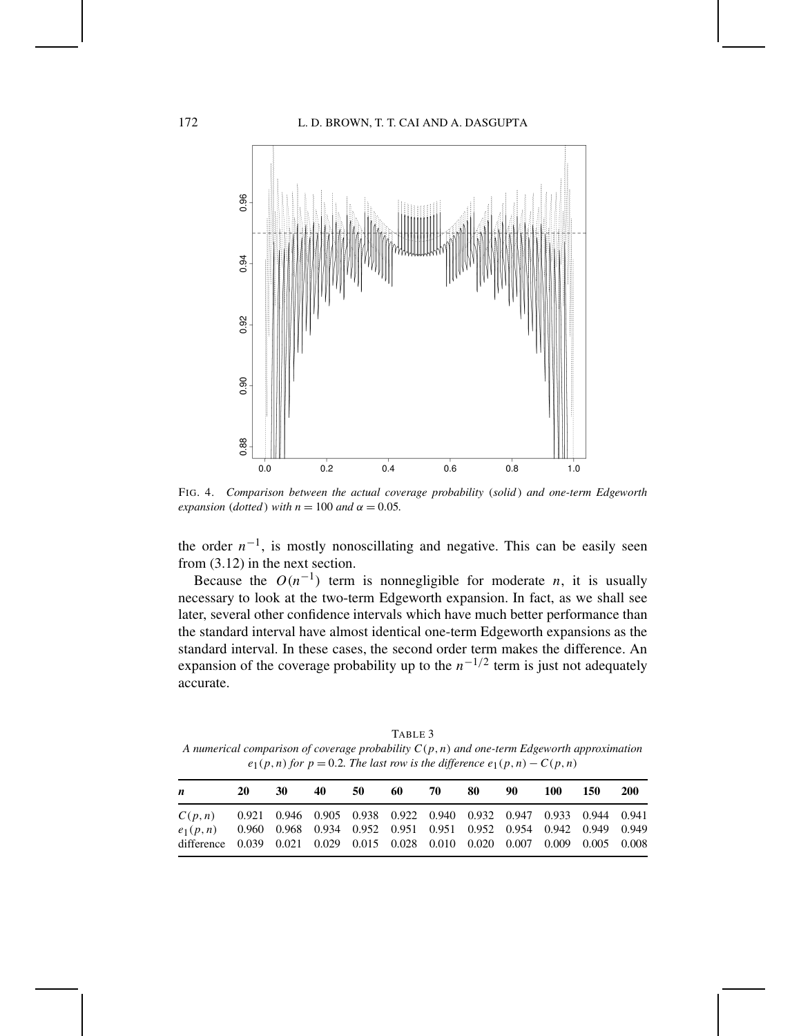

FIG. 4. *Comparison between the actual coverage probability (solid ) and one-term Edgeworth expansion* (*dotted*) *with*  $n = 100$  *and*  $\alpha = 0.05$ *.* 

the order  $n^{-1}$ , is mostly nonoscillating and negative. This can be easily seen from (3.12) in the next section.

Because the  $O(n^{-1})$  term is nonnegligible for moderate *n*, it is usually necessary to look at the two-term Edgeworth expansion. In fact, as we shall see later, several other confidence intervals which have much better performance than the standard interval have almost identical one-term Edgeworth expansions as the standard interval. In these cases, the second order term makes the difference. An expansion of the coverage probability up to the  $n^{-1/2}$  term is just not adequately accurate.

TABLE 3 *A numerical comparison of coverage probability C(p, n) and one-term Edgeworth approximation*  $e_1(p, n)$  *for*  $p = 0.2$ *. The last row is the difference*  $e_1(p, n) - C(p, n)$ 

| n                                                                            | 20 | 30 | 40 | 50 | 60 | 70                                                                | 80 | 90 | 100 | 150 | <b>200</b> |
|------------------------------------------------------------------------------|----|----|----|----|----|-------------------------------------------------------------------|----|----|-----|-----|------------|
| C(p,n)                                                                       |    |    |    |    |    | 0.921 0.946 0.905 0.938 0.922 0.940 0.932 0.947 0.933 0.944 0.941 |    |    |     |     |            |
| $e_1(p,n)$                                                                   |    |    |    |    |    | 0.960 0.968 0.934 0.952 0.951 0.951 0.952 0.954 0.942 0.949 0.949 |    |    |     |     |            |
| difference 0.039 0.021 0.029 0.015 0.028 0.010 0.020 0.007 0.009 0.005 0.008 |    |    |    |    |    |                                                                   |    |    |     |     |            |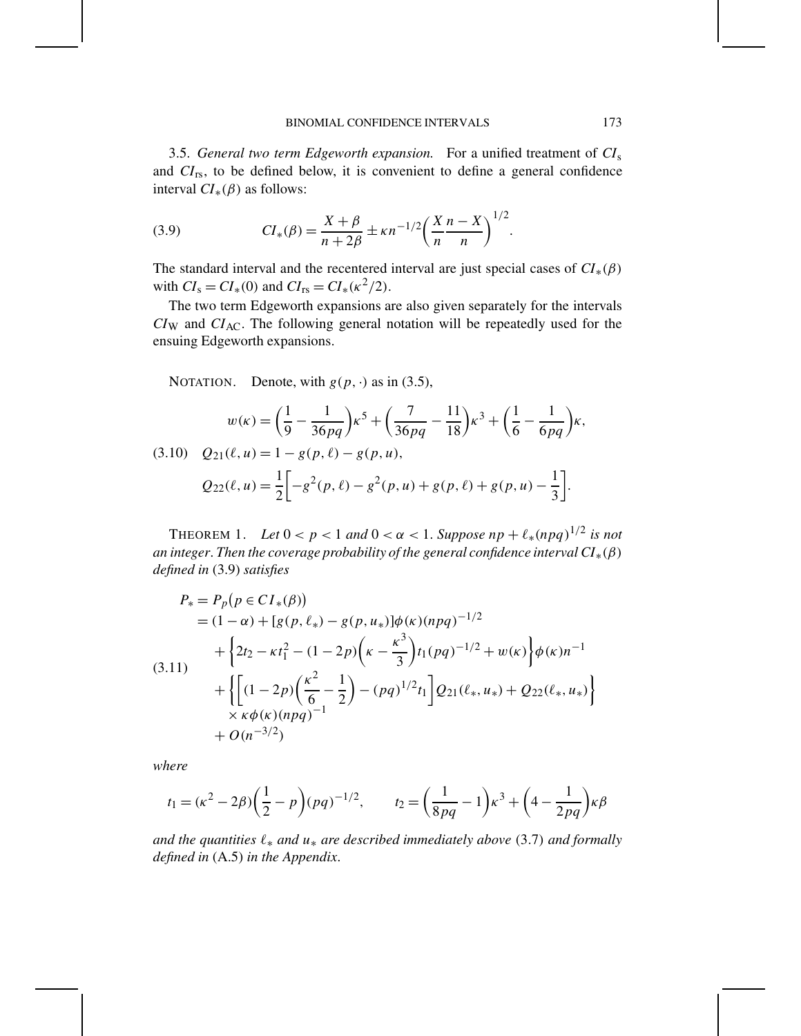3.5. *General two term Edgeworth expansion.* For a unified treatment of *CI*<sup>s</sup> and *CI*rs, to be defined below, it is convenient to define a general confidence interval  $CI_*(\beta)$  as follows:

(3.9) 
$$
CI_*(\beta) = \frac{X+\beta}{n+2\beta} \pm \kappa n^{-1/2} \left(\frac{X}{n}\frac{n-X}{n}\right)^{1/2}.
$$

The standard interval and the recentered interval are just special cases of  $CI_*(\beta)$ with  $CI_s = CI_*(0)$  and  $CI_{rs} = CI_*(\kappa^2/2)$ .

The two term Edgeworth expansions are also given separately for the intervals *CI*<sup>W</sup> and *CI*AC. The following general notation will be repeatedly used for the ensuing Edgeworth expansions.

NOTATION. Denote, with  $g(p, \cdot)$  as in (3.5),

$$
w(\kappa) = \left(\frac{1}{9} - \frac{1}{36pq}\right)\kappa^5 + \left(\frac{7}{36pq} - \frac{11}{18}\right)\kappa^3 + \left(\frac{1}{6} - \frac{1}{6pq}\right)\kappa,
$$
  
(3.10)  $Q_{21}(\ell, u) = 1 - g(p, \ell) - g(p, u),$   
 $Q_{22}(\ell, u) = \frac{1}{2} \left[ -g^2(p, \ell) - g^2(p, u) + g(p, \ell) + g(p, u) - \frac{1}{3} \right].$ 

THEOREM 1. *Let*  $0 < p < 1$  *and*  $0 < \alpha < 1$ . *Suppose*  $np + \ell_*(npq)^{1/2}$  *is not an integer*. *Then the coverage probability of the general confidence interval CI*∗*(β) defined in* (3.9) *satisfies*

$$
P_* = P_p(p \in CI_*(\beta))
$$
  
= (1 - \alpha) + [g(p, \ell\_\*) - g(p, u\_\*)] \phi(\kappa) (npq)^{-1/2}  
+ {2t\_2 - \kappa t\_1^2 - (1 - 2p) (\kappa - \frac{\kappa^3}{3}) t\_1 (pq)^{-1/2} + w(\kappa) \phi(\kappa) n^{-1}  
+ {[(1 - 2p) (\frac{\kappa^2}{6} - \frac{1}{2}) - (pq)^{1/2} t\_1]} Q\_{21}(\ell\_\*, u\_\*) + Q\_{22}(\ell\_\*, u\_\*)}  
× \kappa \phi(\kappa) (npq)^{-1}  
+ O(n^{-3/2})

*where*

$$
t_1 = (\kappa^2 - 2\beta) \left(\frac{1}{2} - p\right) (pq)^{-1/2}, \qquad t_2 = \left(\frac{1}{8pq} - 1\right) \kappa^3 + \left(4 - \frac{1}{2pq}\right) \kappa \beta
$$

*and the quantities*  $\ell_*$  *and*  $u_*$  *are described immediately above* (3.7) *and formally defined in* (A.5) *in the Appendix*.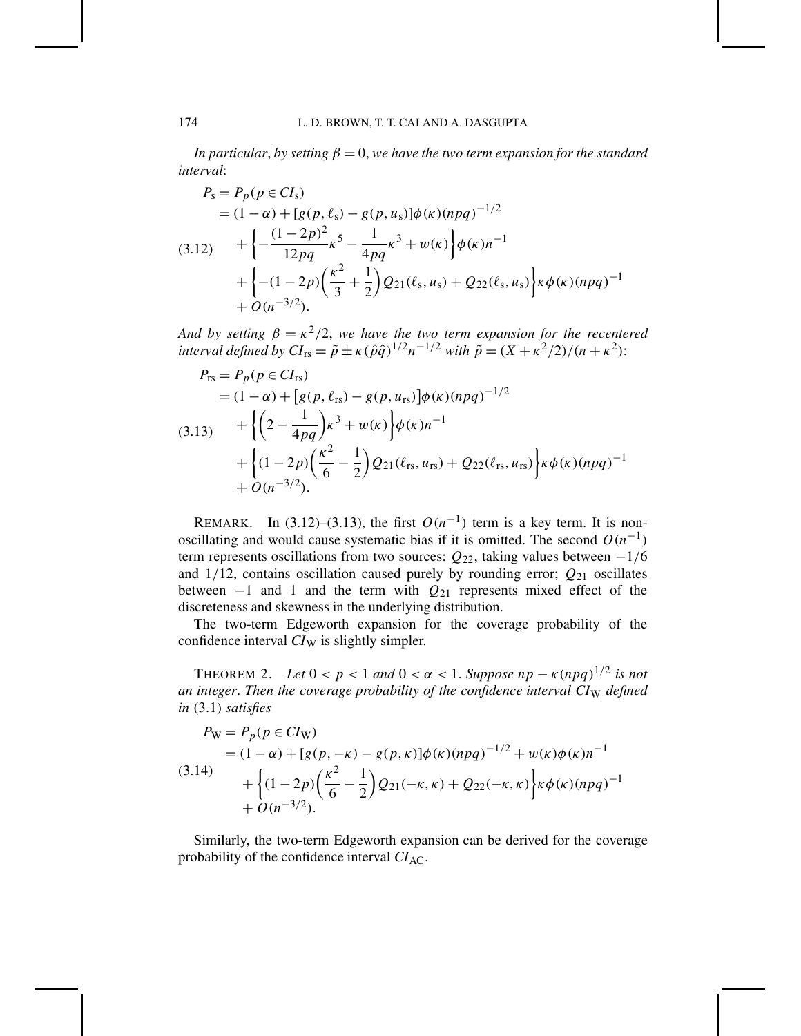*In particular, by setting*  $\beta = 0$ *, we have the two term expansion for the standard interval*:

$$
P_s = P_p(p \in CI_s)
$$
  
= (1 - \alpha) + [g(p, \ell\_s) - g(p, u\_s)]\phi(\kappa)(npq)^{-1/2}  
+ \left\{-\frac{(1 - 2p)^2}{12pq}\kappa^5 - \frac{1}{4pq}\kappa^3 + w(\kappa)\right\}\phi(\kappa)n^{-1}  
+ \left\{-(1 - 2p)\left(\frac{\kappa^2}{3} + \frac{1}{2}\right)Q\_{21}(\ell\_s, u\_s) + Q\_{22}(\ell\_s, u\_s)\right\}\kappa\phi(\kappa)(npq)^{-1}  
+ O(n^{-3/2}).

*And by setting*  $\beta = \kappa^2/2$ , we have the two term expansion for the recentered *interval defined by*  $CI_{rs} = \tilde{p} \pm \kappa (\hat{p}\hat{q})^{1/2} n^{-1/2}$  *<i>with*  $\tilde{p} = (X + \kappa^2/2)/(n + \kappa^2)$ :

$$
P_{rs} = P_p(p \in CI_{rs})
$$
  
= (1 - \alpha) + [g(p, \ell\_{rs}) - g(p, u\_{rs})] \phi(\kappa) (npq)^{-1/2}  
+ { (2 - \frac{1}{4pq}) \kappa^3 + w(\kappa) \phi(\kappa) n^{-1}  
+ { (1 - 2p) (\frac{\kappa^2}{6} - \frac{1}{2}) Q\_{21}(\ell\_{rs}, u\_{rs}) + Q\_{22}(\ell\_{rs}, u\_{rs}) \kappa \phi(\kappa) (npq)^{-1}  
+ O(n^{-3/2}).

REMARK. In (3.12)–(3.13), the first  $O(n^{-1})$  term is a key term. It is nonoscillating and would cause systematic bias if it is omitted. The second  $O(n^{-1})$ term represents oscillations from two sources: *Q*22, taking values between −1*/*6 and 1*/*12, contains oscillation caused purely by rounding error; *Q*<sup>21</sup> oscillates between −1 and 1 and the term with *Q*<sup>21</sup> represents mixed effect of the discreteness and skewness in the underlying distribution.

The two-term Edgeworth expansion for the coverage probability of the confidence interval  $Cl_W$  is slightly simpler.

THEOREM 2. Let  $0 < p < 1$  and  $0 < \alpha < 1$ . Suppose  $np - \kappa (npq)^{1/2}$  is not *an integer*. *Then the coverage probability of the confidence interval CI*<sup>W</sup> *defined in (*3*.*1*) satisfies*

$$
P_{\mathbf{W}} = P_p(p \in CI_{\mathbf{W}})
$$
  
= (1 - \alpha) + [g(p, -\kappa) - g(p, \kappa)]\phi(\kappa)(npq)^{-1/2} + w(\kappa)\phi(\kappa)n^{-1}  
+ \left\{(1 - 2p)\left(\frac{\kappa^2}{6} - \frac{1}{2}\right)Q\_{21}(-\kappa, \kappa) + Q\_{22}(-\kappa, \kappa)\right\}\kappa\phi(\kappa)(npq)^{-1}  
+ O(n^{-3/2}).

Similarly, the two-term Edgeworth expansion can be derived for the coverage probability of the confidence interval  $CI<sub>AC</sub>$ .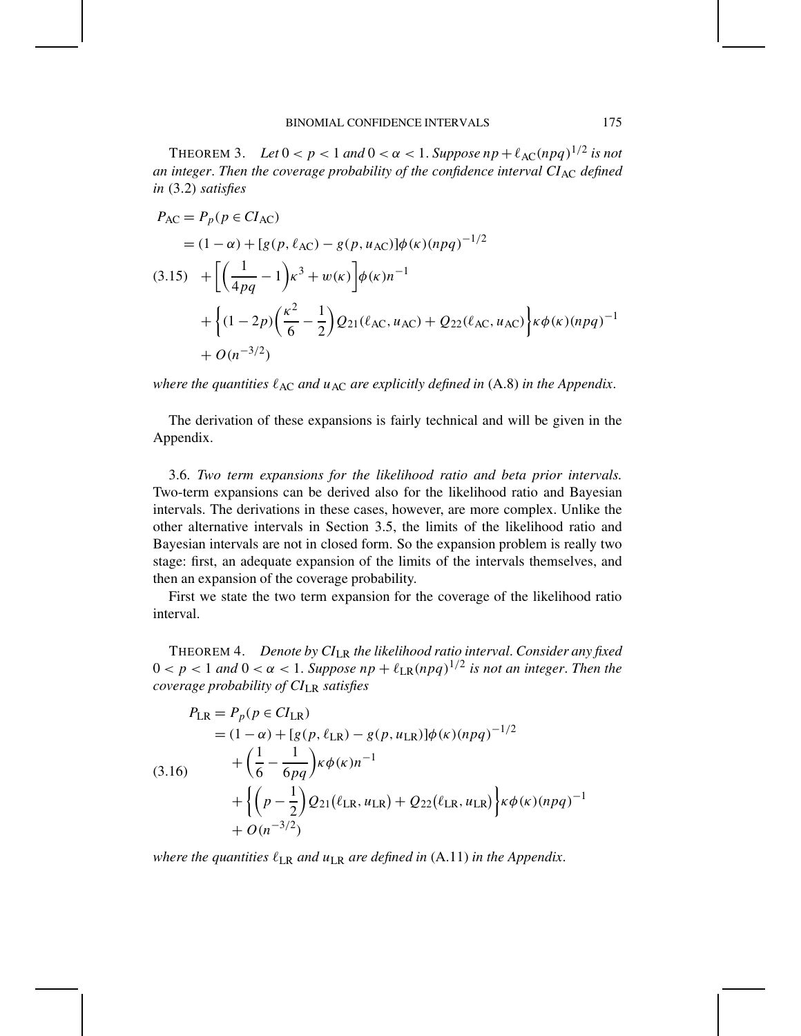THEOREM 3. Let  $0 < p < 1$  and  $0 < \alpha < 1$ . Suppose  $np + \ell_{AC}(npq)^{1/2}$  is not *an integer*. *Then the coverage probability of the confidence interval CI*AC *defined in (*3*.*2*) satisfies*

$$
P_{AC} = P_p(p \in CI_{AC})
$$
  
= (1 - \alpha) + [g(p, \ell\_{AC}) - g(p, u\_{AC})] \phi(\kappa) (npq)^{-1/2}  
(3.15) + 
$$
\left[ \left( \frac{1}{4pq} - 1 \right) \kappa^3 + w(\kappa) \right] \phi(\kappa) n^{-1}
$$

$$
+ \left\{ (1 - 2p) \left( \frac{\kappa^2}{6} - \frac{1}{2} \right) Q_{21}(\ell_{AC}, u_{AC}) + Q_{22}(\ell_{AC}, u_{AC}) \right\} \kappa \phi(\kappa) (npq)^{-1}
$$

$$
+ O(n^{-3/2})
$$

*where the quantities*  $\ell_{AC}$  *and*  $u_{AC}$  *are explicitly defined in* (A.8) *in the Appendix.* 

The derivation of these expansions is fairly technical and will be given in the Appendix.

3.6. *Two term expansions for the likelihood ratio and beta prior intervals.* Two-term expansions can be derived also for the likelihood ratio and Bayesian intervals. The derivations in these cases, however, are more complex. Unlike the other alternative intervals in Section 3.5, the limits of the likelihood ratio and Bayesian intervals are not in closed form. So the expansion problem is really two stage: first, an adequate expansion of the limits of the intervals themselves, and then an expansion of the coverage probability.

First we state the two term expansion for the coverage of the likelihood ratio interval.

THEOREM 4. *Denote by CI*LR *the likelihood ratio interval*. *Consider any fixed*  $0 < p < 1$  and  $0 < \alpha < 1$ . Suppose  $np + \ell_{LR}(npq)^{1/2}$  is not an integer. Then the *coverage probability of CI*LR *satisfies*

$$
P_{LR} = P_p(p \in CI_{LR})
$$
  
= (1 - \alpha) + [g(p, \ell\_{LR}) - g(p, u\_{LR})] \phi(\kappa) (npq)^{-1/2}  
+  $\left(\frac{1}{6} - \frac{1}{6pq}\right) \kappa \phi(\kappa) n^{-1}$   
+  $\left\{\left(p - \frac{1}{2}\right) Q_{21}(\ell_{LR}, u_{LR}) + Q_{22}(\ell_{LR}, u_{LR})\right\} \kappa \phi(\kappa) (npq)^{-1}$   
+  $O(n^{-3/2})$ 

*where the quantities*  $\ell_{LR}$  *and*  $u_{LR}$  *are defined in* (A.11) *in the Appendix.*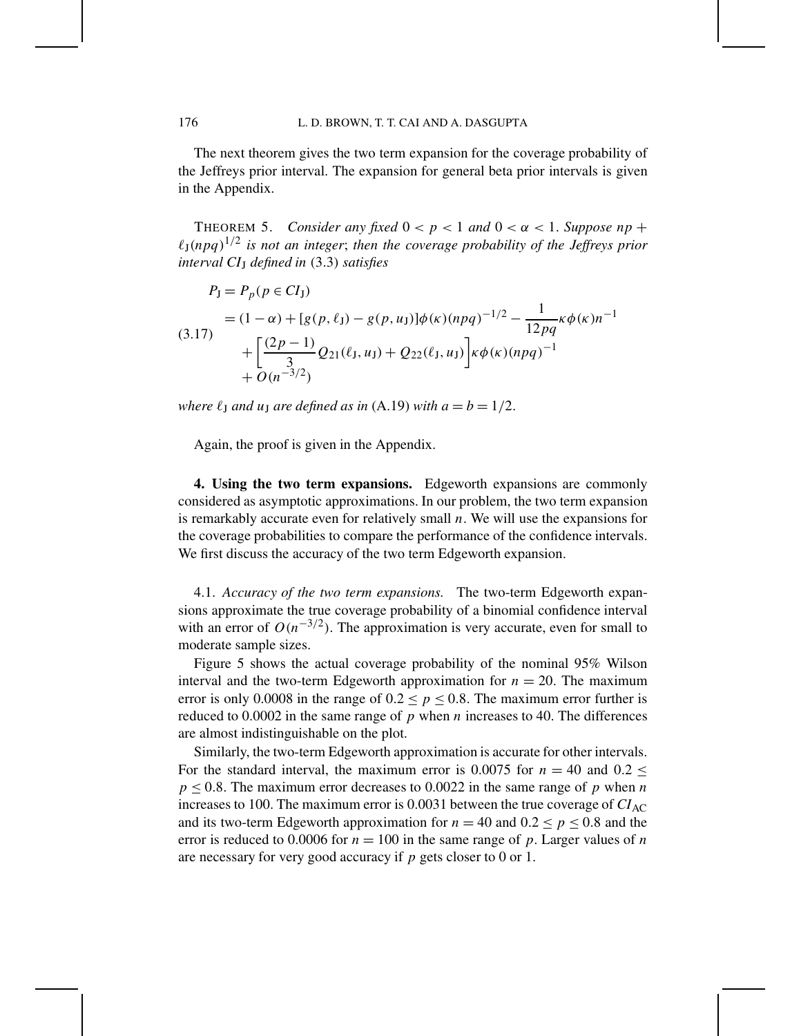The next theorem gives the two term expansion for the coverage probability of the Jeffreys prior interval. The expansion for general beta prior intervals is given in the Appendix.

THEOREM 5. *Consider any fixed*  $0 < p < 1$  *and*  $0 < \alpha < 1$ *. Suppose np* +  $\ell_J(npq)^{1/2}$  *is not an integer; then the coverage probability of the Jeffreys prior interval CI*<sup>J</sup> *defined in (*3*.*3*) satisfies*

$$
P_J = P_p(p \in CI_J)
$$
  
= (1 - \alpha) + [g(p, \ell\_J) - g(p, u\_J)]\phi(\kappa)(npq)^{-1/2} - \frac{1}{12pq}\kappa\phi(\kappa)n^{-1}  
+ \left[\frac{(2p - 1)}{3}Q\_{21}(\ell\_J, u\_J) + Q\_{22}(\ell\_J, u\_J)\right]\kappa\phi(\kappa)(npq)^{-1}  
+ O(n^{-3/2})

*where*  $\ell_{\rm J}$  *and*  $\mu_{\rm J}$  *are defined as in* (A.19) *with*  $a = b = 1/2$ .

Again, the proof is given in the Appendix.

**4. Using the two term expansions.** Edgeworth expansions are commonly considered as asymptotic approximations. In our problem, the two term expansion is remarkably accurate even for relatively small *n*. We will use the expansions for the coverage probabilities to compare the performance of the confidence intervals. We first discuss the accuracy of the two term Edgeworth expansion.

4.1. *Accuracy of the two term expansions.* The two-term Edgeworth expansions approximate the true coverage probability of a binomial confidence interval with an error of  $O(n^{-3/2})$ . The approximation is very accurate, even for small to moderate sample sizes.

Figure 5 shows the actual coverage probability of the nominal 95% Wilson interval and the two-term Edgeworth approximation for  $n = 20$ . The maximum error is only 0.0008 in the range of  $0.2 < p < 0.8$ . The maximum error further is reduced to 0.0002 in the same range of *p* when *n* increases to 40. The differences are almost indistinguishable on the plot.

Similarly, the two-term Edgeworth approximation is accurate for other intervals. For the standard interval, the maximum error is 0.0075 for  $n = 40$  and  $0.2 \le$  $p \le 0.8$ . The maximum error decreases to 0.0022 in the same range of p when *n* increases to 100. The maximum error is 0.0031 between the true coverage of  $CI_{AC}$ and its two-term Edgeworth approximation for  $n = 40$  and  $0.2 < p < 0.8$  and the error is reduced to 0.0006 for  $n = 100$  in the same range of  $p$ . Larger values of  $n$ are necessary for very good accuracy if *p* gets closer to 0 or 1.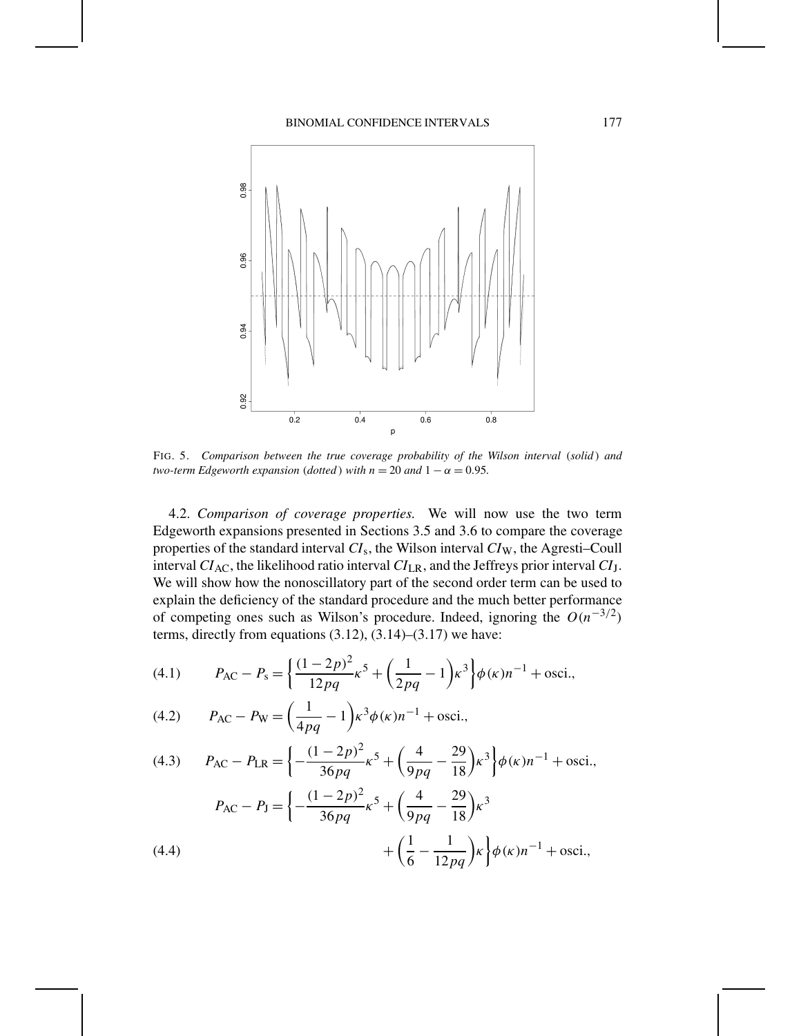

FIG. 5. *Comparison between the true coverage probability of the Wilson interval (solid ) and two-term Edgeworth expansion* (*dotted*) *with*  $n = 20$  *and*  $1 - \alpha = 0.95$ .

4.2. *Comparison of coverage properties.* We will now use the two term Edgeworth expansions presented in Sections 3.5 and 3.6 to compare the coverage properties of the standard interval  $CI_s$ , the Wilson interval  $CI_w$ , the Agresti–Coull interval  $CI_{AC}$ , the likelihood ratio interval  $CI_{LR}$ , and the Jeffreys prior interval  $CI_{J}$ . We will show how the nonoscillatory part of the second order term can be used to explain the deficiency of the standard procedure and the much better performance of competing ones such as Wilson's procedure. Indeed, ignoring the  $O(n^{-3/2})$ terms, directly from equations  $(3.12)$ ,  $(3.14)$ – $(3.17)$  we have:

(4.1) 
$$
P_{AC} - P_s = \left\{ \frac{(1 - 2p)^2}{12pq} \kappa^5 + \left( \frac{1}{2pq} - 1 \right) \kappa^3 \right\} \phi(\kappa) n^{-1} + \text{osci.},
$$

(4.2) 
$$
P_{AC} - P_W = \left(\frac{1}{4pq} - 1\right) \kappa^3 \phi(\kappa) n^{-1} + \text{osci.},
$$

(4.3) 
$$
P_{AC} - P_{LR} = \left\{ -\frac{(1-2p)^2}{36pq} \kappa^5 + \left(\frac{4}{9pq} - \frac{29}{18}\right) \kappa^3 \right\} \phi(\kappa) n^{-1} + \text{osci.},
$$

$$
P_{AC} - P_{J} = \left\{ -\frac{(1-2p)^2}{36pq} \kappa^5 + \left(\frac{4}{9pq} - \frac{29}{18}\right) \kappa^3 \right\}
$$

(4.4) 
$$
+\left(\frac{1}{6}-\frac{1}{12pq}\right)\kappa\left\{\phi(\kappa)n^{-1}+\text{osci.},\right\}
$$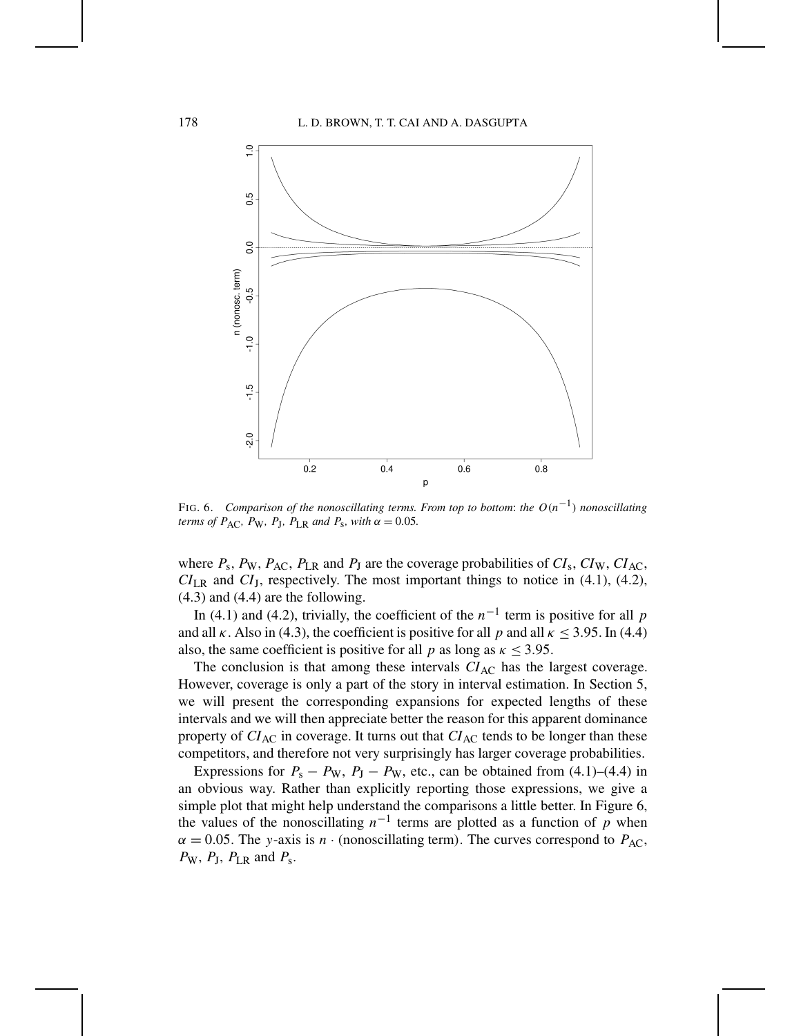

FIG. 6. *Comparison of the nonoscillating terms. From top to bottom: the*  $O(n^{-1})$  *nonoscillating terms of*  $P_{AC}$ *,*  $P_{W}$ *,*  $P_{J}$ *,*  $P_{LR}$  *and*  $P_{s}$ *, with*  $\alpha = 0.05$ *.* 

where  $P_s$ ,  $P_W$ ,  $P_{AC}$ ,  $P_{LR}$  and  $P_J$  are the coverage probabilities of  $CI_s$ ,  $CI_W$ ,  $CI_{AC}$ , *CI*LR and *CI*J, respectively. The most important things to notice in (4.1), (4.2), (4.3) and (4.4) are the following.

In (4.1) and (4.2), trivially, the coefficient of the  $n^{-1}$  term is positive for all *p* and all *κ*. Also in (4.3), the coefficient is positive for all *p* and all  $\kappa \le 3.95$ . In (4.4) also, the same coefficient is positive for all *p* as long as  $\kappa \leq 3.95$ .

The conclusion is that among these intervals  $CI_{AC}$  has the largest coverage. However, coverage is only a part of the story in interval estimation. In Section 5, we will present the corresponding expansions for expected lengths of these intervals and we will then appreciate better the reason for this apparent dominance property of  $CI_{AC}$  in coverage. It turns out that  $CI_{AC}$  tends to be longer than these competitors, and therefore not very surprisingly has larger coverage probabilities.

Expressions for  $P_s - P_W$ ,  $P_J - P_W$ , etc., can be obtained from (4.1)–(4.4) in an obvious way. Rather than explicitly reporting those expressions, we give a simple plot that might help understand the comparisons a little better. In Figure 6, the values of the nonoscillating  $n^{-1}$  terms are plotted as a function of *p* when  $\alpha = 0.05$ . The *y*-axis is *n* · (nonoscillating term). The curves correspond to *P*<sub>AC</sub>, *P*W, *P*J, *P*LR and *P*s.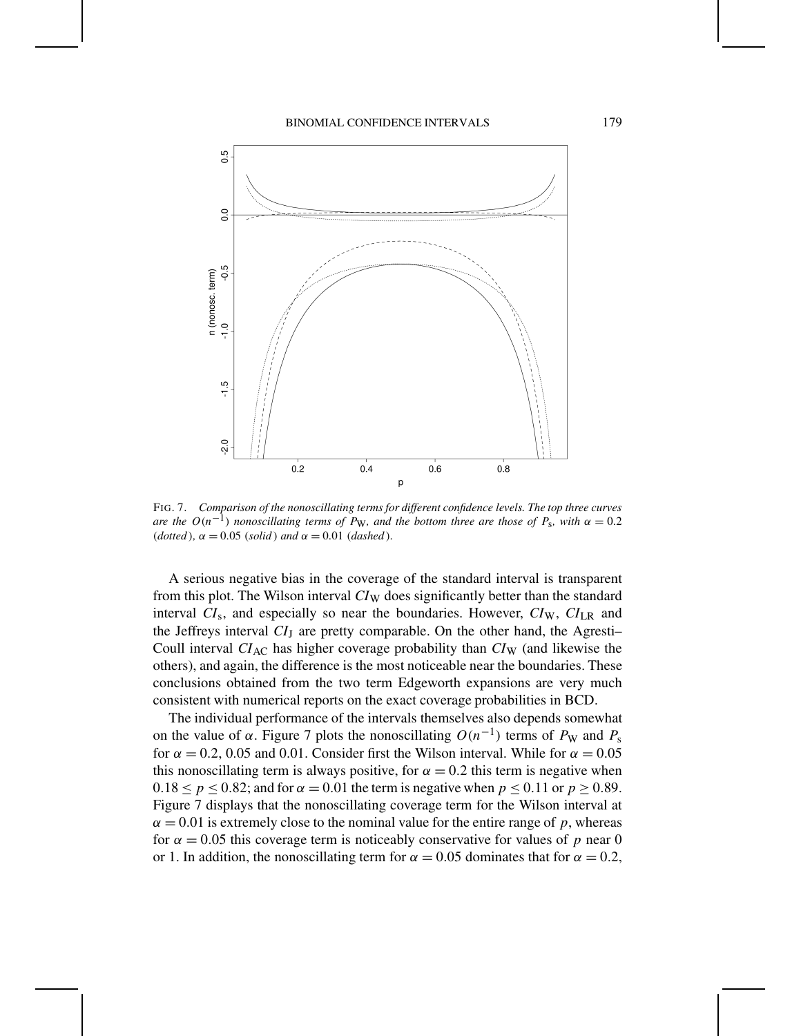

FIG. 7. *Comparison of the nonoscillating terms for different confidence levels. The top three curves are the*  $O(n^{-1})$  *nonoscillating terms of*  $P_W$ *, and the bottom three are those of*  $P_s$ *, with*  $\alpha = 0.2$  $(\text{dotted})$ ,  $\alpha = 0.05$   $(\text{solid})$  *and*  $\alpha = 0.01$   $(\text{dashed})$ *.* 

A serious negative bias in the coverage of the standard interval is transparent from this plot. The Wilson interval  $Cl_W$  does significantly better than the standard interval  $CI_s$ , and especially so near the boundaries. However,  $CI_w$ ,  $CI_{LR}$  and the Jeffreys interval *CI*<sup>J</sup> are pretty comparable. On the other hand, the Agresti– Coull interval *CI*<sub>AC</sub> has higher coverage probability than *CI*<sub>W</sub> (and likewise the others), and again, the difference is the most noticeable near the boundaries. These conclusions obtained from the two term Edgeworth expansions are very much consistent with numerical reports on the exact coverage probabilities in BCD.

The individual performance of the intervals themselves also depends somewhat on the value of  $\alpha$ . Figure 7 plots the nonoscillating  $O(n^{-1})$  terms of  $P_W$  and  $P_s$ for  $\alpha = 0.2, 0.05$  and 0.01. Consider first the Wilson interval. While for  $\alpha = 0.05$ this nonoscillating term is always positive, for  $\alpha = 0.2$  this term is negative when  $0.18 \le p \le 0.82$ ; and for  $\alpha = 0.01$  the term is negative when  $p \le 0.11$  or  $p \ge 0.89$ . Figure 7 displays that the nonoscillating coverage term for the Wilson interval at  $\alpha = 0.01$  is extremely close to the nominal value for the entire range of *p*, whereas for  $\alpha = 0.05$  this coverage term is noticeably conservative for values of *p* near 0 or 1. In addition, the nonoscillating term for  $\alpha = 0.05$  dominates that for  $\alpha = 0.2$ ,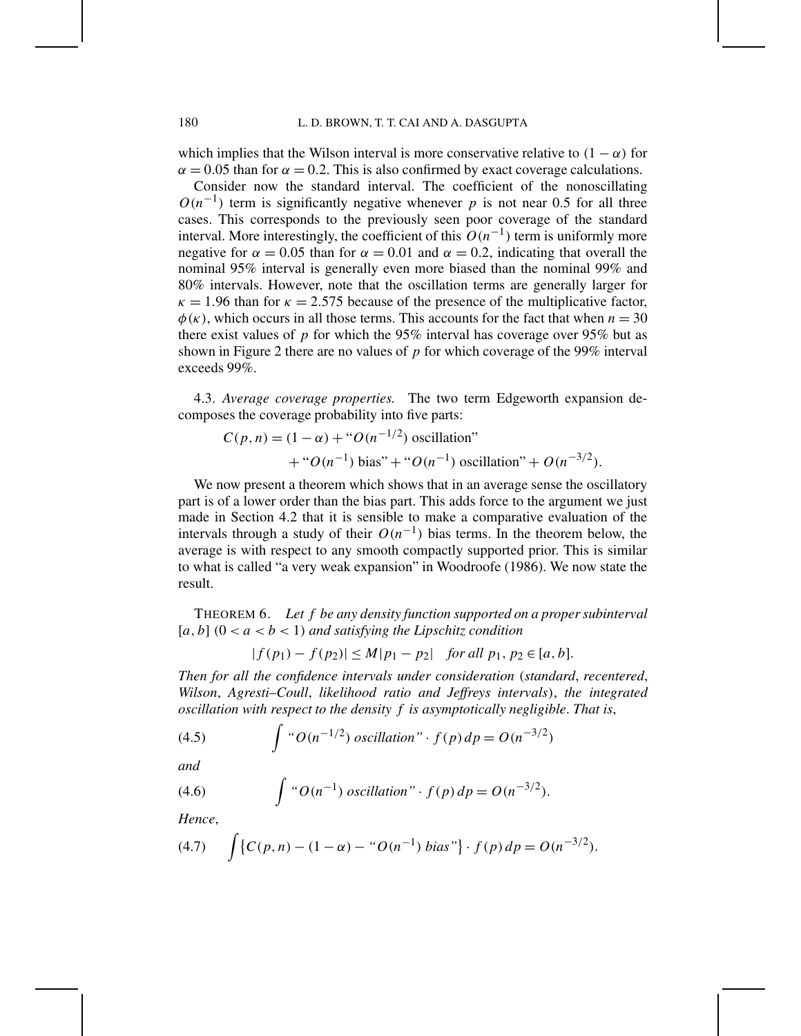which implies that the Wilson interval is more conservative relative to  $(1 - \alpha)$  for  $\alpha = 0.05$  than for  $\alpha = 0.2$ . This is also confirmed by exact coverage calculations.

Consider now the standard interval. The coefficient of the nonoscillating  $O(n^{-1})$  term is significantly negative whenever *p* is not near 0.5 for all three cases. This corresponds to the previously seen poor coverage of the standard interval. More interestingly, the coefficient of this  $O(n^{-1})$  term is uniformly more negative for  $\alpha = 0.05$  than for  $\alpha = 0.01$  and  $\alpha = 0.2$ , indicating that overall the nominal 95% interval is generally even more biased than the nominal 99% and 80% intervals. However, note that the oscillation terms are generally larger for  $\kappa = 1.96$  than for  $\kappa = 2.575$  because of the presence of the multiplicative factor,  $\phi(\kappa)$ , which occurs in all those terms. This accounts for the fact that when  $n = 30$ there exist values of *p* for which the 95% interval has coverage over 95% but as shown in Figure 2 there are no values of *p* for which coverage of the 99% interval exceeds 99%.

4.3. *Average coverage properties.* The two term Edgeworth expansion decomposes the coverage probability into five parts:

$$
C(p, n) = (1 - \alpha) + {^{\alpha}O(n^{-1/2})}
$$
 oscillation"  
+  ${^{\alpha}O(n^{-1})}$  bias" +  ${^{\alpha}O(n^{-1})}$  oscillation" +  $O(n^{-3/2})$ .

We now present a theorem which shows that in an average sense the oscillatory part is of a lower order than the bias part. This adds force to the argument we just made in Section 4.2 that it is sensible to make a comparative evaluation of the intervals through a study of their  $O(n^{-1})$  bias terms. In the theorem below, the average is with respect to any smooth compactly supported prior. This is similar to what is called "a very weak expansion" in Woodroofe (1986). We now state the result.

THEOREM 6. *Let f be any density function supported on a proper subinterval* [ $a, b$ ]  $(0 < a < b < 1)$  *and satisfying the Lipschitz condition* 

$$
|f(p_1) - f(p_2)| \le M|p_1 - p_2| \quad for all p_1, p_2 \in [a, b].
$$

*Then for all the confidence intervals under consideration (standard*, *recentered*, *Wilson*, *Agresti–Coull*, *likelihood ratio and Jeffreys intervals)*, *the integrated oscillation with respect to the density f is asymptotically negligible*. *That is*,

(4.5) 
$$
\int {}^{u}O(n^{-1/2}) \, \text{oscillation''} \cdot f(p) \, dp = O(n^{-3/2})
$$

*and*

(4.6) 
$$
\int {}^{u}O(n^{-1}) \, \text{oscillation''} \cdot f(p) \, dp = O(n^{-3/2}).
$$

*Hence*,

(4.7) 
$$
\int \{C(p,n) - (1-\alpha) - {^{u}O(n^{-1})} bias'' \} \cdot f(p) dp = O(n^{-3/2}).
$$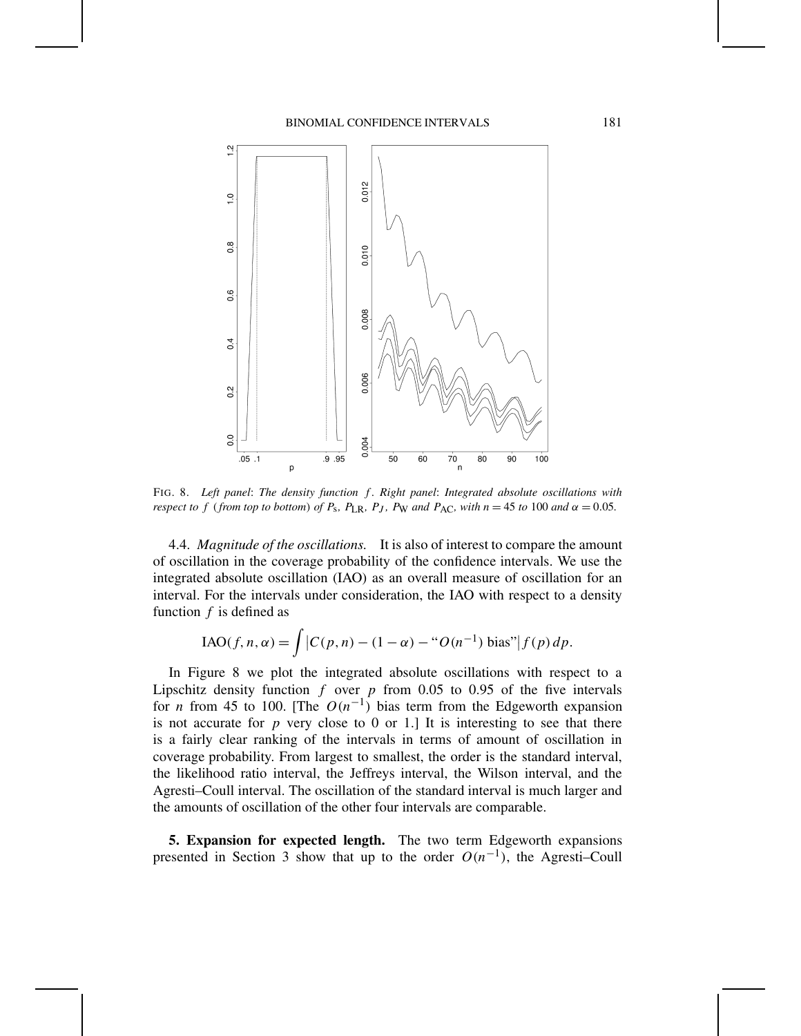

FIG. 8. *Left panel*: *The density function f . Right panel*: *Integrated absolute oscillations with* respect to f (from top to bottom) of  $P_s$ ,  $P_{LR}$ ,  $P_J$ ,  $P_W$  and  $P_{AC}$ , with  $n = 45$  to 100 and  $\alpha = 0.05$ .

4.4. *Magnitude of the oscillations.* It is also of interest to compare the amount of oscillation in the coverage probability of the confidence intervals. We use the integrated absolute oscillation (IAO) as an overall measure of oscillation for an interval. For the intervals under consideration, the IAO with respect to a density function *f* is defined as

$$
IAO(f, n, \alpha) = \int |C(p, n) - (1 - \alpha) - "O(n^{-1}) bias"] f(p) dp.
$$

In Figure 8 we plot the integrated absolute oscillations with respect to a Lipschitz density function  $f$  over  $p$  from 0.05 to 0.95 of the five intervals for *n* from 45 to 100. [The  $O(n^{-1})$  bias term from the Edgeworth expansion is not accurate for  $p$  very close to 0 or 1.] It is interesting to see that there is a fairly clear ranking of the intervals in terms of amount of oscillation in coverage probability. From largest to smallest, the order is the standard interval, the likelihood ratio interval, the Jeffreys interval, the Wilson interval, and the Agresti–Coull interval. The oscillation of the standard interval is much larger and the amounts of oscillation of the other four intervals are comparable.

**5. Expansion for expected length.** The two term Edgeworth expansions presented in Section 3 show that up to the order  $O(n^{-1})$ , the Agresti–Coull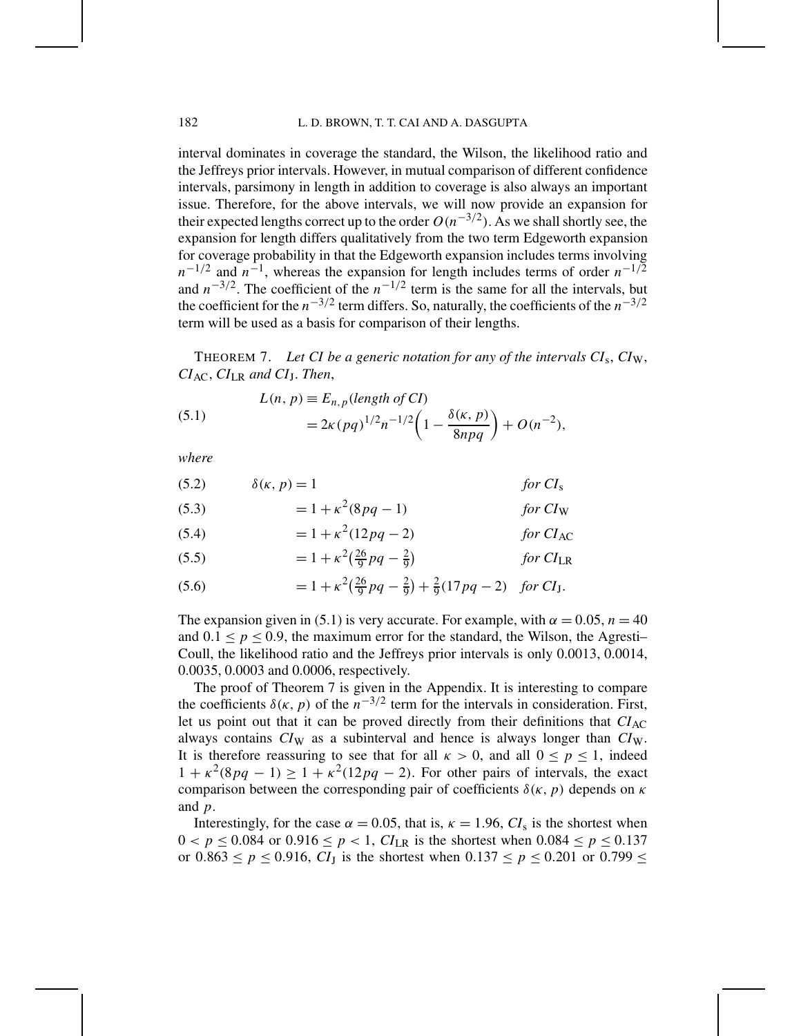interval dominates in coverage the standard, the Wilson, the likelihood ratio and the Jeffreys prior intervals. However, in mutual comparison of different confidence intervals, parsimony in length in addition to coverage is also always an important issue. Therefore, for the above intervals, we will now provide an expansion for their expected lengths correct up to the order  $O(n^{-3/2})$ . As we shall shortly see, the expansion for length differs qualitatively from the two term Edgeworth expansion for coverage probability in that the Edgeworth expansion includes terms involving *n*<sup>−1</sup>/<sup>2</sup> and *n*<sup>−1</sup>, whereas the expansion for length includes terms of order *n*<sup>−1</sup>/<sup>2</sup> and  $n^{-3/2}$ . The coefficient of the  $n^{-1/2}$  term is the same for all the intervals, but the coefficient for the  $n^{-3/2}$  term differs. So, naturally, the coefficients of the  $n^{-3/2}$ term will be used as a basis for comparison of their lengths.

THEOREM 7. *Let CI be a generic notation for any of the intervals CI*s, *CI*W, *CI*AC, *CI*LR *and CI*J. *Then*,

(5.1) 
$$
L(n, p) = E_{n,p}(\text{length of } CI) \\
= 2\kappa (pq)^{1/2} n^{-1/2} \left(1 - \frac{\delta(\kappa, p)}{8npq}\right) + O(n^{-2}),
$$

*where*

$$
(5.2) \t\t \delta(\kappa, p) = 1 \t\t \text{for } Cl_s
$$

$$
(5.3) \qquad \qquad = 1 + \kappa^2 (8pq - 1) \qquad \qquad \text{for } Cl_W
$$

(5.4) 
$$
= 1 + \kappa^2 (12pq - 2)
$$
 for  $CI_{AC}$ 

(5.5) 
$$
= 1 + \kappa^2 \left( \frac{26}{9} p q - \frac{2}{9} \right) \qquad \text{for } Cl_{LR}
$$

(5.6) 
$$
= 1 + \kappa^2 \left( \frac{26}{9} pq - \frac{2}{9} \right) + \frac{2}{9} (17 pq - 2) \text{ for } CI_J.
$$

The expansion given in (5.1) is very accurate. For example, with  $\alpha = 0.05$ ,  $n = 40$ and  $0.1 < p < 0.9$ , the maximum error for the standard, the Wilson, the Agresti-Coull, the likelihood ratio and the Jeffreys prior intervals is only 0.0013, 0.0014, 0.0035, 0.0003 and 0.0006, respectively.

The proof of Theorem 7 is given in the Appendix. It is interesting to compare the coefficients  $\delta(\kappa, p)$  of the  $n^{-3/2}$  term for the intervals in consideration. First, let us point out that it can be proved directly from their definitions that  $CI_{AC}$ always contains  $CI_W$  as a subinterval and hence is always longer than  $CI_W$ . It is therefore reassuring to see that for all  $\kappa > 0$ , and all  $0 \le p \le 1$ , indeed  $1 + \kappa^2 (8pq - 1) \geq 1 + \kappa^2 (12pq - 2)$ . For other pairs of intervals, the exact comparison between the corresponding pair of coefficients  $\delta(\kappa, p)$  depends on  $\kappa$ and *p*.

Interestingly, for the case  $\alpha = 0.05$ , that is,  $\kappa = 1.96$ ,  $CI_s$  is the shortest when  $0 < p \le 0.084$  or  $0.916 \le p < 1$ ,  $CI_{LR}$  is the shortest when  $0.084 \le p \le 0.137$ or  $0.863 \le p \le 0.916$ , *CI*<sub>J</sub> is the shortest when  $0.137 \le p \le 0.201$  or  $0.799 \le$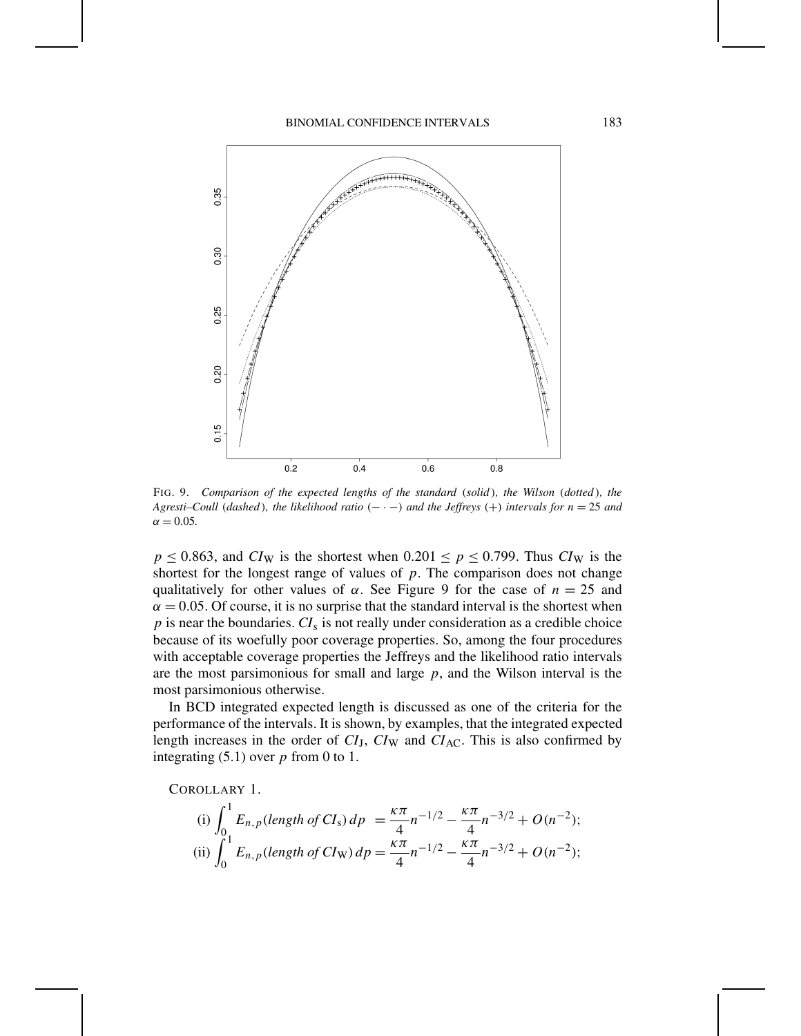

FIG. 9. *Comparison of the expected lengths of the standard (solid ), the Wilson (dotted ), the Agresti–Coull* (*dashed*), *the likelihood ratio*  $(- - )$  *and the Jeffreys*  $(+)$  *intervals for*  $n = 25$  *and*  $\alpha = 0.05$ .

 $p \le 0.863$ , and *CI*W is the shortest when  $0.201 \le p \le 0.799$ . Thus *CI*W is the shortest for the longest range of values of *p*. The comparison does not change qualitatively for other values of  $\alpha$ . See Figure 9 for the case of  $n = 25$  and  $\alpha = 0.05$ . Of course, it is no surprise that the standard interval is the shortest when  $p$  is near the boundaries.  $CI_s$  is not really under consideration as a credible choice because of its woefully poor coverage properties. So, among the four procedures with acceptable coverage properties the Jeffreys and the likelihood ratio intervals are the most parsimonious for small and large  $p$ , and the Wilson interval is the most parsimonious otherwise.

In BCD integrated expected length is discussed as one of the criteria for the performance of the intervals. It is shown, by examples, that the integrated expected length increases in the order of  $CI_J$ ,  $CI_W$  and  $CI_{AC}$ . This is also confirmed by integrating  $(5.1)$  over *p* from 0 to 1.

COROLLARY 1.

(i) 
$$
\int_0^1 E_{n,p}(\text{length of } CI_s) \, dp = \frac{\kappa \pi}{4} n^{-1/2} - \frac{\kappa \pi}{4} n^{-3/2} + O(n^{-2});
$$
\n(ii) 
$$
\int_0^1 E_{n,p}(\text{length of } CI_w) \, dp = \frac{\kappa \pi}{4} n^{-1/2} - \frac{\kappa \pi}{4} n^{-3/2} + O(n^{-2});
$$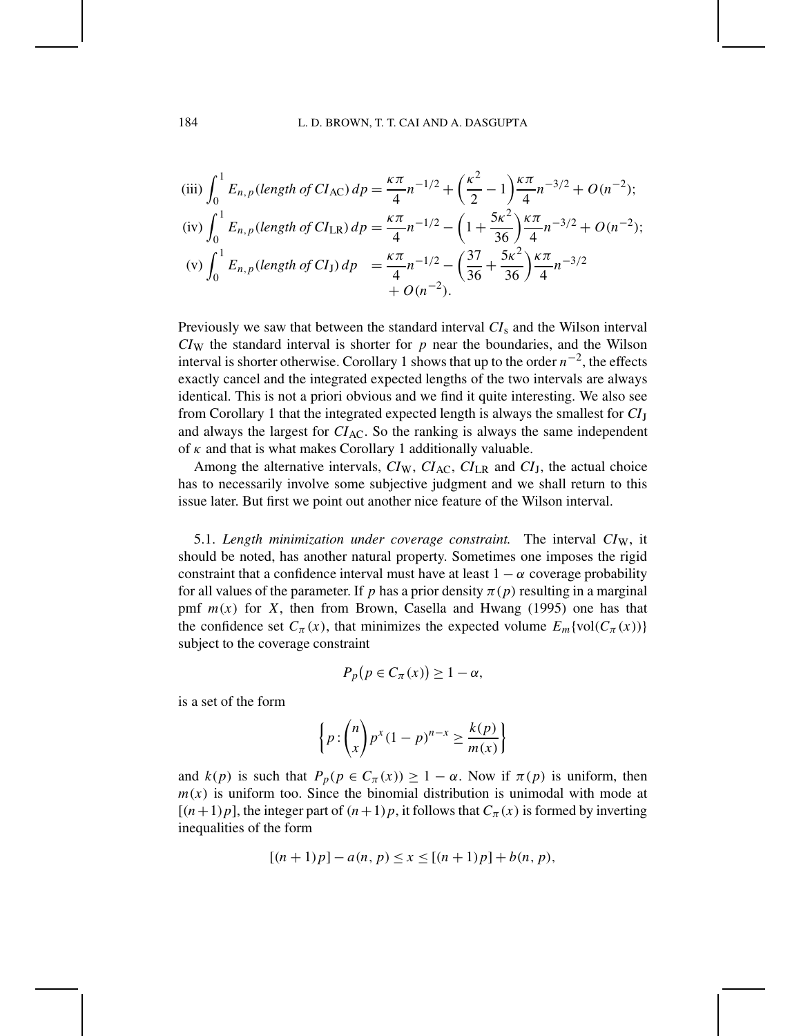(iii) 
$$
\int_0^1 E_{n,p}(\text{length of } CI_{AC}) dp = \frac{\kappa \pi}{4} n^{-1/2} + \left(\frac{\kappa^2}{2} - 1\right) \frac{\kappa \pi}{4} n^{-3/2} + O(n^{-2});
$$
  
\n(iv) 
$$
\int_0^1 E_{n,p}(\text{length of } CI_{LR}) dp = \frac{\kappa \pi}{4} n^{-1/2} - \left(1 + \frac{5\kappa^2}{36}\right) \frac{\kappa \pi}{4} n^{-3/2} + O(n^{-2});
$$
  
\n(v) 
$$
\int_0^1 E_{n,p}(\text{length of } CI_{J}) dp = \frac{\kappa \pi}{4} n^{-1/2} - \left(\frac{37}{36} + \frac{5\kappa^2}{36}\right) \frac{\kappa \pi}{4} n^{-3/2} + O(n^{-2}).
$$

Previously we saw that between the standard interval *CI*<sup>s</sup> and the Wilson interval  $Cl_W$  the standard interval is shorter for  $p$  near the boundaries, and the Wilson interval is shorter otherwise. Corollary 1 shows that up to the order *n*<sup>−</sup>2, the effects exactly cancel and the integrated expected lengths of the two intervals are always identical. This is not a priori obvious and we find it quite interesting. We also see from Corollary 1 that the integrated expected length is always the smallest for *CI*<sup>J</sup> and always the largest for  $CI_{AC}$ . So the ranking is always the same independent of *κ* and that is what makes Corollary 1 additionally valuable.

Among the alternative intervals,  $CI_{\rm W}$ ,  $CI_{\rm AC}$ ,  $CI_{\rm LR}$  and  $CI_{\rm J}$ , the actual choice has to necessarily involve some subjective judgment and we shall return to this issue later. But first we point out another nice feature of the Wilson interval.

5.1. *Length minimization under coverage constraint.* The interval *CI*W, it should be noted, has another natural property. Sometimes one imposes the rigid constraint that a confidence interval must have at least  $1 - \alpha$  coverage probability for all values of the parameter. If p has a prior density  $\pi(p)$  resulting in a marginal pmf  $m(x)$  for *X*, then from Brown, Casella and Hwang (1995) one has that the confidence set  $C_{\pi}(x)$ , that minimizes the expected volume  $E_m$ {vol $(C_{\pi}(x))$ } subject to the coverage constraint

$$
P_p(p \in C_\pi(x)) \ge 1 - \alpha,
$$

is a set of the form

$$
\left\{ p : \binom{n}{x} p^x (1-p)^{n-x} \ge \frac{k(p)}{m(x)} \right\}
$$

and  $k(p)$  is such that  $P_p(p \in C_\pi(x)) \geq 1 - \alpha$ . Now if  $\pi(p)$  is uniform, then  $m(x)$  is uniform too. Since the binomial distribution is unimodal with mode at  $[(n+1)p]$ , the integer part of  $(n+1)p$ , it follows that  $C_\pi(x)$  is formed by inverting inequalities of the form

$$
[(n+1)p] - a(n, p) \le x \le [(n+1)p] + b(n, p),
$$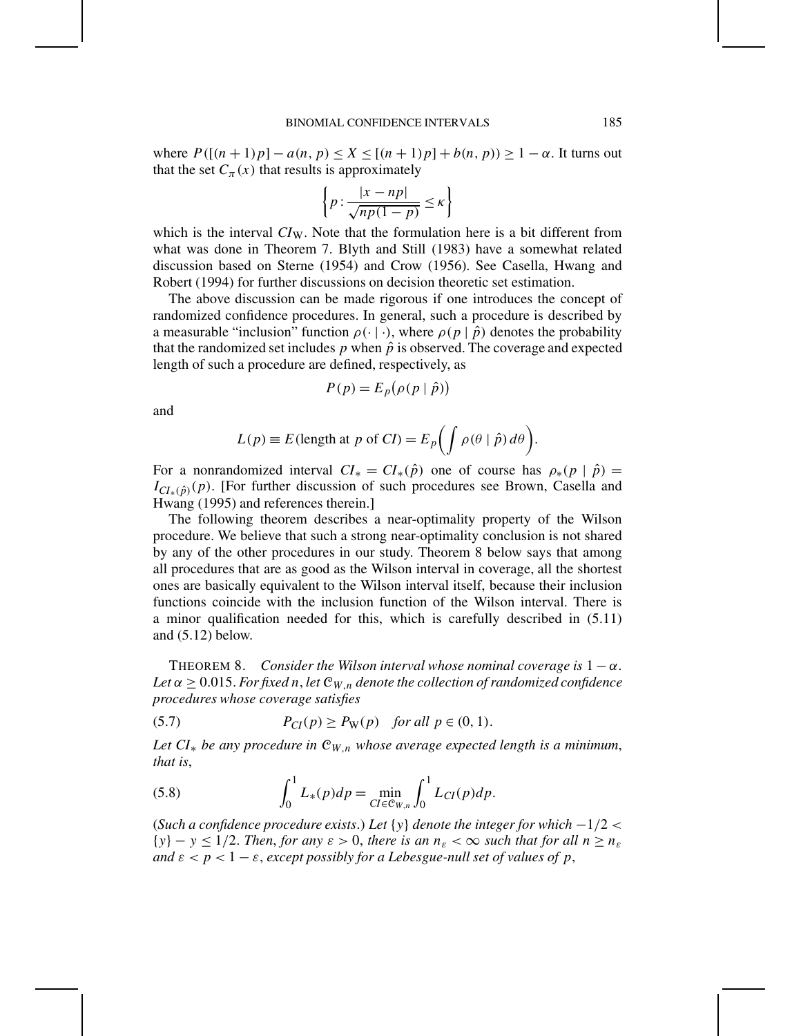where  $P([n+1)p] - a(n, p) \le X \le [(n+1)p] + b(n, p) \ge 1 - \alpha$ . It turns out that the set  $C_{\pi}(x)$  that results is approximately

$$
\left\{p : \frac{|x - np|}{\sqrt{np(1 - p)}} \le \kappa\right\}
$$

which is the interval *CI*W. Note that the formulation here is a bit different from what was done in Theorem 7. Blyth and Still (1983) have a somewhat related discussion based on Sterne (1954) and Crow (1956). See Casella, Hwang and Robert (1994) for further discussions on decision theoretic set estimation.

The above discussion can be made rigorous if one introduces the concept of randomized confidence procedures. In general, such a procedure is described by a measurable "inclusion" function  $\rho(\cdot | \cdot)$ , where  $\rho(p | \hat{p})$  denotes the probability that the randomized set includes  $p$  when  $\hat{p}$  is observed. The coverage and expected length of such a procedure are defined, respectively, as

$$
P(p) = E_p(\rho(p \mid \hat{p}))
$$

and

$$
L(p) \equiv E(\text{length at } p \text{ of } CI) = E_p \bigg( \int \rho(\theta \mid \hat{p}) d\theta \bigg).
$$

For a nonrandomized interval  $CI_* = CI_*(\hat{p})$  one of course has  $\rho_*(p | \hat{p}) =$  $I_{CI_*(\hat{p})}(p)$ . [For further discussion of such procedures see Brown, Casella and Hwang (1995) and references therein.]

The following theorem describes a near-optimality property of the Wilson procedure. We believe that such a strong near-optimality conclusion is not shared by any of the other procedures in our study. Theorem 8 below says that among all procedures that are as good as the Wilson interval in coverage, all the shortest ones are basically equivalent to the Wilson interval itself, because their inclusion functions coincide with the inclusion function of the Wilson interval. There is a minor qualification needed for this, which is carefully described in (5.11) and (5.12) below.

THEOREM 8. *Consider the Wilson interval whose nominal coverage is*  $1 - \alpha$ . *Let α* ≥ 0*.*015. *For fixed n*, *let* C*W,n denote the collection of randomized confidence procedures whose coverage satisfies*

(5.7) 
$$
P_{Cl}(p) \ge P_{W}(p) \quad \text{for all } p \in (0, 1).
$$

*Let CI*<sup>∗</sup> *be any procedure in* C*W,n whose average expected length is a minimum*, *that is*,

(5.8) 
$$
\int_0^1 L_*(p) dp = \min_{C I \in \mathcal{C}_{W,n}} \int_0^1 L_{C I}(p) dp.
$$

(*Such a confidence procedure exists*.*) Let* {*y*} *denote the integer for which* −1*/*2 *<*  ${y} - y \le 1/2$ . *Then, for any*  $\varepsilon > 0$ *, there is an*  $n_{\varepsilon} < \infty$  *such that for all*  $n \ge n_{\varepsilon}$ *and*  $\varepsilon$  <  $p$  < 1 –  $\varepsilon$ , *except possibly for a Lebesgue-null set of values of*  $p$ ,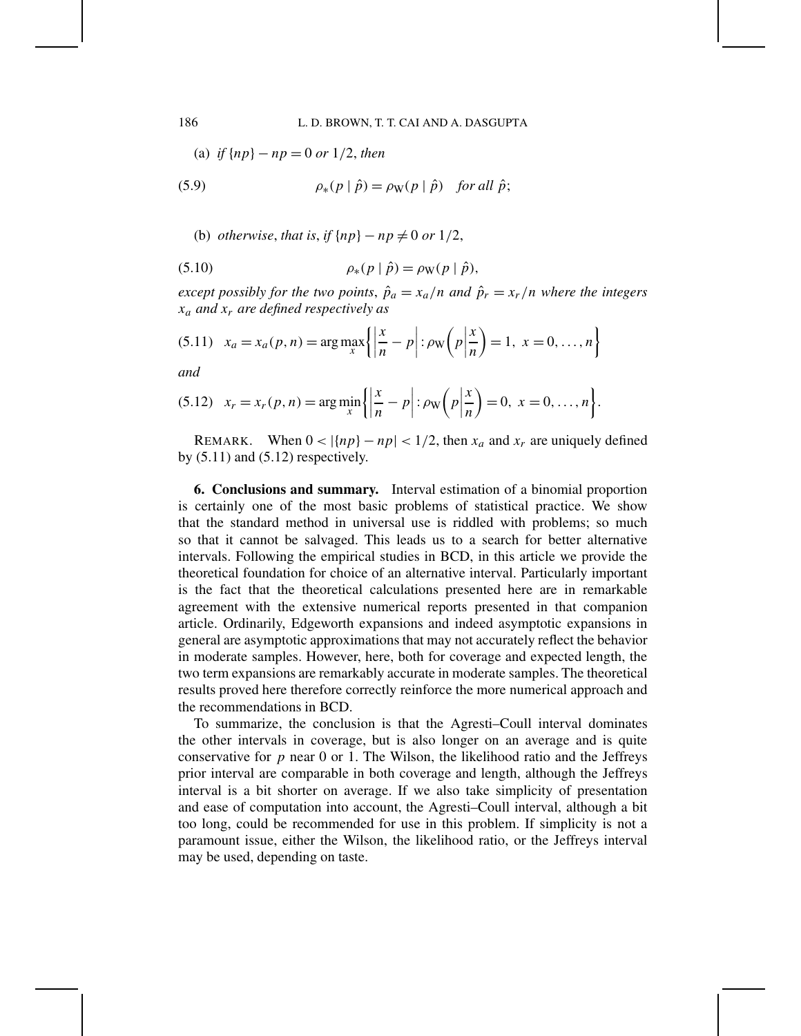(a) if 
$$
\{np\} - np = 0
$$
 or  $1/2$ , then

(5.9) 
$$
\rho_*(p | \hat{p}) = \rho_\text{W}(p | \hat{p}) \quad \text{for all } \hat{p};
$$

(b) *otherwise*, *that is*, *if*  $\{np\} - np \neq 0$  *or* 1/2,

$$
\rho_*(p \mid \hat{p}) = \rho_{\mathcal{W}}(p \mid \hat{p}),
$$

*except possibly for the two points,*  $\hat{p}_a = x_a/n$  *and*  $\hat{p}_r = x_r/n$  *where the integers xa and xr are defined respectively as*

(5.11) 
$$
x_a = x_a(p, n) = \arg \max_x \left\{ \left| \frac{x}{n} - p \right| : \rho \le (p \left| \frac{x}{n} \right) = 1, x = 0, ..., n \right\}
$$

*and*

(5.12) 
$$
x_r = x_r(p, n) = \arg \min_x \left\{ \left| \frac{x}{n} - p \right| : \rho_w \left( p \left| \frac{x}{n} \right) = 0, x = 0, ..., n \right\} \right\}.
$$

REMARK. When  $0 < |\{np\} - np| < 1/2$ , then  $x_a$  and  $x_r$  are uniquely defined by  $(5.11)$  and  $(5.12)$  respectively.

**6. Conclusions and summary.** Interval estimation of a binomial proportion is certainly one of the most basic problems of statistical practice. We show that the standard method in universal use is riddled with problems; so much so that it cannot be salvaged. This leads us to a search for better alternative intervals. Following the empirical studies in BCD, in this article we provide the theoretical foundation for choice of an alternative interval. Particularly important is the fact that the theoretical calculations presented here are in remarkable agreement with the extensive numerical reports presented in that companion article. Ordinarily, Edgeworth expansions and indeed asymptotic expansions in general are asymptotic approximations that may not accurately reflect the behavior in moderate samples. However, here, both for coverage and expected length, the two term expansions are remarkably accurate in moderate samples. The theoretical results proved here therefore correctly reinforce the more numerical approach and the recommendations in BCD.

To summarize, the conclusion is that the Agresti–Coull interval dominates the other intervals in coverage, but is also longer on an average and is quite conservative for *p* near 0 or 1. The Wilson, the likelihood ratio and the Jeffreys prior interval are comparable in both coverage and length, although the Jeffreys interval is a bit shorter on average. If we also take simplicity of presentation and ease of computation into account, the Agresti–Coull interval, although a bit too long, could be recommended for use in this problem. If simplicity is not a paramount issue, either the Wilson, the likelihood ratio, or the Jeffreys interval may be used, depending on taste.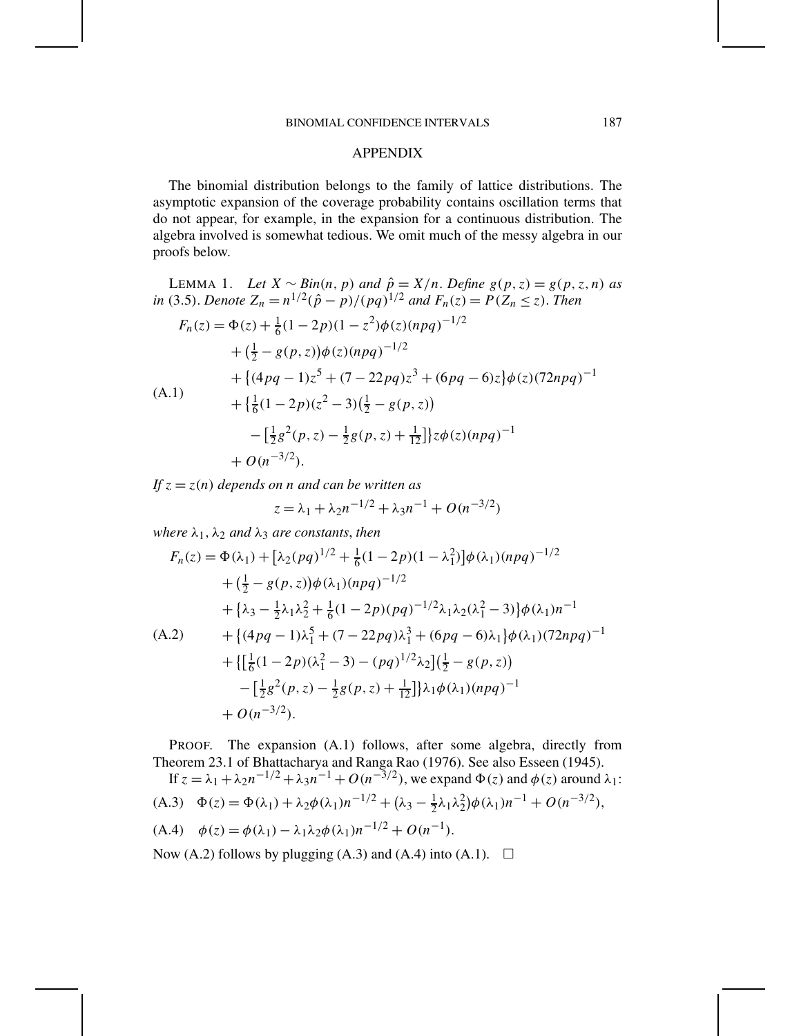# APPENDIX

The binomial distribution belongs to the family of lattice distributions. The asymptotic expansion of the coverage probability contains oscillation terms that do not appear, for example, in the expansion for a continuous distribution. The algebra involved is somewhat tedious. We omit much of the messy algebra in our proofs below.

LEMMA 1. *Let*  $X \sim Bin(n, p)$  *and*  $\hat{p} = X/n$ . *Define*  $g(p, z) = g(p, z, n)$  *as in* (3.5). *Denote*  $Z_n = n^{1/2}(\hat{p} - p)/(pq)^{1/2}$  *and*  $F_n(z) = P(Z_n \le z)$ . *Then*  $F_n(z) = \Phi(z) + \frac{1}{6}(1 - 2p)(1 - z^2)\phi(z)(npq)^{-1/2}$  $+\left(\frac{1}{2}-g(p,z)\right)\phi(z)(npq)^{-1/2}$  $+ \{(4pq-1)z^5 + (7-22pq)z^3 + (6pq-6)z\}\phi(z)(72npq)^{-1}$  $+\left\{\frac{1}{6}(1-2p)(z^2-3)(\frac{1}{2}-g(p,z))\right\}$  $-\left[\frac{1}{2}g^2(p,z)-\frac{1}{2}g(p,z)+\frac{1}{12}\right]\left[z\phi(z)(npq)^{-1}\right]$  $+ O(n^{-3/2})$ . (A.1)

*If z* = *z(n) depends on n and can be written as*

$$
z = \lambda_1 + \lambda_2 n^{-1/2} + \lambda_3 n^{-1} + O(n^{-3/2})
$$

*where*  $\lambda_1$ ,  $\lambda_2$  *and*  $\lambda_3$  *are constants, then* 

$$
F_n(z) = \Phi(\lambda_1) + [\lambda_2(pq)^{1/2} + \frac{1}{6}(1-2p)(1-\lambda_1^2)]\phi(\lambda_1)(npq)^{-1/2}
$$
  
+  $(\frac{1}{2} - g(p, z))\phi(\lambda_1)(npq)^{-1/2}$   
+  $\{\lambda_3 - \frac{1}{2}\lambda_1\lambda_2^2 + \frac{1}{6}(1-2p)(pq)^{-1/2}\lambda_1\lambda_2(\lambda_1^2 - 3)\}\phi(\lambda_1)n^{-1}$   
(A.2) +  $\{(4pq - 1)\lambda_1^5 + (7 - 22pq)\lambda_1^3 + (6pq - 6)\lambda_1\}\phi(\lambda_1)(72npq)^{-1}$   
+  $\{[\frac{1}{6}(1-2p)(\lambda_1^2 - 3) - (pq)^{1/2}\lambda_2] (\frac{1}{2} - g(p, z)) - [\frac{1}{2}g^2(p, z) - \frac{1}{2}g(p, z) + \frac{1}{12}]\}\lambda_1\phi(\lambda_1)(npq)^{-1}$   
+  $O(n^{-3/2}).$ 

PROOF. The expansion (A.1) follows, after some algebra, directly from Theorem 23.1 of Bhattacharya and Ranga Rao (1976). See also Esseen (1945).

If  $z = \lambda_1 + \lambda_2 n^{-1/2} + \lambda_3 n^{-1} + O(n^{-3/2})$ , we expand  $\Phi(z)$  and  $\phi(z)$  around  $\lambda_1$ :

(A.3) 
$$
\Phi(z) = \Phi(\lambda_1) + \lambda_2 \phi(\lambda_1) n^{-1/2} + (\lambda_3 - \frac{1}{2}\lambda_1 \lambda_2^2) \phi(\lambda_1) n^{-1} + O(n^{-3/2}),
$$

(A.4) 
$$
\phi(z) = \phi(\lambda_1) - \lambda_1 \lambda_2 \phi(\lambda_1) n^{-1/2} + O(n^{-1}).
$$

Now (A.2) follows by plugging (A.3) and (A.4) into (A.1).  $\Box$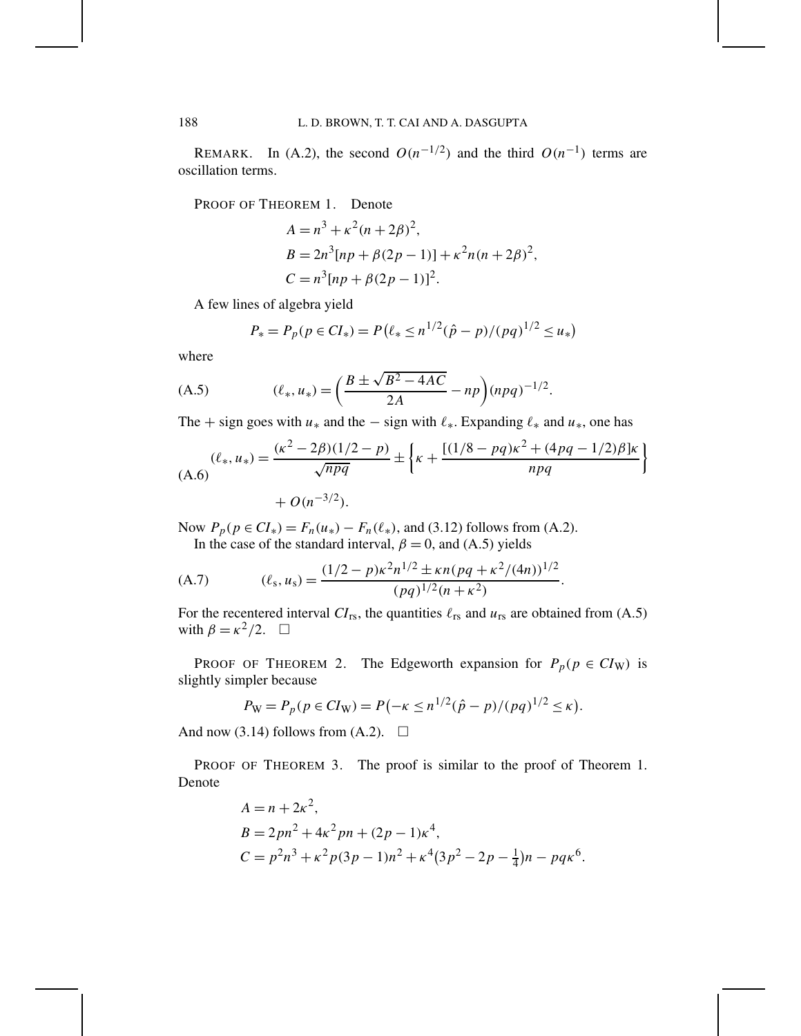REMARK. In (A.2), the second  $O(n^{-1/2})$  and the third  $O(n^{-1})$  terms are oscillation terms.

PROOF OF THEOREM 1. Denote

$$
A = n3 + \kappa2 (n + 2\beta)2,
$$
  
\n
$$
B = 2n3 [np + \beta(2p - 1)] + \kappa2 n (n + 2\beta)2,
$$
  
\n
$$
C = n3 [np + \beta(2p - 1)]2.
$$

A few lines of algebra yield

$$
P_* = P_p(p \in CI_*) = P(\ell_* \le n^{1/2}(\hat{p} - p)/(pq)^{1/2} \le u_*)
$$

where

(A.5) 
$$
(\ell_*, u_*) = \left(\frac{B \pm \sqrt{B^2 - 4AC}}{2A} - np\right) (npq)^{-1/2}.
$$

The + sign goes with  $u_*$  and the − sign with  $\ell_*$ . Expanding  $\ell_*$  and  $u_*$ , one has

$$
(A.6) \t\t(k_{*}, u_{*}) = \frac{(\kappa^{2} - 2\beta)(1/2 - p)}{\sqrt{npq}} \pm \left\{\kappa + \frac{[(1/8 - pq)\kappa^{2} + (4pq - 1/2)\beta]\kappa}{npq}\right\}
$$

$$
+ O(n^{-3/2}).
$$

Now  $P_p(p \in CI_*) = F_n(u_*) - F_n(\ell_*),$  and (3.12) follows from (A.2). In the case of the standard interval,  $\beta = 0$ , and (A.5) yields

(A.7) 
$$
(\ell_s, u_s) = \frac{(1/2 - p)\kappa^2 n^{1/2} \pm \kappa n (pq + \kappa^2/(4n))^{1/2}}{(pq)^{1/2}(n + \kappa^2)}.
$$

For the recentered interval  $CI_{rs}$ , the quantities  $\ell_{rs}$  and  $u_{rs}$  are obtained from (A.5) with  $\beta = \kappa^2/2$ .  $\Box$ 

PROOF OF THEOREM 2. The Edgeworth expansion for  $P_p(p \in CI_W)$  is slightly simpler because

$$
P_{\rm W} = P_p(p \in CI_{\rm W}) = P(-\kappa \le n^{1/2}(\hat{p} - p)/(pq)^{1/2} \le \kappa).
$$

And now (3.14) follows from (A.2).  $\Box$ 

PROOF OF THEOREM 3. The proof is similar to the proof of Theorem 1. Denote

$$
A = n + 2\kappa^{2},
$$
  
\n
$$
B = 2pn^{2} + 4\kappa^{2}pn + (2p - 1)\kappa^{4},
$$
  
\n
$$
C = p^{2}n^{3} + \kappa^{2}p(3p - 1)n^{2} + \kappa^{4}(3p^{2} - 2p - \frac{1}{4})n - pq\kappa^{6}.
$$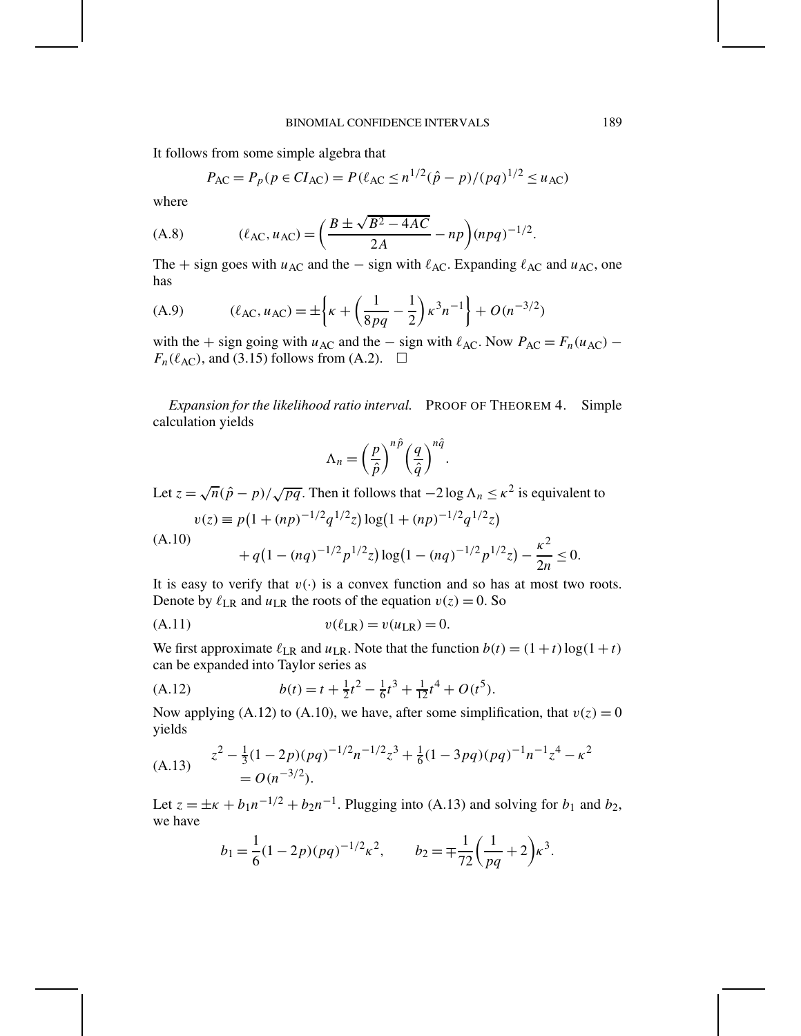It follows from some simple algebra that

$$
P_{AC} = P_p(p \in CI_{AC}) = P(\ell_{AC} \le n^{1/2}(\hat{p} - p)/(pq)^{1/2} \le u_{AC})
$$

where

(A.8) 
$$
(\ell_{AC}, u_{AC}) = \left(\frac{B \pm \sqrt{B^2 - 4AC}}{2A} - np\right) (npq)^{-1/2}.
$$

The + sign goes with *u*<sub>AC</sub> and the − sign with  $\ell_{AC}$ . Expanding  $\ell_{AC}$  and *u*<sub>AC</sub>, one has

(A.9) 
$$
(\ell_{AC}, u_{AC}) = \pm \left\{ \kappa + \left( \frac{1}{8pq} - \frac{1}{2} \right) \kappa^3 n^{-1} \right\} + O(n^{-3/2})
$$

with the + sign going with *u*<sub>AC</sub> and the − sign with  $\ell_{AC}$ . Now  $P_{AC} = F_n(u_{AC})$  −  $F_n(\ell_{AC})$ , and (3.15) follows from (A.2).  $\Box$ 

*Expansion for the likelihood ratio interval.* PROOF OF THEOREM 4. Simple calculation yields

$$
\Lambda_n = \left(\frac{p}{\hat{p}}\right)^{n\hat{p}} \left(\frac{q}{\hat{q}}\right)^{n\hat{q}}.
$$

Let  $z = \sqrt{n}(\hat{p} - p)/\sqrt{pq}$ . Then it follows that −2 log  $\Lambda_n \leq \kappa^2$  is equivalent to

$$
v(z) \equiv p(1 + (np)^{-1/2}q^{1/2}z) \log(1 + (np)^{-1/2}q^{1/2}z)
$$
  
(A.10)
$$
+ q(1 - (nq)^{-1/2}p^{1/2}z) \log(1 - (nq)^{-1/2}p^{1/2}z) - \frac{\kappa^2}{2n} \le 0.
$$

It is easy to verify that  $v(\cdot)$  is a convex function and so has at most two roots. Denote by  $\ell_{LR}$  and  $u_{LR}$  the roots of the equation  $v(z) = 0$ . So

(A.11) 
$$
v(\ell_{LR}) = v(u_{LR}) = 0.
$$

We first approximate  $\ell_{LR}$  and  $u_{LR}$ . Note that the function  $b(t) = (1 + t) \log(1 + t)$ can be expanded into Taylor series as

(A.12) 
$$
b(t) = t + \frac{1}{2}t^2 - \frac{1}{6}t^3 + \frac{1}{12}t^4 + O(t^5).
$$

Now applying (A.12) to (A.10), we have, after some simplification, that  $v(z) = 0$ yields

(A.13) 
$$
z^{2} - \frac{1}{3}(1 - 2p)(pq)^{-1/2}n^{-1/2}z^{3} + \frac{1}{6}(1 - 3pq)(pq)^{-1}n^{-1}z^{4} - \kappa^{2}
$$

$$
= O(n^{-3/2}).
$$

Let  $z = \pm \kappa + b_1 n^{-1/2} + b_2 n^{-1}$ . Plugging into (A.13) and solving for  $b_1$  and  $b_2$ , we have

$$
b_1 = \frac{1}{6}(1-2p)(pq)^{-1/2}\kappa^2
$$
,  $b_2 = \pm \frac{1}{72}(\frac{1}{pq}+2)\kappa^3$ .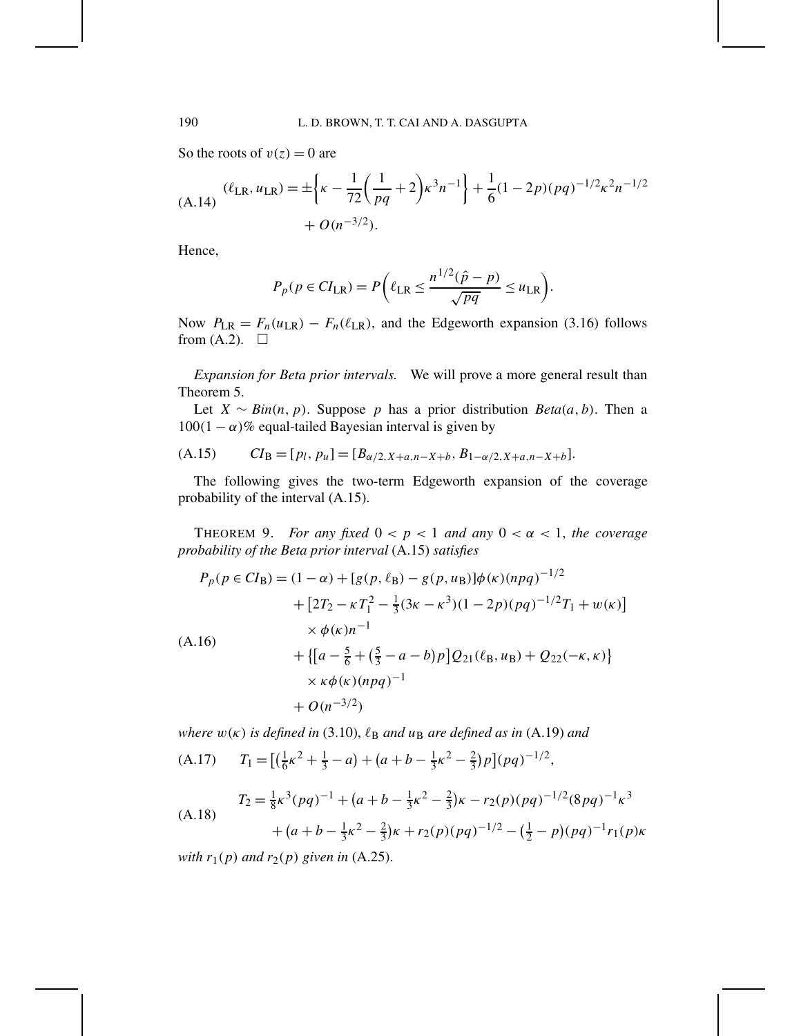So the roots of  $v(z) = 0$  are

(A.14) 
$$
\begin{aligned} (\ell_{LR}, u_{LR}) &= \pm \left\{ \kappa - \frac{1}{72} \left( \frac{1}{pq} + 2 \right) \kappa^3 n^{-1} \right\} + \frac{1}{6} (1 - 2p)(pq)^{-1/2} \kappa^2 n^{-1/2} \\ &+ O(n^{-3/2}). \end{aligned}
$$

Hence,

$$
P_p(p \in CI_{LR}) = P\left(\ell_{LR} \le \frac{n^{1/2}(\hat{p} - p)}{\sqrt{pq}} \le u_{LR}\right).
$$

Now  $P_{LR} = F_n(u_{LR}) - F_n(\ell_{LR})$ , and the Edgeworth expansion (3.16) follows from  $(A.2)$ .  $\Box$ 

*Expansion for Beta prior intervals.* We will prove a more general result than Theorem 5.

Let *X* ∼ *Bin*(*n, p*). Suppose *p* has a prior distribution *Beta*(*a, b*). Then a  $100(1 - \alpha)\%$  equal-tailed Bayesian interval is given by

(A.15) 
$$
CI_B = [p_l, p_u] = [B_{\alpha/2, X+a, n-X+b}, B_{1-\alpha/2, X+a, n-X+b}].
$$

The following gives the two-term Edgeworth expansion of the coverage probability of the interval (A.15).

THEOREM 9. *For any* fixed  $0 < p < 1$  *and any*  $0 < \alpha < 1$ *, the coverage probability of the Beta prior interval* (A.15) *satisfies*

$$
P_p(p \in CI_B) = (1 - \alpha) + [g(p, \ell_B) - g(p, u_B)]\phi(\kappa)(npq)^{-1/2} + [2T_2 - \kappa T_1^2 - \frac{1}{3}(3\kappa - \kappa^3)(1 - 2p)(pq)^{-1/2}T_1 + w(\kappa)] \times \phi(\kappa)n^{-1} + \{[a - \frac{5}{6} + (\frac{5}{3} - a - b)p]Q_{21}(\ell_B, u_B) + Q_{22}(-\kappa, \kappa) \} \times \kappa \phi(\kappa)(npq)^{-1} + O(n^{-3/2})
$$

*where*  $w(\kappa)$  *is defined in* (3.10),  $\ell_B$  *and*  $u_B$  *are defined as in* (A.19) *and* 

(A.17) 
$$
T_1 = \left[ \left( \frac{1}{6} \kappa^2 + \frac{1}{3} - a \right) + \left( a + b - \frac{1}{3} \kappa^2 - \frac{2}{3} \right) p \right] (pq)^{-1/2},
$$

$$
(A.18) \qquad T_2 = \frac{1}{8}\kappa^3(pq)^{-1} + (a+b-\frac{1}{3}\kappa^2-\frac{2}{3})\kappa - r_2(p)(pq)^{-1/2}(8pq)^{-1}\kappa^3 + (a+b-\frac{1}{3}\kappa^2-\frac{2}{3})\kappa + r_2(p)(pq)^{-1/2} - (\frac{1}{2}-p)(pq)^{-1}r_1(p)\kappa
$$

*with*  $r_1(p)$  *and*  $r_2(p)$  *given in* (A.25).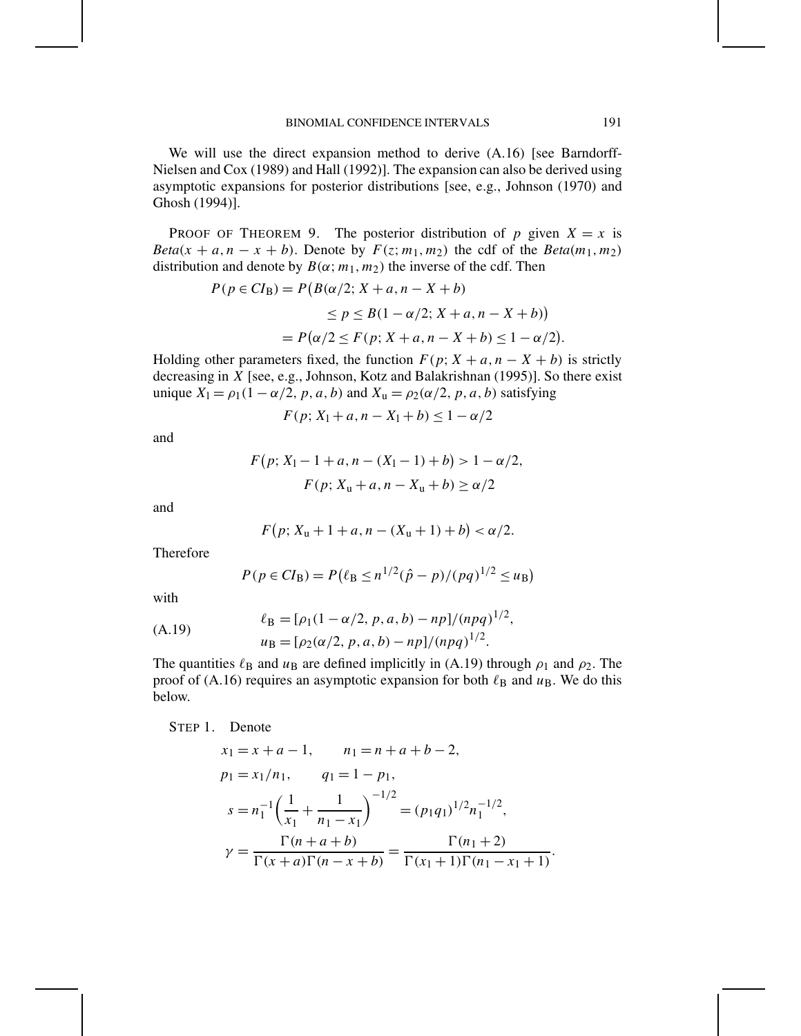We will use the direct expansion method to derive (A.16) [see Barndorff-Nielsen and Cox (1989) and Hall (1992)]. The expansion can also be derived using asymptotic expansions for posterior distributions [see, e.g., Johnson (1970) and Ghosh (1994)].

**PROOF OF THEOREM 9.** The posterior distribution of  $p$  given  $X = x$  is *Beta*( $x + a, n - x + b$ ). Denote by  $F(z; m_1, m_2)$  the cdf of the *Beta*( $m_1, m_2$ ) distribution and denote by  $B(\alpha; m_1, m_2)$  the inverse of the cdf. Then

$$
P(p \in CI_B) = P(B(\alpha/2; X + a, n - X + b) \\
\leq p \leq B(1 - \alpha/2; X + a, n - X + b)) \\
= P(\alpha/2 \leq F(p; X + a, n - X + b) \leq 1 - \alpha/2).
$$

Holding other parameters fixed, the function  $F(p; X + a, n - X + b)$  is strictly decreasing in *X* [see, e.g., Johnson, Kotz and Balakrishnan (1995)]. So there exist unique  $X_1 = \rho_1(1 - \alpha/2, p, a, b)$  and  $X_1 = \rho_2(\alpha/2, p, a, b)$  satisfying

$$
F(p; X_1 + a, n - X_1 + b) \le 1 - \alpha/2
$$

and

$$
F(p; X_1 - 1 + a, n - (X_1 - 1) + b) > 1 - \alpha/2,
$$
  

$$
F(p; X_u + a, n - X_u + b) \ge \alpha/2
$$

and

$$
F(p; X_{u} + 1 + a, n - (X_{u} + 1) + b) < \alpha/2.
$$

Therefore

$$
P(p \in CI_B) = P(\ell_B \le n^{1/2}(\hat{p} - p)/(pq)^{1/2} \le u_B)
$$

with

(A.19) 
$$
\ell_{\text{B}} = [\rho_1(1 - \alpha/2, p, a, b) - np]/(npq)^{1/2},
$$

$$
u_{\text{B}} = [\rho_2(\alpha/2, p, a, b) - np]/(npq)^{1/2}.
$$

The quantities  $\ell_B$  and  $u_B$  are defined implicitly in (A.19) through  $\rho_1$  and  $\rho_2$ . The proof of (A.16) requires an asymptotic expansion for both  $\ell_B$  and  $u_B$ . We do this below.

STEP 1. Denote

$$
x_1 = x + a - 1, \t n_1 = n + a + b - 2,
$$
  
\n
$$
p_1 = x_1/n_1, \t q_1 = 1 - p_1,
$$
  
\n
$$
s = n_1^{-1} \left( \frac{1}{x_1} + \frac{1}{n_1 - x_1} \right)^{-1/2} = (p_1 q_1)^{1/2} n_1^{-1/2},
$$
  
\n
$$
\gamma = \frac{\Gamma(n + a + b)}{\Gamma(x + a)\Gamma(n - x + b)} = \frac{\Gamma(n_1 + 2)}{\Gamma(x_1 + 1)\Gamma(n_1 - x_1 + 1)}.
$$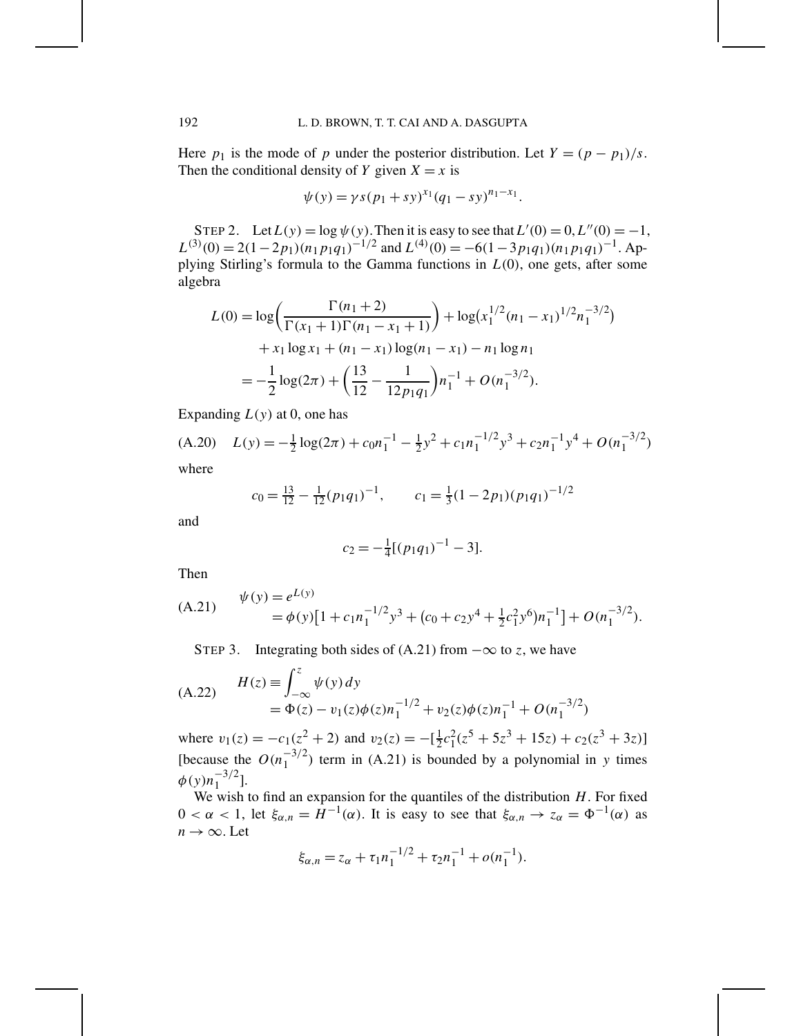Here  $p_1$  is the mode of *p* under the posterior distribution. Let  $Y = (p - p_1)/s$ . Then the conditional density of *Y* given  $X = x$  is

$$
\psi(y) = \gamma s (p_1 + s y)^{x_1} (q_1 - s y)^{n_1 - x_1}.
$$

STEP 2. Let  $L(y) = \log \psi(y)$ . Then it is easy to see that  $L'(0) = 0, L''(0) = -1$ ,  $L^{(3)}(0) = 2(1-2p_1)(n_1p_1q_1)^{-1/2}$  and  $L^{(4)}(0) = -6(1-3p_1q_1)(n_1p_1q_1)^{-1}$ . Applying Stirling's formula to the Gamma functions in  $L(0)$ , one gets, after some algebra

$$
L(0) = \log \left( \frac{\Gamma(n_1 + 2)}{\Gamma(x_1 + 1)\Gamma(n_1 - x_1 + 1)} \right) + \log(x_1^{1/2}(n_1 - x_1)^{1/2} n_1^{-3/2})
$$
  
+  $x_1 \log x_1 + (n_1 - x_1) \log(n_1 - x_1) - n_1 \log n_1$   
=  $-\frac{1}{2} \log(2\pi) + \left( \frac{13}{12} - \frac{1}{12p_1q_1} \right) n_1^{-1} + O(n_1^{-3/2}).$ 

Expanding  $L(y)$  at 0, one has

 $L(y) = -\frac{1}{2}\log(2\pi) + c_0 n_1^{-1} - \frac{1}{2}y^2 + c_1 n_1^{-1/2}y^3 + c_2 n_1^{-1}y^4 + O(n_1^{-3/2})$ where

−1*/*2

$$
c_0 = \frac{13}{12} - \frac{1}{12}(p_1 q_1)^{-1}, \qquad c_1 = \frac{1}{3}(1 - 2p_1)(p_1 q_1)^{-1}
$$

and

$$
c_2 = -\frac{1}{4} [(p_1 q_1)^{-1} - 3].
$$

Then

(A.21) 
$$
\psi(y) = e^{L(y)} = \phi(y)[1 + c_1 n_1^{-1/2} y^3 + (c_0 + c_2 y^4 + \frac{1}{2} c_1^2 y^6) n_1^{-1}] + O(n_1^{-3/2}).
$$

STEP 3. Integrating both sides of (A.21) from  $-\infty$  to *z*, we have

(A.22) 
$$
H(z) = \int_{-\infty}^{z} \psi(y) dy
$$
  
=  $\Phi(z) - v_1(z)\phi(z)n_1^{-1/2} + v_2(z)\phi(z)n_1^{-1} + O(n_1^{-3/2})$ 

where  $v_1(z) = -c_1(z^2 + 2)$  and  $v_2(z) = -[\frac{1}{2}c_1^2(z^5 + 5z^3 + 15z) + c_2(z^3 + 3z)]$ [because the  $O(n_1^{-3/2})$  term in (A.21) is bounded by a polynomial in *y* times  $\phi(y)n_1^{-3/2}$ ].

We wish to find an expansion for the quantiles of the distribution *H*. For fixed  $0 < \alpha < 1$ , let  $\xi_{\alpha,n} = \hat{H}^{-1}(\alpha)$ . It is easy to see that  $\xi_{\alpha,n} \to z_\alpha = \Phi^{-1}(\alpha)$  as  $n \rightarrow \infty$ . Let

$$
\xi_{\alpha,n} = z_{\alpha} + \tau_1 n_1^{-1/2} + \tau_2 n_1^{-1} + o(n_1^{-1}).
$$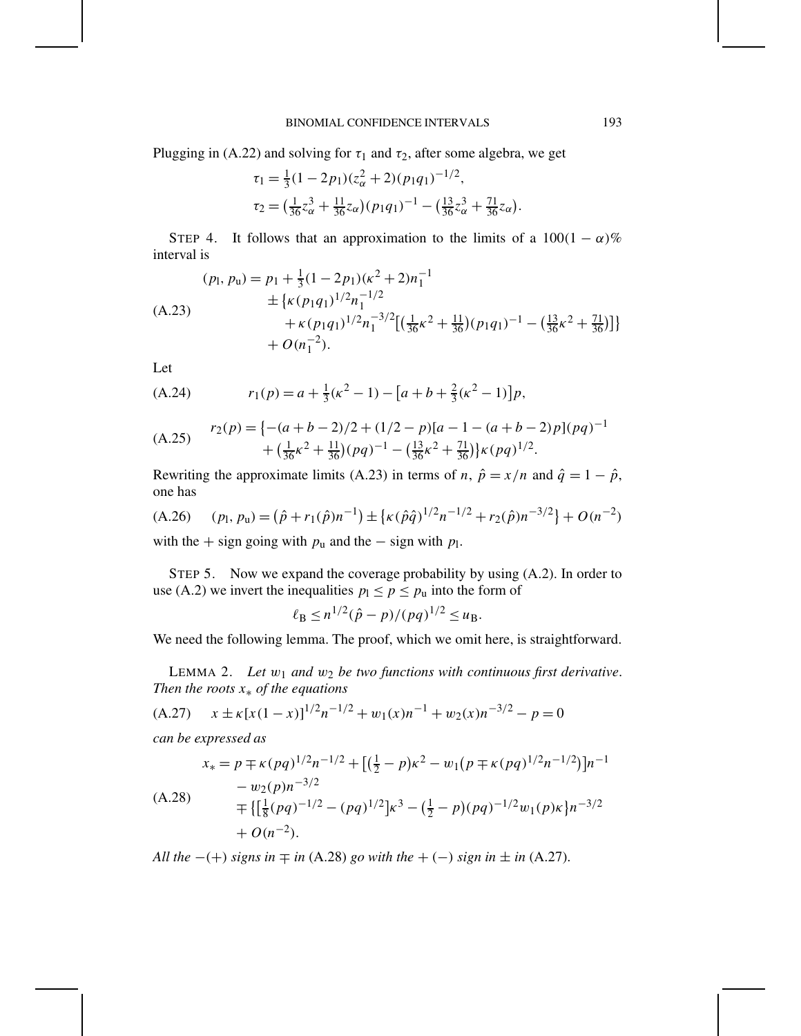Plugging in (A.22) and solving for  $\tau_1$  and  $\tau_2$ , after some algebra, we get

$$
\tau_1 = \frac{1}{3}(1 - 2p_1)(z_\alpha^2 + 2)(p_1q_1)^{-1/2},
$$
  
\n
$$
\tau_2 = \left(\frac{1}{36}z_\alpha^3 + \frac{11}{36}z_\alpha\right)(p_1q_1)^{-1} - \left(\frac{13}{36}z_\alpha^3 + \frac{71}{36}z_\alpha\right).
$$

STEP 4. It follows that an approximation to the limits of a  $100(1 - \alpha)\%$ interval is

$$
(p_1, p_u) = p_1 + \frac{1}{3}(1 - 2p_1)(\kappa^2 + 2)n_1^{-1}
$$
  
\n
$$
\pm {\kappa (p_1q_1)^{1/2}n_1^{-1/2}}
$$
  
\n
$$
+ \kappa (p_1q_1)^{1/2}n_1^{-3/2}[(\frac{1}{36}\kappa^2 + \frac{11}{36})(p_1q_1)^{-1} - (\frac{13}{36}\kappa^2 + \frac{71}{36})]
$$
  
\n
$$
+ O(n_1^{-2}).
$$

Let

(A.24) 
$$
r_1(p) = a + \frac{1}{3}(\kappa^2 - 1) - [a + b + \frac{2}{3}(\kappa^2 - 1)]p,
$$

(A.25) 
$$
r_2(p) = \left\{ -(a+b-2)/2 + (1/2-p)[a-1-(a+b-2)p](pq)^{-1} + \left(\frac{1}{36}\kappa^2 + \frac{11}{36}\right)(pq)^{-1} - \left(\frac{13}{36}\kappa^2 + \frac{71}{36}\right) \right\} \kappa(pq)^{1/2}.
$$

Rewriting the approximate limits (A.23) in terms of *n*,  $\hat{p} = x/n$  and  $\hat{q} = 1 - \hat{p}$ , one has

(A.26) 
$$
(p_1, p_u) = (\hat{p} + r_1(\hat{p})n^{-1}) \pm \{ \kappa (\hat{p}\hat{q})^{1/2}n^{-1/2} + r_2(\hat{p})n^{-3/2} \} + O(n^{-2})
$$

with the + sign going with  $p_u$  and the − sign with  $p_l$ .

STEP 5. Now we expand the coverage probability by using (A.2). In order to use (A.2) we invert the inequalities  $p_1 \leq p \leq p_u$  into the form of

$$
\ell_{\rm B} \le n^{1/2}(\hat{p} - p)/(pq)^{1/2} \le u_{\rm B}.
$$

We need the following lemma. The proof, which we omit here, is straightforward.

LEMMA 2. Let  $w_1$  and  $w_2$  be two functions with continuous first derivative. *Then the roots x*∗ *of the equations*

$$
(A.27) \quad x \pm \kappa [x(1-x)]^{1/2} n^{-1/2} + w_1(x) n^{-1} + w_2(x) n^{-3/2} - p = 0
$$

*can be expressed as*

 $+ O(n^{-2})$ .

$$
x_* = p \mp \kappa (pq)^{1/2} n^{-1/2} + \left[ \left( \frac{1}{2} - p \right) \kappa^2 - w_1 \left( p \mp \kappa (pq)^{1/2} n^{-1/2} \right) \right] n^{-1}
$$
  
\n
$$
- w_2(p) n^{-3/2}
$$
  
\n
$$
+ \left\{ \left[ \frac{1}{8} (pq)^{-1/2} - (pq)^{1/2} \right] \kappa^3 - \left( \frac{1}{2} - p \right) (pq)^{-1/2} w_1(p) \kappa \right\} n^{-3/2}
$$

*All the*  $-$ (+) *signs in*  $\mp$  *in* (A.28) *go with the* + (−) *sign in*  $\pm$  *in* (A.27).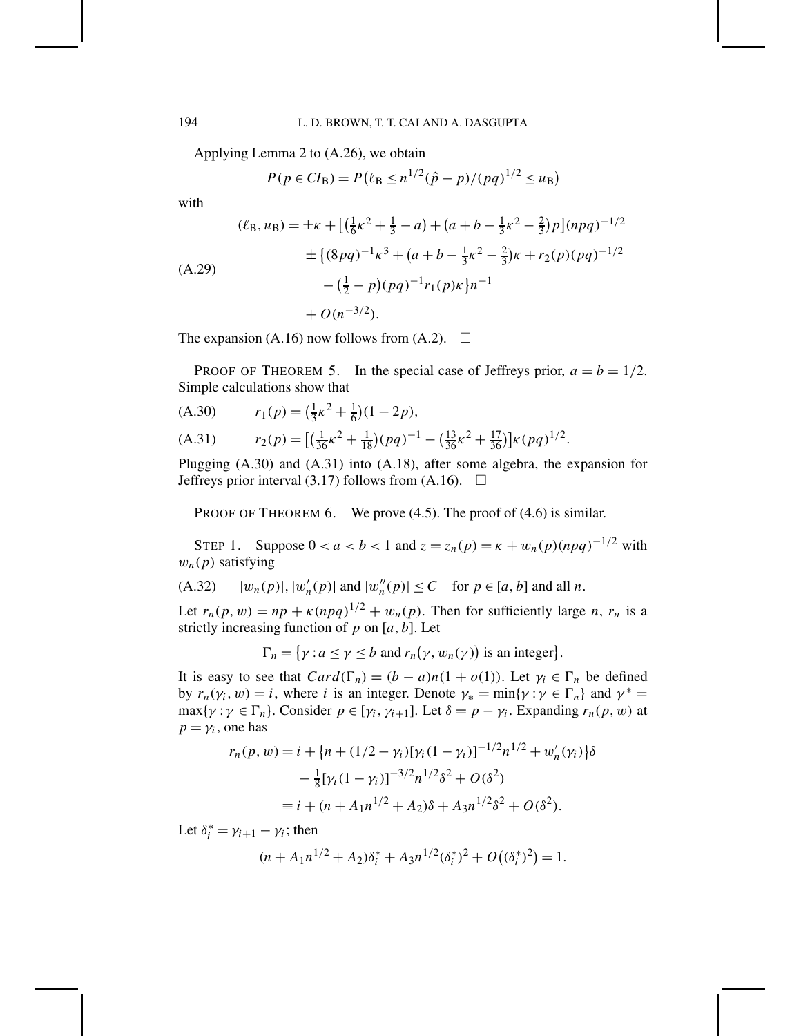Applying Lemma 2 to (A.26), we obtain

$$
P(p \in CI_B) = P(\ell_B \le n^{1/2}(\hat{p} - p)/(pq)^{1/2} \le u_B)
$$

with

$$
(\ell_{\rm B}, u_{\rm B}) = \pm \kappa + \left[ \left( \frac{1}{6} \kappa^2 + \frac{1}{3} - a \right) + \left( a + b - \frac{1}{3} \kappa^2 - \frac{2}{3} \right) p \right] (npq)^{-1/2}
$$
  
\n
$$
\pm \left\{ (8pq)^{-1} \kappa^3 + \left( a + b - \frac{1}{3} \kappa^2 - \frac{2}{3} \right) \kappa + r_2(p) (pq)^{-1/2} - \left( \frac{1}{2} - p \right) (pq)^{-1} r_1(p) \kappa \right\} n^{-1}
$$
  
\n
$$
+ O(n^{-3/2}).
$$

The expansion (A.16) now follows from (A.2).  $\Box$ 

PROOF OF THEOREM 5. In the special case of Jeffreys prior,  $a = b = 1/2$ . Simple calculations show that

$$
(A.30) \t\t r_1(p) = \left(\frac{1}{3}\kappa^2 + \frac{1}{6}\right)(1 - 2p),
$$

(A.31) 
$$
r_2(p) = \left[ \left( \frac{1}{36} \kappa^2 + \frac{1}{18} \right) (pq)^{-1} - \left( \frac{13}{36} \kappa^2 + \frac{17}{36} \right) \right] \kappa (pq)^{1/2}.
$$

Plugging (A.30) and (A.31) into (A.18), after some algebra, the expansion for Jeffreys prior interval (3.17) follows from (A.16).  $\Box$ 

PROOF OF THEOREM 6. We prove (4.5). The proof of (4.6) is similar.

STEP 1. Suppose  $0 < a < b < 1$  and  $z = z_n(p) = \kappa + w_n(p)(npq)^{-1/2}$  with  $w_n(p)$  satisfying

(A.32) 
$$
|w_n(p)|, |w'_n(p)|
$$
 and  $|w''_n(p)| \le C$  for  $p \in [a, b]$  and all n.

Let  $r_n(p, w) = np + \kappa (npq)^{1/2} + w_n(p)$ . Then for sufficiently large *n*,  $r_n$  is a strictly increasing function of *p* on [*a,b*]. Let

 $\Gamma_n = \{ \gamma : a \leq \gamma \leq b \text{ and } r_n(\gamma, w_n(\gamma)) \text{ is an integer} \}.$ 

It is easy to see that  $Card(\Gamma_n)=(b-a)n(1+o(1))$ . Let  $\gamma_i \in \Gamma_n$  be defined by  $r_n(\gamma_i, w) = i$ , where *i* is an integer. Denote  $\gamma_* = \min{\gamma : \gamma \in \Gamma_n}$  and  $\gamma^* =$  $\max\{\gamma : \gamma \in \Gamma_n\}$ . Consider  $p \in [\gamma_i, \gamma_{i+1}]$ . Let  $\delta = p - \gamma_i$ . Expanding  $r_n(p, w)$  at  $p = \gamma_i$ , one has

$$
r_n(p, w) = i + \{n + (1/2 - \gamma_i)[\gamma_i(1 - \gamma_i)]^{-1/2}n^{1/2} + w'_n(\gamma_i)\}\delta
$$
  

$$
- \frac{1}{8}[\gamma_i(1 - \gamma_i)]^{-3/2}n^{1/2}\delta^2 + O(\delta^2)
$$
  

$$
\equiv i + (n + A_1n^{1/2} + A_2)\delta + A_3n^{1/2}\delta^2 + O(\delta^2).
$$

Let  $\delta_i^* = \gamma_{i+1} - \gamma_i$ ; then

$$
(n + A_1 n^{1/2} + A_2) \delta_i^* + A_3 n^{1/2} (\delta_i^*)^2 + O((\delta_i^*)^2) = 1.
$$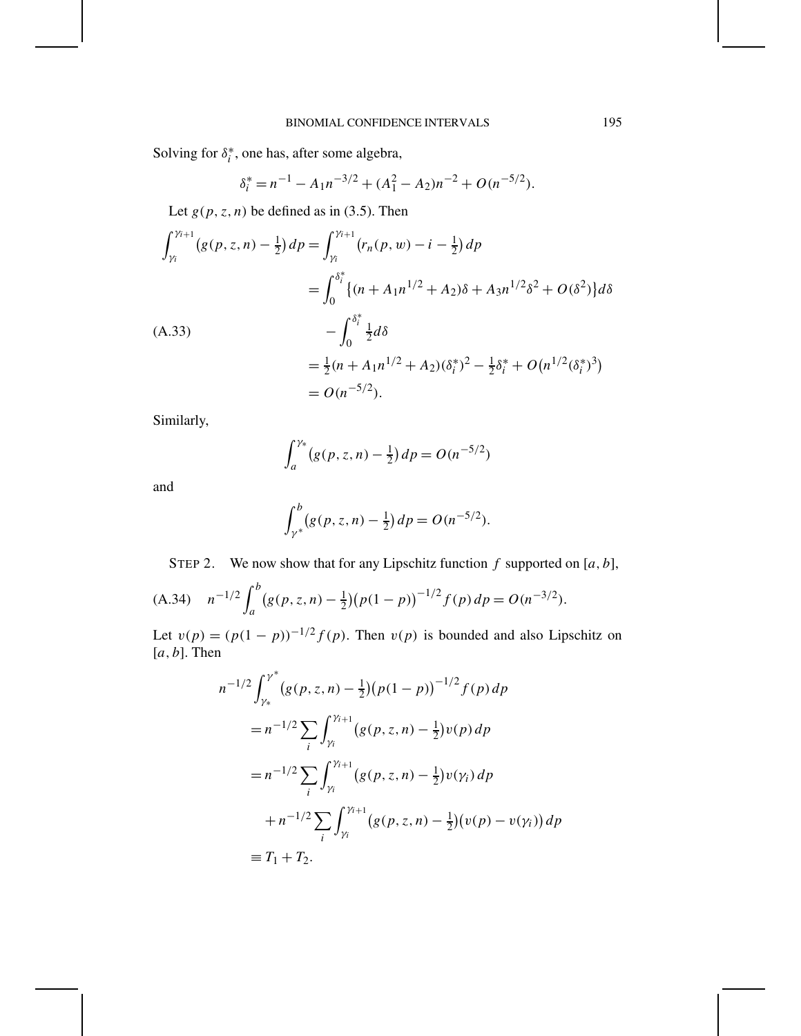Solving for  $\delta_i^*$ , one has, after some algebra,

$$
\delta_i^* = n^{-1} - A_1 n^{-3/2} + (A_1^2 - A_2) n^{-2} + O(n^{-5/2}).
$$

Let  $g(p, z, n)$  be defined as in (3.5). Then

$$
\int_{\gamma_i}^{\gamma_{i+1}} (g(p, z, n) - \frac{1}{2}) dp = \int_{\gamma_i}^{\gamma_{i+1}} (r_n(p, w) - i - \frac{1}{2}) dp
$$
  
\n
$$
= \int_0^{\delta_i^*} \{ (n + A_1 n^{1/2} + A_2) \delta + A_3 n^{1/2} \delta^2 + O(\delta^2) \} d\delta
$$
  
\n(A.33)  
\n
$$
- \int_0^{\delta_i^*} \frac{1}{2} d\delta
$$
  
\n
$$
= \frac{1}{2} (n + A_1 n^{1/2} + A_2) (\delta_i^*)^2 - \frac{1}{2} \delta_i^* + O(n^{1/2} (\delta_i^*)^3)
$$
  
\n
$$
= O(n^{-5/2}).
$$

Similarly,

$$
\int_{a}^{\gamma_*} (g(p, z, n) - \frac{1}{2}) \, dp = O(n^{-5/2})
$$

and

$$
\int_{\gamma^*}^b (g(p, z, n) - \frac{1}{2}) \, dp = O(n^{-5/2}).
$$

STEP 2. We now show that for any Lipschitz function *f* supported on [*a,b*],

(A.34) 
$$
n^{-1/2} \int_a^b (g(p, z, n) - \frac{1}{2}) (p(1-p))^{-1/2} f(p) \, dp = O(n^{-3/2}).
$$

Let  $v(p) = (p(1 - p))^{-1/2} f(p)$ . Then  $v(p)$  is bounded and also Lipschitz on [*a,b*]. Then

$$
n^{-1/2} \int_{\gamma_*}^{\gamma^*} (g(p, z, n) - \frac{1}{2}) (p(1-p))^{-1/2} f(p) \, dp
$$
  
=  $n^{-1/2} \sum_i \int_{\gamma_i}^{\gamma_{i+1}} (g(p, z, n) - \frac{1}{2}) v(p) \, dp$   
=  $n^{-1/2} \sum_i \int_{\gamma_i}^{\gamma_{i+1}} (g(p, z, n) - \frac{1}{2}) v(\gamma_i) \, dp$   
+  $n^{-1/2} \sum_i \int_{\gamma_i}^{\gamma_{i+1}} (g(p, z, n) - \frac{1}{2}) (v(p) - v(\gamma_i)) \, dp$   
\equiv  $T_1 + T_2$ .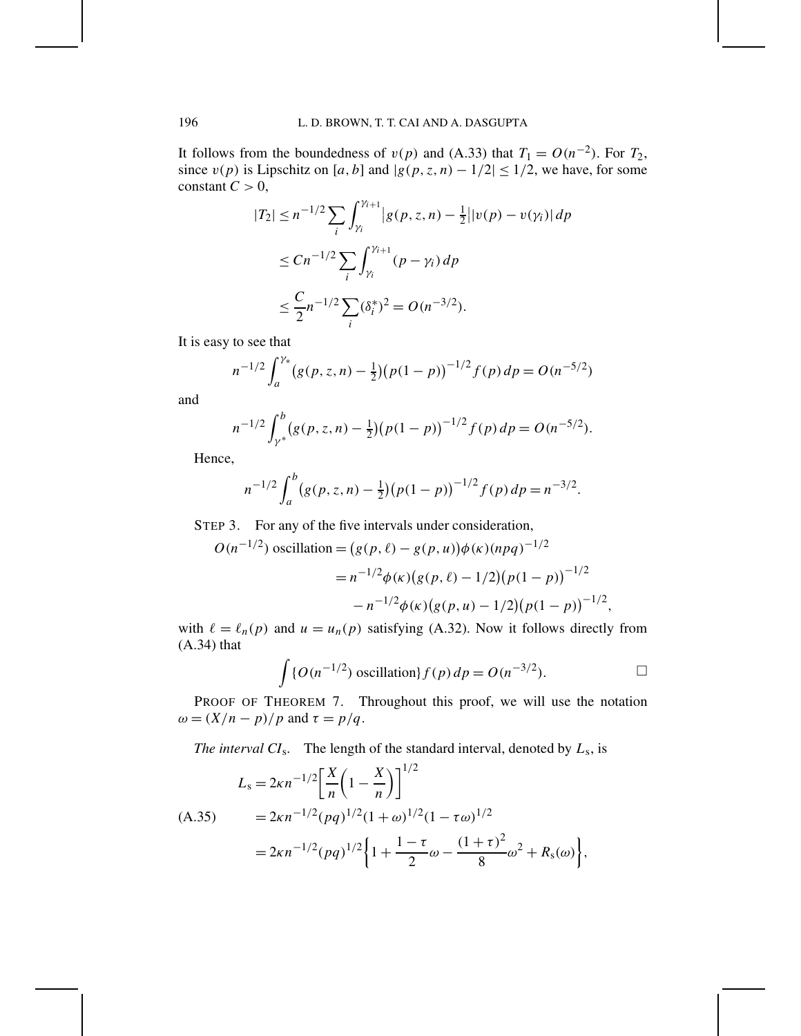It follows from the boundedness of *v(p)* and (A.33) that  $T_1 = O(n^{-2})$ . For  $T_2$ , since  $v(p)$  is Lipschitz on [*a*, *b*] and  $|g(p, z, n) - 1/2| \le 1/2$ , we have, for some constant  $C > 0$ ,

$$
|T_2| \le n^{-1/2} \sum_{i} \int_{\gamma_i}^{\gamma_{i+1}} |g(p, z, n) - \frac{1}{2}| |v(p) - v(\gamma_i)| \, dp
$$
  
\n
$$
\le Cn^{-1/2} \sum_{i} \int_{\gamma_i}^{\gamma_{i+1}} (p - \gamma_i) \, dp
$$
  
\n
$$
\le \frac{C}{2} n^{-1/2} \sum_{i} (\delta_i^*)^2 = O(n^{-3/2}).
$$

It is easy to see that

$$
n^{-1/2} \int_{a}^{\gamma_*} (g(p, z, n) - \frac{1}{2}) (p(1-p))^{-1/2} f(p) \, dp = O(n^{-5/2})
$$

and

$$
n^{-1/2} \int_{\gamma^*}^b (g(p, z, n) - \frac{1}{2}) (p(1-p))^{-1/2} f(p) \, dp = O(n^{-5/2}).
$$

Hence,

$$
n^{-1/2} \int_a^b (g(p, z, n) - \frac{1}{2}) (p(1-p))^{-1/2} f(p) \, dp = n^{-3/2}.
$$

STEP 3. For any of the five intervals under consideration,

$$
O(n^{-1/2}) \text{ oscillation} = (g(p, \ell) - g(p, u))\phi(\kappa)(npq)^{-1/2}
$$
  
=  $n^{-1/2}\phi(\kappa)(g(p, \ell) - 1/2)(p(1-p))^{-1/2}$   
 $- n^{-1/2}\phi(\kappa)(g(p, u) - 1/2)(p(1-p))^{-1/2},$ 

with  $\ell = \ell_n(p)$  and  $u = u_n(p)$  satisfying (A.32). Now it follows directly from (A.34) that

$$
\int \{O(n^{-1/2}) \text{ oscillation}\} f(p) \, dp = O(n^{-3/2}).
$$

PROOF OF THEOREM 7. Throughout this proof, we will use the notation  $\omega = (X/n - p)/p$  and  $\tau = p/q$ .

*The interval CI*s*.* The length of the standard interval, denoted by *L*s, is

$$
L_{\rm s} = 2\kappa n^{-1/2} \left[ \frac{X}{n} \left( 1 - \frac{X}{n} \right) \right]^{1/2}
$$
  
(A.35) 
$$
= 2\kappa n^{-1/2} (pq)^{1/2} (1 + \omega)^{1/2} (1 - \tau \omega)^{1/2}
$$

$$
= 2\kappa n^{-1/2} (pq)^{1/2} \left\{ 1 + \frac{1 - \tau}{2} \omega - \frac{(1 + \tau)^2}{8} \omega^2 + R_{\rm s}(\omega) \right\},
$$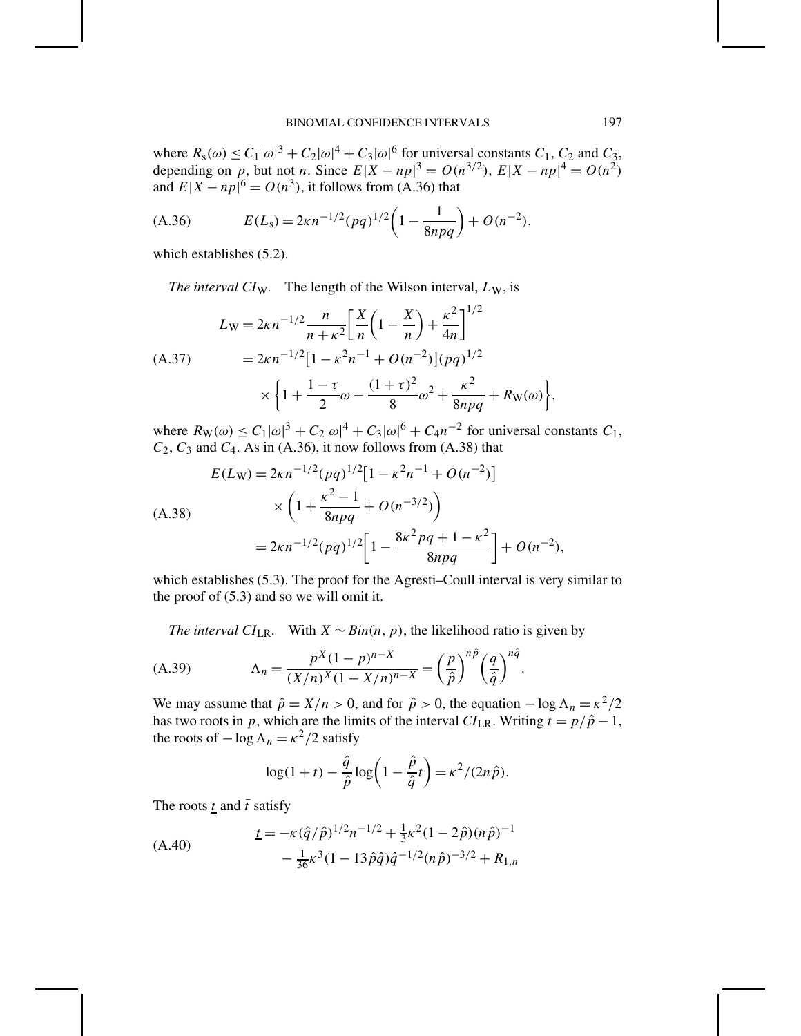where  $R_s(\omega) \leq C_1 |\omega|^3 + C_2 |\omega|^4 + C_3 |\omega|^6$  for universal constants  $C_1$ ,  $C_2$  and  $C_3$ , depending on *p*, but not *n*. Since  $E|X - np|^3 = O(n^{3/2})$ ,  $E|X - np|^4 = O(n^2)$ and  $E|X - np|^6 = O(n^3)$ , it follows from (A.36) that

(A.36) 
$$
E(L_s) = 2\kappa n^{-1/2} (pq)^{1/2} \left(1 - \frac{1}{8npq}\right) + O(n^{-2}),
$$

which establishes (5.2).

*The interval CI<sub>W</sub>.* The length of the Wilson interval,  $L_W$ , is

$$
L_{\rm W} = 2\kappa n^{-1/2} \frac{n}{n+\kappa^2} \left[ \frac{X}{n} \left( 1 - \frac{X}{n} \right) + \frac{\kappa^2}{4n} \right]^{1/2}
$$
  
=  $2\kappa n^{-1/2} [1 - \kappa^2 n^{-1} + O(n^{-2})] (pq)^{1/2}$   
 $\times \left\{ 1 + \frac{1-\tau}{2} \omega - \frac{(1+\tau)^2}{8} \omega^2 + \frac{\kappa^2}{8npq} + R_{\rm W}(\omega) \right\},$ 

where  $R_W(\omega) \le C_1 |\omega|^3 + C_2 |\omega|^4 + C_3 |\omega|^6 + C_4 n^{-2}$  for universal constants  $C_1$ ,  $C_2$ ,  $C_3$  and  $C_4$ . As in (A.36), it now follows from (A.38) that

$$
E(L_{\rm W}) = 2\kappa n^{-1/2} (pq)^{1/2} [1 - \kappa^2 n^{-1} + O(n^{-2})]
$$
  
(A.38)  

$$
\times \left(1 + \frac{\kappa^2 - 1}{8npq} + O(n^{-3/2})\right)
$$

$$
= 2\kappa n^{-1/2} (pq)^{1/2} \left[1 - \frac{8\kappa^2 pq + 1 - \kappa^2}{8npq}\right] + O(n^{-2}),
$$

which establishes (5.3). The proof for the Agresti–Coull interval is very similar to the proof of (5.3) and so we will omit it.

*The interval CI*<sub>LR</sub>. With *X* ∼ *Bin*(*n*, *p*), the likelihood ratio is given by

(A.39) 
$$
\Lambda_n = \frac{p^X (1-p)^{n-X}}{(X/n)^X (1-X/n)^{n-X}} = \left(\frac{p}{\hat{p}}\right)^{n\hat{p}} \left(\frac{q}{\hat{q}}\right)^{n\hat{q}}.
$$

We may assume that  $\hat{p} = X/n > 0$ , and for  $\hat{p} > 0$ , the equation  $-\log \Lambda_n = \kappa^2/2$ has two roots in *p*, which are the limits of the interval  $CI_{LR}$ . Writing  $t = p/\hat{p} - 1$ , the roots of  $-\log \Lambda_n = \kappa^2/2$  satisfy

$$
\log(1+t) - \frac{\hat{q}}{\hat{p}}\log\left(1-\frac{\hat{p}}{\hat{q}}t\right) = \kappa^2/(2n\hat{p}).
$$

The roots  $\underline{t}$  and  $\overline{t}$  satisfy

(A.40)  
\n
$$
\frac{t}{3} = -\kappa (\hat{q}/\hat{p})^{1/2} n^{-1/2} + \frac{1}{3} \kappa^2 (1 - 2\hat{p}) (n\hat{p})^{-1} - \frac{1}{36} \kappa^3 (1 - 13\hat{p}\hat{q}) \hat{q}^{-1/2} (n\hat{p})^{-3/2} + R_{1,n}
$$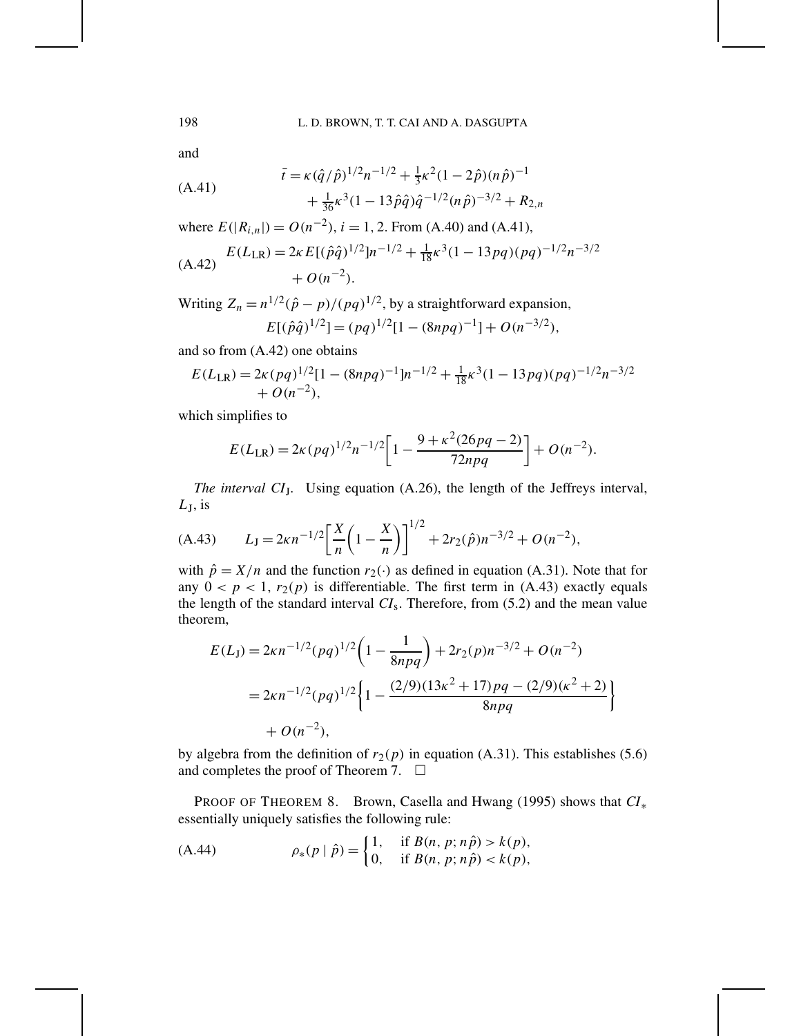and

(A.41)  

$$
\bar{t} = \kappa (\hat{q}/\hat{p})^{1/2} n^{-1/2} + \frac{1}{3} \kappa^2 (1 - 2\hat{p}) (n\hat{p})^{-1} + \frac{1}{36} \kappa^3 (1 - 13\hat{p}\hat{q}) \hat{q}^{-1/2} (n\hat{p})^{-3/2} + R_{2,n}
$$

where  $E(|R_{i,n}|) = O(n^{-2})$ ,  $i = 1, 2$ . From (A.40) and (A.41),

$$
(A.42) \quad E(L_{LR}) = 2\kappa E[(\hat{p}\hat{q})^{1/2}]n^{-1/2} + \frac{1}{18}\kappa^3(1 - 13pq)(pq)^{-1/2}n^{-3/2} + O(n^{-2}).
$$

Writing  $Z_n = n^{1/2}(\hat{p} - p)/(pq)^{1/2}$ , by a straightforward expansion,  $E[(\hat{p}\hat{q})^{1/2}] = (pq)^{1/2}[1 - (8npq)^{-1}] + O(n^{-3/2}),$ 

and so from (A.42) one obtains

$$
E(L_{LR}) = 2\kappa (pq)^{1/2} [1 - (8npq)^{-1}] n^{-1/2} + \frac{1}{18} \kappa^3 (1 - 13pq)(pq)^{-1/2} n^{-3/2} + O(n^{-2}),
$$

which simplifies to

$$
E(L_{LR}) = 2\kappa (pq)^{1/2} n^{-1/2} \left[ 1 - \frac{9 + \kappa^2 (26pq - 2)}{72npq} \right] + O(n^{-2}).
$$

*The interval CI*J*.* Using equation (A.26), the length of the Jeffreys interval, *L*J, is

(A.43) 
$$
L_J = 2\kappa n^{-1/2} \left[ \frac{X}{n} \left( 1 - \frac{X}{n} \right) \right]^{1/2} + 2r_2(\hat{p})n^{-3/2} + O(n^{-2}),
$$

with  $\hat{p} = X/n$  and the function  $r_2(\cdot)$  as defined in equation (A.31). Note that for any  $0 < p < 1$ ,  $r_2(p)$  is differentiable. The first term in (A.43) exactly equals the length of the standard interval *CI*s. Therefore, from (5.2) and the mean value theorem,

$$
E(L_J) = 2\kappa n^{-1/2} (pq)^{1/2} \left( 1 - \frac{1}{8npq} \right) + 2r_2(p)n^{-3/2} + O(n^{-2})
$$
  
=  $2\kappa n^{-1/2} (pq)^{1/2} \left\{ 1 - \frac{(2/9)(13\kappa^2 + 17)pq - (2/9)(\kappa^2 + 2)}{8npq} \right\}$   
+  $O(n^{-2}),$ 

by algebra from the definition of  $r_2(p)$  in equation (A.31). This establishes (5.6) and completes the proof of Theorem 7.  $\Box$ 

PROOF OF THEOREM 8. Brown, Casella and Hwang (1995) shows that *CI*∗ essentially uniquely satisfies the following rule:

(A.44) 
$$
\rho_*(p | \hat{p}) = \begin{cases} 1, & \text{if } B(n, p; n\hat{p}) > k(p), \\ 0, & \text{if } B(n, p; n\hat{p}) < k(p), \end{cases}
$$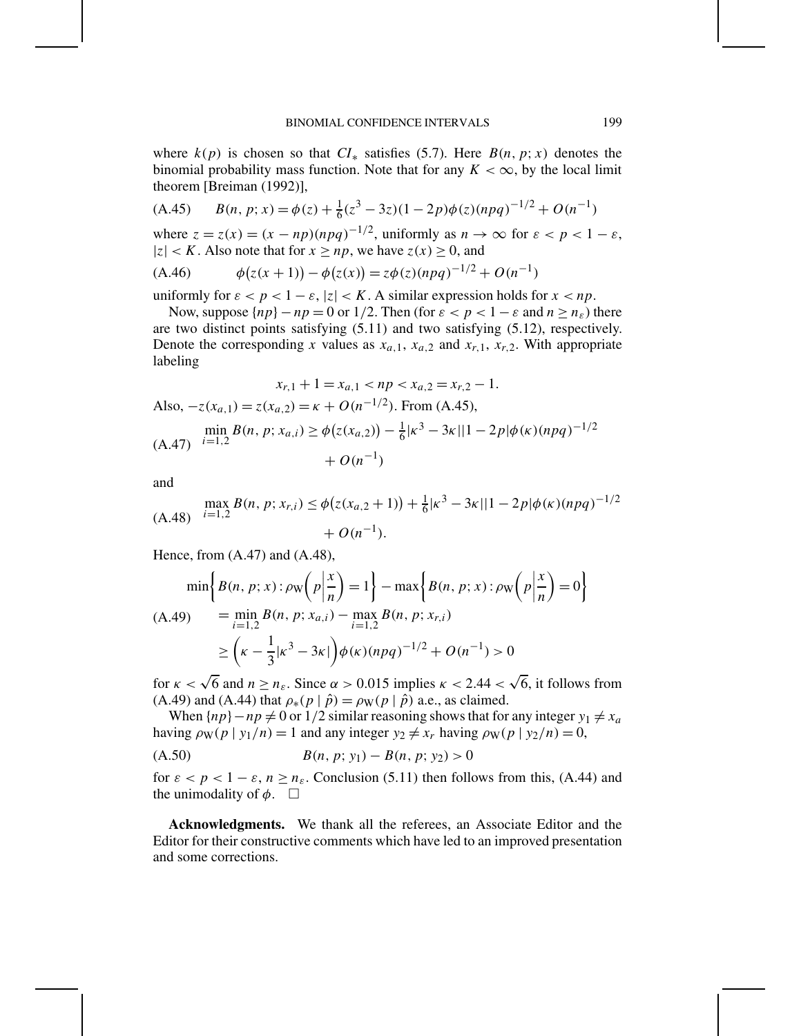where  $k(p)$  is chosen so that  $CI_*$  satisfies (5.7). Here  $B(n, p; x)$  denotes the binomial probability mass function. Note that for any  $K < \infty$ , by the local limit theorem [Breiman (1992)],

(A.45) 
$$
B(n, p; x) = \phi(z) + \frac{1}{6}(z^3 - 3z)(1 - 2p)\phi(z)(npq)^{-1/2} + O(n^{-1})
$$

where  $z = z(x) = (x - np)(npq)^{-1/2}$ , uniformly as  $n \to \infty$  for  $\varepsilon < p < 1 - \varepsilon$ ,  $|z| < K$ . Also note that for  $x \ge np$ , we have  $z(x) \ge 0$ , and

$$
(A.46) \qquad \phi(z(x+1)) - \phi(z(x)) = z\phi(z)(npq)^{-1/2} + O(n^{-1})
$$

uniformly for  $\varepsilon$  <  $p$  <  $1 - \varepsilon$ ,  $|z|$  < K. A similar expression holds for  $x$  <  $np$ .

Now, suppose  $\{np\} - np = 0$  or  $1/2$ . Then (for  $\varepsilon < p < 1 - \varepsilon$  and  $n \ge n_{\varepsilon}$ ) there are two distinct points satisfying (5.11) and two satisfying (5.12), respectively. Denote the corresponding *x* values as  $x_{a,1}$ ,  $x_{a,2}$  and  $x_{r,1}$ ,  $x_{r,2}$ . With appropriate labeling

$$
x_{r,1} + 1 = x_{a,1} < np < x_{a,2} = x_{r,2} - 1.
$$
\nAlso,  $-z(x_{a,1}) = z(x_{a,2}) = \kappa + O(n^{-1/2})$ . From (A.45),\n
$$
\min_{i=1,2} B(n, p; x_{a,i}) \ge \phi(z(x_{a,2})) - \frac{1}{6} |\kappa^3 - 3\kappa||1 - 2p|\phi(\kappa)(npq)^{-1/2} + O(n^{-1})
$$

and

$$
\max_{i=1,2} B(n, p; x_{r,i}) \le \phi(z(x_{a,2}+1)) + \frac{1}{6} |\kappa^3 - 3\kappa||1 - 2p|\phi(\kappa)(npq)^{-1/2} + O(n^{-1}).
$$

Hence, from (A.47) and (A.48),

$$
\min \left\{ B(n, p; x) : \rho_{\mathbf{W}} \left( p \Big| \frac{x}{n} \right) = 1 \right\} - \max \left\{ B(n, p; x) : \rho_{\mathbf{W}} \left( p \Big| \frac{x}{n} \right) = 0 \right\}
$$
\n(A.49) = 
$$
\min_{i=1,2} B(n, p; x_{a,i}) - \max_{i=1,2} B(n, p; x_{r,i})
$$
\n
$$
\geq \left( \kappa - \frac{1}{3} |\kappa^3 - 3\kappa| \right) \phi(\kappa) (npq)^{-1/2} + O(n^{-1}) > 0
$$

for  $\kappa < \sqrt{6}$  and  $n \ge n_{\varepsilon}$ . Since  $\alpha > 0.015$  implies  $\kappa < 2.44 < \sqrt{6}$ , it follows from (A.49) and (A.44) that  $\rho_*(p | \hat{p}) = \rho_W(p | \hat{p})$  a.e., as claimed.

When  $\{np\} - np \neq 0$  or  $1/2$  similar reasoning shows that for any integer  $y_1 \neq x_a$ having  $\rho_W(p | y_1/n) = 1$  and any integer  $y_2 \neq x_r$  having  $\rho_W(p | y_2/n) = 0$ ,

$$
(A.50) \t B(n, p; y1) - B(n, p; y2) > 0
$$

for  $\varepsilon < p < 1 - \varepsilon$ ,  $n \ge n_{\varepsilon}$ . Conclusion (5.11) then follows from this, (A.44) and the unimodality of  $\phi$ .  $\square$ 

**Acknowledgments.** We thank all the referees, an Associate Editor and the Editor for their constructive comments which have led to an improved presentation and some corrections.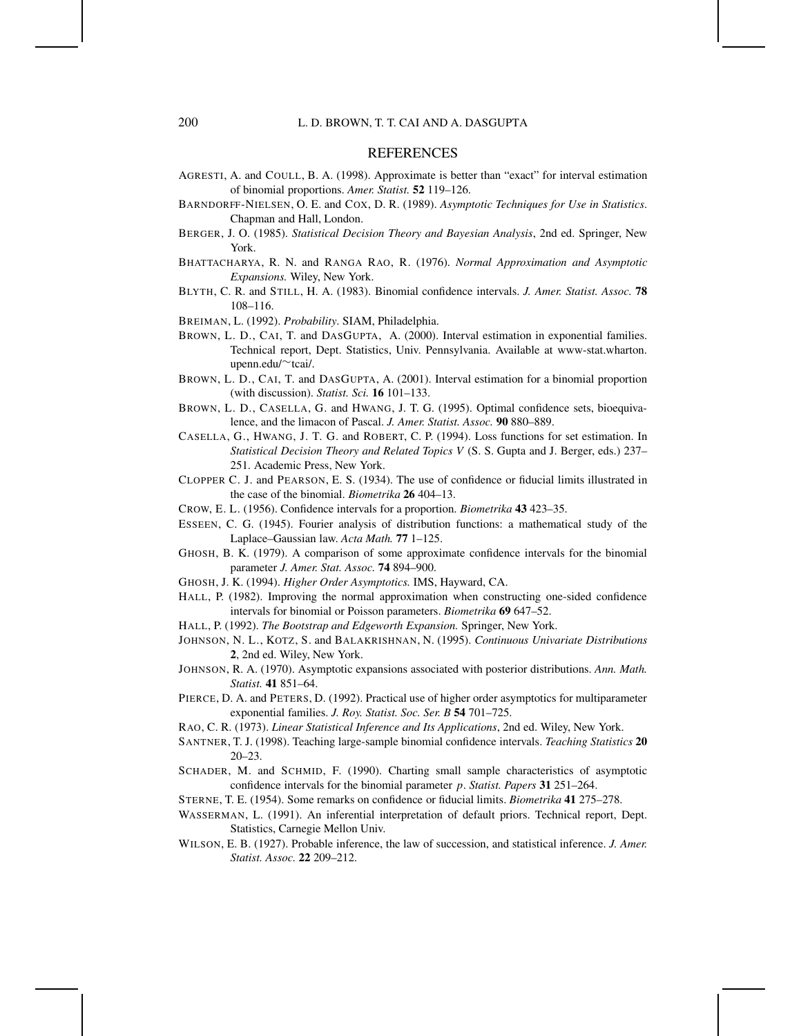### REFERENCES

- AGRESTI, A. and COULL, B. A. (1998). Approximate is better than "exact" for interval estimation of binomial proportions. *Amer. Statist.* **52** 119–126.
- BARNDORFF-NIELSEN, O. E. and COX, D. R. (1989). *Asymptotic Techniques for Use in Statistics*. Chapman and Hall, London.
- BERGER, J. O. (1985). *Statistical Decision Theory and Bayesian Analysis*, 2nd ed. Springer, New York.
- BHATTACHARYA, R. N. and RANGA RAO, R. (1976). *Normal Approximation and Asymptotic Expansions.* Wiley, New York.
- BLYTH, C. R. and STILL, H. A. (1983). Binomial confidence intervals. *J. Amer. Statist. Assoc.* **78** 108–116.
- BREIMAN, L. (1992). *Probability*. SIAM, Philadelphia.
- BROWN, L. D., CAI, T. and DASGUPTA, A. (2000). Interval estimation in exponential families. Technical report, Dept. Statistics, Univ. Pennsylvania. Available at www-stat.wharton. upenn.edu/∼tcai/.
- BROWN, L. D., CAI, T. and DASGUPTA, A. (2001). Interval estimation for a binomial proportion (with discussion). *Statist. Sci.* **16** 101–133.
- BROWN, L. D., CASELLA, G. and HWANG, J. T. G. (1995). Optimal confidence sets, bioequivalence, and the limacon of Pascal. *J. Amer. Statist. Assoc.* **90** 880–889.
- CASELLA, G., HWANG, J. T. G. and ROBERT, C. P. (1994). Loss functions for set estimation. In *Statistical Decision Theory and Related Topics V* (S. S. Gupta and J. Berger, eds.) 237– 251. Academic Press, New York.
- CLOPPER C. J. and PEARSON, E. S. (1934). The use of confidence or fiducial limits illustrated in the case of the binomial. *Biometrika* **26** 404–13.
- CROW, E. L. (1956). Confidence intervals for a proportion. *Biometrika* **43** 423–35.
- ESSEEN, C. G. (1945). Fourier analysis of distribution functions: a mathematical study of the Laplace–Gaussian law. *Acta Math.* **77** 1–125.
- GHOSH, B. K. (1979). A comparison of some approximate confidence intervals for the binomial parameter *J. Amer. Stat. Assoc.* **74** 894–900.
- GHOSH, J. K. (1994). *Higher Order Asymptotics.* IMS, Hayward, CA.
- HALL, P. (1982). Improving the normal approximation when constructing one-sided confidence intervals for binomial or Poisson parameters. *Biometrika* **69** 647–52.
- HALL, P. (1992). *The Bootstrap and Edgeworth Expansion.* Springer, New York.
- JOHNSON, N. L., KOTZ, S. and BALAKRISHNAN, N. (1995). *Continuous Univariate Distributions* **2**, 2nd ed. Wiley, New York.
- JOHNSON, R. A. (1970). Asymptotic expansions associated with posterior distributions. *Ann. Math. Statist.* **41** 851–64.
- PIERCE, D. A. and PETERS, D. (1992). Practical use of higher order asymptotics for multiparameter exponential families. *J. Roy. Statist. Soc. Ser. B* **54** 701–725.
- RAO, C. R. (1973). *Linear Statistical Inference and Its Applications*, 2nd ed. Wiley, New York.
- SANTNER, T. J. (1998). Teaching large-sample binomial confidence intervals. *Teaching Statistics* **20** 20–23.
- SCHADER, M. and SCHMID, F. (1990). Charting small sample characteristics of asymptotic confidence intervals for the binomial parameter *p*. *Statist. Papers* **31** 251–264.
- STERNE, T. E. (1954). Some remarks on confidence or fiducial limits. *Biometrika* **41** 275–278.
- WASSERMAN, L. (1991). An inferential interpretation of default priors. Technical report, Dept. Statistics, Carnegie Mellon Univ.
- WILSON, E. B. (1927). Probable inference, the law of succession, and statistical inference. *J. Amer. Statist. Assoc.* **22** 209–212.